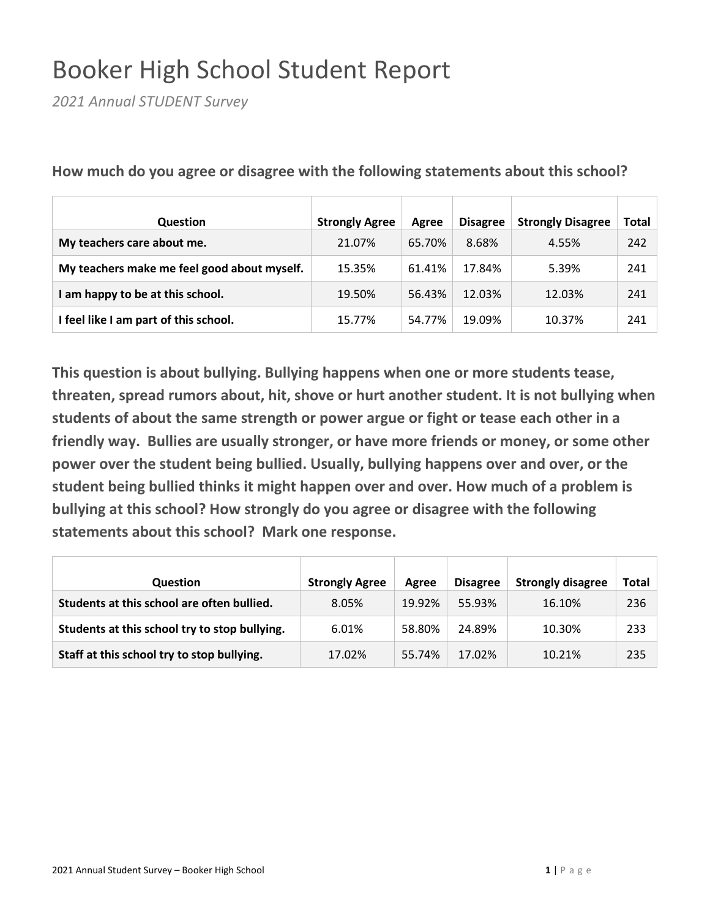# Booker High School Student Report

*2021 Annual STUDENT Survey*

| Question                                    | <b>Strongly Agree</b> | Agree  | <b>Disagree</b> | <b>Strongly Disagree</b> | <b>Total</b> |
|---------------------------------------------|-----------------------|--------|-----------------|--------------------------|--------------|
| My teachers care about me.                  | 21.07%                | 65.70% | 8.68%           | 4.55%                    | 242          |
| My teachers make me feel good about myself. | 15.35%                | 61.41% | 17.84%          | 5.39%                    | 241          |
| I am happy to be at this school.            | 19.50%                | 56.43% | 12.03%          | 12.03%                   | 241          |
| I feel like I am part of this school.       | 15.77%                | 54.77% | 19.09%          | 10.37%                   | 241          |

**How much do you agree or disagree with the following statements about this school?**

| <b>Question</b>                               | <b>Strongly Agree</b> | Agree  | <b>Disagree</b> | <b>Strongly disagree</b> | Total |
|-----------------------------------------------|-----------------------|--------|-----------------|--------------------------|-------|
| Students at this school are often bullied.    | 8.05%                 | 19.92% | 55.93%          | 16.10%                   | 236   |
| Students at this school try to stop bullying. | 6.01%                 | 58.80% | 24.89%          | 10.30%                   | 233   |
| Staff at this school try to stop bullying.    | 17.02%                | 55.74% | 17.02%          | 10.21%                   | 235   |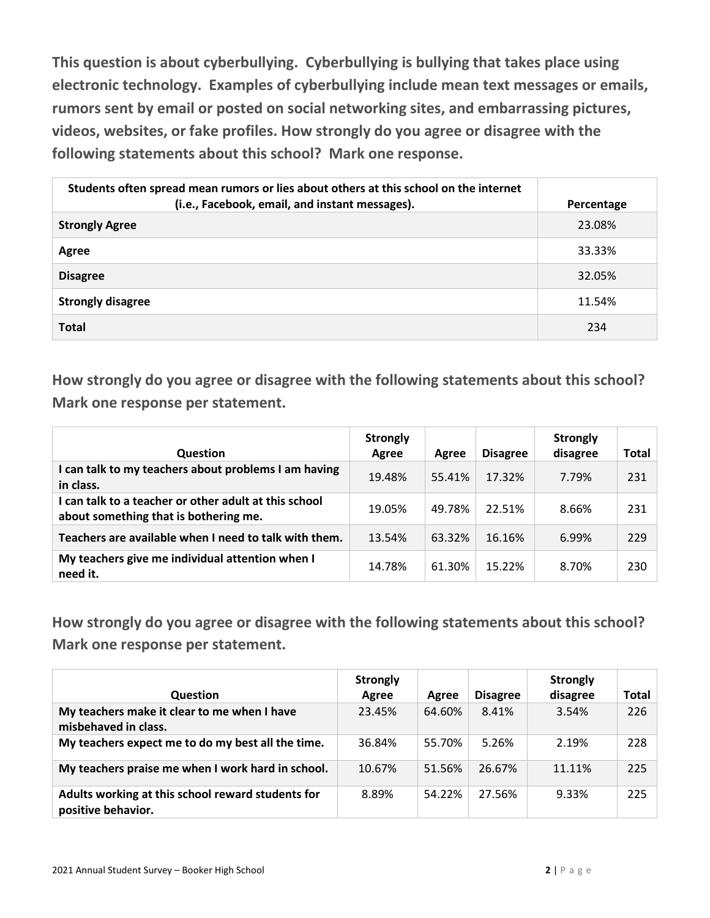**This question is about cyberbullying. Cyberbullying is bullying that takes place using electronic technology. Examples of cyberbullying include mean text messages or emails, rumors sent by email or posted on social networking sites, and embarrassing pictures, videos, websites, or fake profiles. How strongly do you agree or disagree with the following statements about this school? Mark one response.**

| Students often spread mean rumors or lies about others at this school on the internet<br>(i.e., Facebook, email, and instant messages). | Percentage |
|-----------------------------------------------------------------------------------------------------------------------------------------|------------|
| <b>Strongly Agree</b>                                                                                                                   | 23.08%     |
| Agree                                                                                                                                   | 33.33%     |
| <b>Disagree</b>                                                                                                                         | 32.05%     |
| <b>Strongly disagree</b>                                                                                                                | 11.54%     |
| <b>Total</b>                                                                                                                            | 234        |

**How strongly do you agree or disagree with the following statements about this school? Mark one response per statement.**

| <b>Question</b>                                                                                | <b>Strongly</b><br>Agree | Agree  | <b>Disagree</b> | <b>Strongly</b><br>disagree | Total |
|------------------------------------------------------------------------------------------------|--------------------------|--------|-----------------|-----------------------------|-------|
| I can talk to my teachers about problems I am having<br>in class.                              | 19.48%                   | 55.41% | 17.32%          | 7.79%                       | 231   |
| I can talk to a teacher or other adult at this school<br>about something that is bothering me. | 19.05%                   | 49.78% | 22.51%          | 8.66%                       | 231   |
| Teachers are available when I need to talk with them.                                          | 13.54%                   | 63.32% | 16.16%          | 6.99%                       | 229   |
| My teachers give me individual attention when I<br>need it.                                    | 14.78%                   | 61.30% | 15.22%          | 8.70%                       | 230   |

| <b>Question</b>                                                         | <b>Strongly</b><br>Agree | Agree  | <b>Disagree</b> | <b>Strongly</b><br>disagree | Total |
|-------------------------------------------------------------------------|--------------------------|--------|-----------------|-----------------------------|-------|
| My teachers make it clear to me when I have<br>misbehaved in class.     | 23.45%                   | 64.60% | 8.41%           | 3.54%                       | 226   |
| My teachers expect me to do my best all the time.                       | 36.84%                   | 55.70% | 5.26%           | 2.19%                       | 228   |
| My teachers praise me when I work hard in school.                       | 10.67%                   | 51.56% | 26.67%          | 11.11%                      | 225   |
| Adults working at this school reward students for<br>positive behavior. | 8.89%                    | 54.22% | 27.56%          | 9.33%                       | 225   |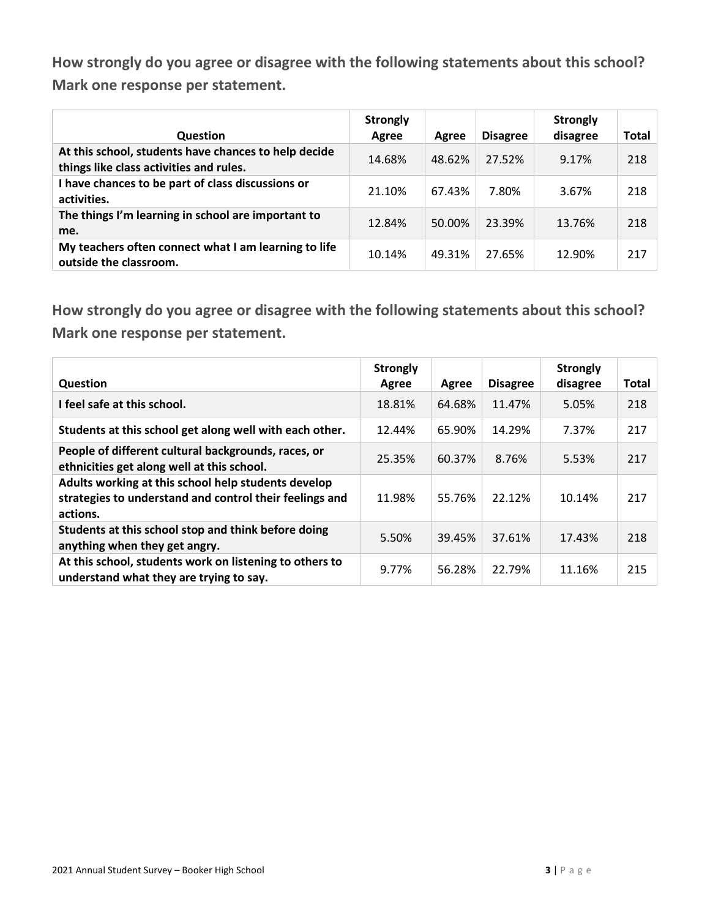| <b>Question</b>                                                                                 | <b>Strongly</b><br>Agree | Agree  | <b>Disagree</b> | <b>Strongly</b><br>disagree | Total |
|-------------------------------------------------------------------------------------------------|--------------------------|--------|-----------------|-----------------------------|-------|
| At this school, students have chances to help decide<br>things like class activities and rules. | 14.68%                   | 48.62% | 27.52%          | 9.17%                       | 218   |
| I have chances to be part of class discussions or<br>activities.                                | 21.10%                   | 67.43% | 7.80%           | 3.67%                       | 218   |
| The things I'm learning in school are important to<br>me.                                       | 12.84%                   | 50.00% | 23.39%          | 13.76%                      | 218   |
| My teachers often connect what I am learning to life<br>outside the classroom.                  | 10.14%                   | 49.31% | 27.65%          | 12.90%                      | 217   |

| <b>Question</b>                                                                                                            | <b>Strongly</b><br>Agree | Agree  | <b>Disagree</b> | <b>Strongly</b><br>disagree | <b>Total</b> |
|----------------------------------------------------------------------------------------------------------------------------|--------------------------|--------|-----------------|-----------------------------|--------------|
| I feel safe at this school.                                                                                                | 18.81%                   | 64.68% | 11.47%          | 5.05%                       | 218          |
| Students at this school get along well with each other.                                                                    | 12.44%                   | 65.90% | 14.29%          | 7.37%                       | 217          |
| People of different cultural backgrounds, races, or<br>ethnicities get along well at this school.                          | 25.35%                   | 60.37% | 8.76%           | 5.53%                       | 217          |
| Adults working at this school help students develop<br>strategies to understand and control their feelings and<br>actions. | 11.98%                   | 55.76% | 22.12%          | 10.14%                      | 217          |
| Students at this school stop and think before doing<br>anything when they get angry.                                       | 5.50%                    | 39.45% | 37.61%          | 17.43%                      | 218          |
| At this school, students work on listening to others to<br>understand what they are trying to say.                         | 9.77%                    | 56.28% | 22.79%          | 11.16%                      | 215          |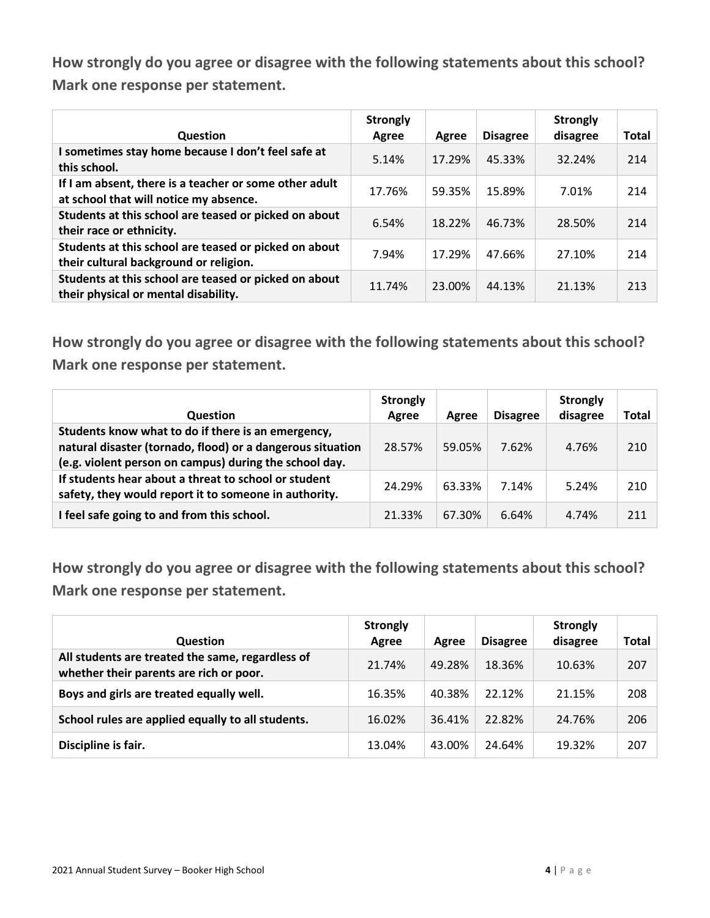| Question                                                                                         | <b>Strongly</b><br>Agree | Agree  | <b>Disagree</b> | <b>Strongly</b><br>disagree | <b>Total</b> |
|--------------------------------------------------------------------------------------------------|--------------------------|--------|-----------------|-----------------------------|--------------|
| I sometimes stay home because I don't feel safe at<br>this school.                               | 5.14%                    | 17.29% | 45.33%          | 32.24%                      | 214          |
| If I am absent, there is a teacher or some other adult<br>at school that will notice my absence. | 17.76%                   | 59.35% | 15.89%          | 7.01%                       | 214          |
| Students at this school are teased or picked on about<br>their race or ethnicity.                | 6.54%                    | 18.22% | 46.73%          | 28.50%                      | 214          |
| Students at this school are teased or picked on about<br>their cultural background or religion.  | 7.94%                    | 17.29% | 47.66%          | 27.10%                      | 214          |
| Students at this school are teased or picked on about<br>their physical or mental disability.    | 11.74%                   | 23.00% | 44.13%          | 21.13%                      | 213          |

**How strongly do you agree or disagree with the following statements about this school? Mark one response per statement.**

| <b>Question</b>                                                                                                                                                            | <b>Strongly</b><br>Agree | Agree  | <b>Disagree</b> | <b>Strongly</b><br>disagree | Total |
|----------------------------------------------------------------------------------------------------------------------------------------------------------------------------|--------------------------|--------|-----------------|-----------------------------|-------|
| Students know what to do if there is an emergency,<br>natural disaster (tornado, flood) or a dangerous situation<br>(e.g. violent person on campus) during the school day. | 28.57%                   | 59.05% | 7.62%           | 4.76%                       | 210   |
| If students hear about a threat to school or student<br>safety, they would report it to someone in authority.                                                              | 24.29%                   | 63.33% | 7.14%           | 5.24%                       | 210   |
| I feel safe going to and from this school.                                                                                                                                 | 21.33%                   | 67.30% | 6.64%           | 4.74%                       | 211   |

| <b>Question</b>                                                                             | <b>Strongly</b><br>Agree | Agree  | <b>Disagree</b> | <b>Strongly</b><br>disagree | <b>Total</b> |
|---------------------------------------------------------------------------------------------|--------------------------|--------|-----------------|-----------------------------|--------------|
| All students are treated the same, regardless of<br>whether their parents are rich or poor. | 21.74%                   | 49.28% | 18.36%          | 10.63%                      | 207          |
| Boys and girls are treated equally well.                                                    | 16.35%                   | 40.38% | 22.12%          | 21.15%                      | 208          |
| School rules are applied equally to all students.                                           | 16.02%                   | 36.41% | 22.82%          | 24.76%                      | 206          |
| Discipline is fair.                                                                         | 13.04%                   | 43.00% | 24.64%          | 19.32%                      | 207          |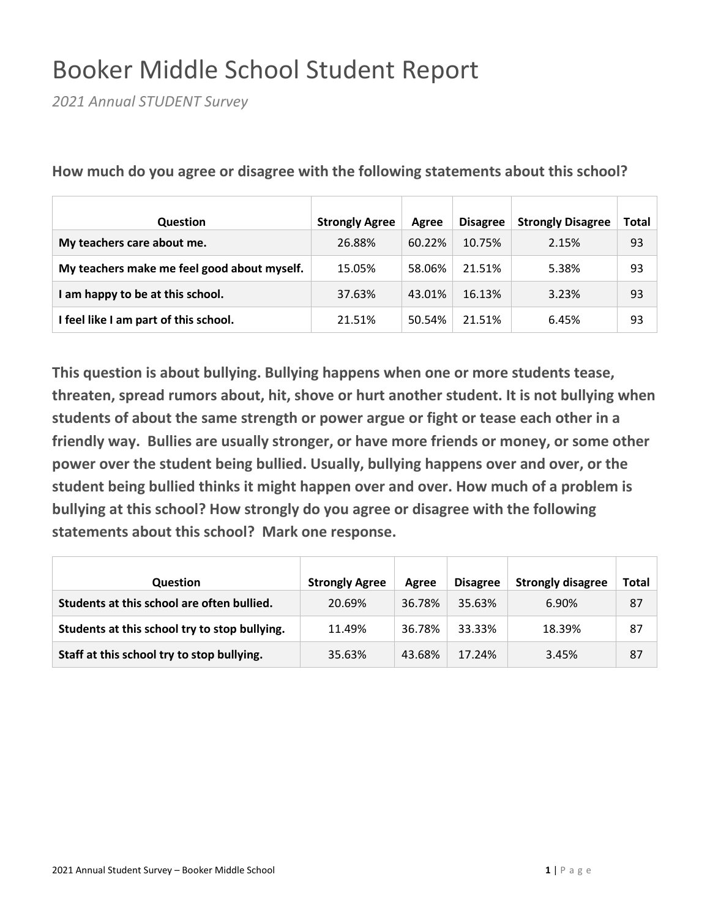# Booker Middle School Student Report

*2021 Annual STUDENT Survey*

| Question                                    | <b>Strongly Agree</b> | Agree  | <b>Disagree</b> | <b>Strongly Disagree</b> | Total |
|---------------------------------------------|-----------------------|--------|-----------------|--------------------------|-------|
| My teachers care about me.                  | 26.88%                | 60.22% | 10.75%          | 2.15%                    | 93    |
| My teachers make me feel good about myself. | 15.05%                | 58.06% | 21.51%          | 5.38%                    | 93    |
| I am happy to be at this school.            | 37.63%                | 43.01% | 16.13%          | 3.23%                    | 93    |
| I feel like I am part of this school.       | 21.51%                | 50.54% | 21.51%          | 6.45%                    | 93    |

**How much do you agree or disagree with the following statements about this school?**

| <b>Question</b>                               | <b>Strongly Agree</b> | Agree  | <b>Disagree</b> | <b>Strongly disagree</b> | Total |
|-----------------------------------------------|-----------------------|--------|-----------------|--------------------------|-------|
| Students at this school are often bullied.    | 20.69%                | 36.78% | 35.63%          | 6.90%                    | 87    |
| Students at this school try to stop bullying. | 11.49%                | 36.78% | 33.33%          | 18.39%                   | 87    |
| Staff at this school try to stop bullying.    | 35.63%                | 43.68% | 17.24%          | 3.45%                    | 87    |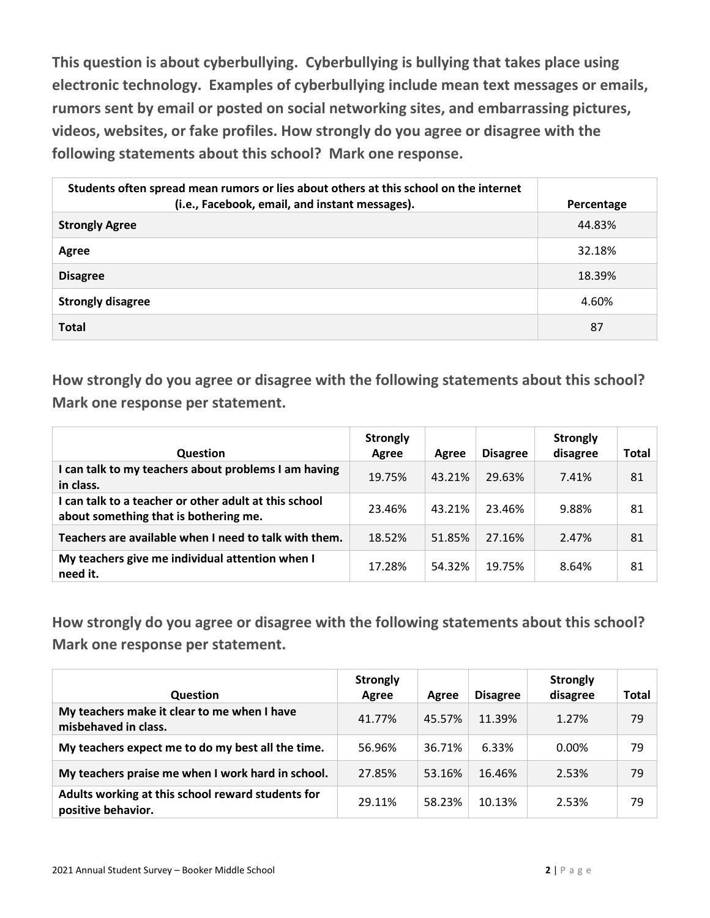**This question is about cyberbullying. Cyberbullying is bullying that takes place using electronic technology. Examples of cyberbullying include mean text messages or emails, rumors sent by email or posted on social networking sites, and embarrassing pictures, videos, websites, or fake profiles. How strongly do you agree or disagree with the following statements about this school? Mark one response.**

| Students often spread mean rumors or lies about others at this school on the internet<br>(i.e., Facebook, email, and instant messages). | Percentage |
|-----------------------------------------------------------------------------------------------------------------------------------------|------------|
| <b>Strongly Agree</b>                                                                                                                   | 44.83%     |
| Agree                                                                                                                                   | 32.18%     |
| <b>Disagree</b>                                                                                                                         | 18.39%     |
| <b>Strongly disagree</b>                                                                                                                | 4.60%      |
| <b>Total</b>                                                                                                                            | 87         |

**How strongly do you agree or disagree with the following statements about this school? Mark one response per statement.**

| <b>Question</b>                                                                                | <b>Strongly</b><br>Agree | Agree  | <b>Disagree</b> | <b>Strongly</b><br>disagree | <b>Total</b> |
|------------------------------------------------------------------------------------------------|--------------------------|--------|-----------------|-----------------------------|--------------|
| I can talk to my teachers about problems I am having<br>in class.                              | 19.75%                   | 43.21% | 29.63%          | 7.41%                       | 81           |
| I can talk to a teacher or other adult at this school<br>about something that is bothering me. | 23.46%                   | 43.21% | 23.46%          | 9.88%                       | 81           |
| Teachers are available when I need to talk with them.                                          | 18.52%                   | 51.85% | 27.16%          | 2.47%                       | 81           |
| My teachers give me individual attention when I<br>need it.                                    | 17.28%                   | 54.32% | 19.75%          | 8.64%                       | 81           |

| <b>Question</b>                                                         | <b>Strongly</b><br>Agree | Agree  | <b>Disagree</b> | <b>Strongly</b><br>disagree | Total |
|-------------------------------------------------------------------------|--------------------------|--------|-----------------|-----------------------------|-------|
| My teachers make it clear to me when I have<br>misbehaved in class.     | 41.77%                   | 45.57% | 11.39%          | 1.27%                       | 79    |
| My teachers expect me to do my best all the time.                       | 56.96%                   | 36.71% | 6.33%           | $0.00\%$                    | 79    |
| My teachers praise me when I work hard in school.                       | 27.85%                   | 53.16% | 16.46%          | 2.53%                       | 79    |
| Adults working at this school reward students for<br>positive behavior. | 29.11%                   | 58.23% | 10.13%          | 2.53%                       | 79    |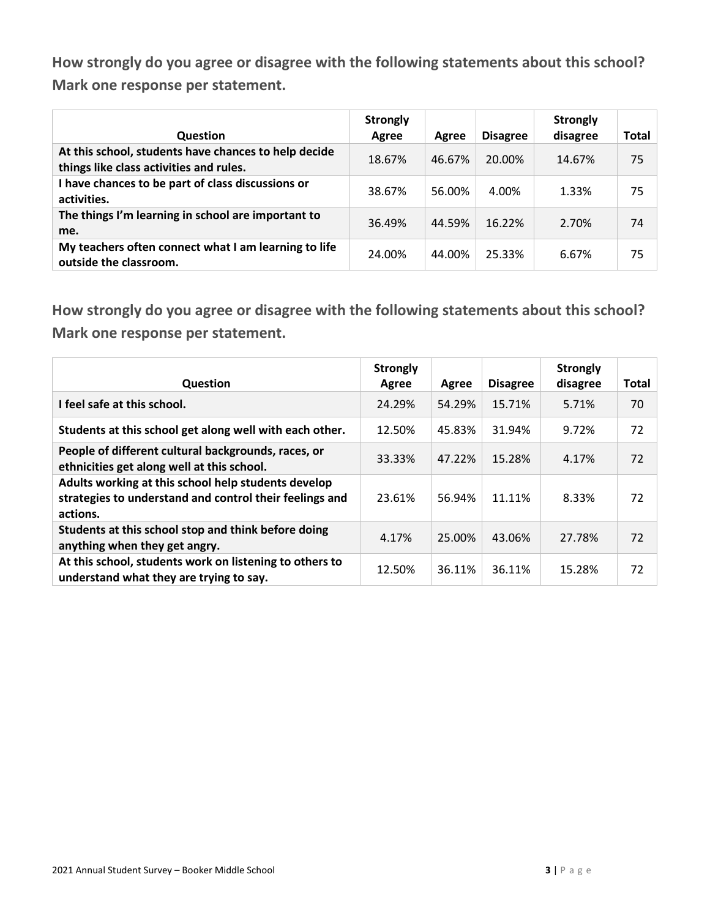| <b>Question</b>                                                                                 | <b>Strongly</b><br>Agree | Agree  | <b>Disagree</b> | <b>Strongly</b><br>disagree | Total |
|-------------------------------------------------------------------------------------------------|--------------------------|--------|-----------------|-----------------------------|-------|
| At this school, students have chances to help decide<br>things like class activities and rules. | 18.67%                   | 46.67% | 20.00%          | 14.67%                      | 75    |
| I have chances to be part of class discussions or<br>activities.                                | 38.67%                   | 56.00% | 4.00%           | 1.33%                       | 75    |
| The things I'm learning in school are important to<br>me.                                       | 36.49%                   | 44.59% | 16.22%          | 2.70%                       | 74    |
| My teachers often connect what I am learning to life<br>outside the classroom.                  | 24.00%                   | 44.00% | 25.33%          | 6.67%                       | 75    |

| Question                                                                                                                   | <b>Strongly</b><br>Agree | Agree  | <b>Disagree</b> | <b>Strongly</b><br>disagree | <b>Total</b> |
|----------------------------------------------------------------------------------------------------------------------------|--------------------------|--------|-----------------|-----------------------------|--------------|
| I feel safe at this school.                                                                                                | 24.29%                   | 54.29% | 15.71%          | 5.71%                       | 70           |
| Students at this school get along well with each other.                                                                    | 12.50%                   | 45.83% | 31.94%          | 9.72%                       | 72           |
| People of different cultural backgrounds, races, or<br>ethnicities get along well at this school.                          | 33.33%                   | 47.22% | 15.28%          | 4.17%                       | 72           |
| Adults working at this school help students develop<br>strategies to understand and control their feelings and<br>actions. | 23.61%                   | 56.94% | 11.11%          | 8.33%                       | 72           |
| Students at this school stop and think before doing<br>anything when they get angry.                                       | 4.17%                    | 25.00% | 43.06%          | 27.78%                      | 72           |
| At this school, students work on listening to others to<br>understand what they are trying to say.                         | 12.50%                   | 36.11% | 36.11%          | 15.28%                      | 72           |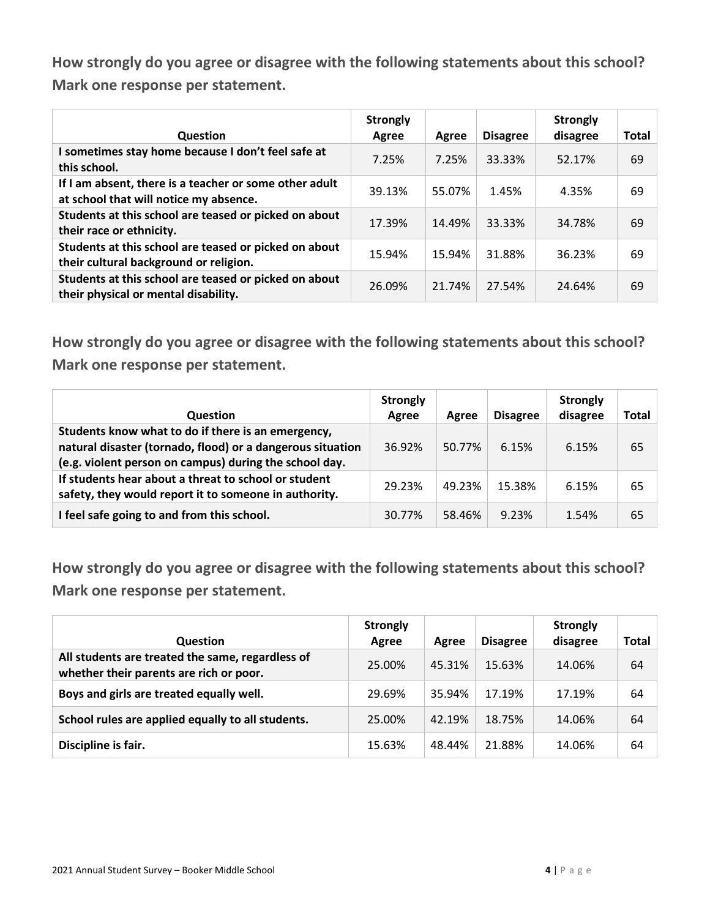| Question                                                                                         | <b>Strongly</b><br>Agree | Agree  | <b>Disagree</b> | <b>Strongly</b><br>disagree | <b>Total</b> |
|--------------------------------------------------------------------------------------------------|--------------------------|--------|-----------------|-----------------------------|--------------|
| I sometimes stay home because I don't feel safe at<br>this school.                               | 7.25%                    | 7.25%  | 33.33%          | 52.17%                      | 69           |
| If I am absent, there is a teacher or some other adult<br>at school that will notice my absence. | 39.13%                   | 55.07% | 1.45%           | 4.35%                       | 69           |
| Students at this school are teased or picked on about<br>their race or ethnicity.                | 17.39%                   | 14.49% | 33.33%          | 34.78%                      | 69           |
| Students at this school are teased or picked on about<br>their cultural background or religion.  | 15.94%                   | 15.94% | 31.88%          | 36.23%                      | 69           |
| Students at this school are teased or picked on about<br>their physical or mental disability.    | 26.09%                   | 21.74% | 27.54%          | 24.64%                      | 69           |

**How strongly do you agree or disagree with the following statements about this school? Mark one response per statement.**

| <b>Question</b>                                                                                                                                                            | <b>Strongly</b><br>Agree | Agree  | <b>Disagree</b> | <b>Strongly</b><br>disagree | Total |
|----------------------------------------------------------------------------------------------------------------------------------------------------------------------------|--------------------------|--------|-----------------|-----------------------------|-------|
| Students know what to do if there is an emergency,<br>natural disaster (tornado, flood) or a dangerous situation<br>(e.g. violent person on campus) during the school day. | 36.92%                   | 50.77% | 6.15%           | 6.15%                       | 65    |
| If students hear about a threat to school or student<br>safety, they would report it to someone in authority.                                                              | 29.23%                   | 49.23% | 15.38%          | 6.15%                       | 65    |
| I feel safe going to and from this school.                                                                                                                                 | 30.77%                   | 58.46% | 9.23%           | 1.54%                       | 65    |

| <b>Question</b>                                                                             | <b>Strongly</b><br>Agree | Agree  | <b>Disagree</b> | <b>Strongly</b><br>disagree | Total |
|---------------------------------------------------------------------------------------------|--------------------------|--------|-----------------|-----------------------------|-------|
| All students are treated the same, regardless of<br>whether their parents are rich or poor. | 25.00%                   | 45.31% | 15.63%          | 14.06%                      | 64    |
| Boys and girls are treated equally well.                                                    | 29.69%                   | 35.94% | 17.19%          | 17.19%                      | 64    |
| School rules are applied equally to all students.                                           | 25.00%                   | 42.19% | 18.75%          | 14.06%                      | 64    |
| Discipline is fair.                                                                         | 15.63%                   | 48.44% | 21.88%          | 14.06%                      | 64    |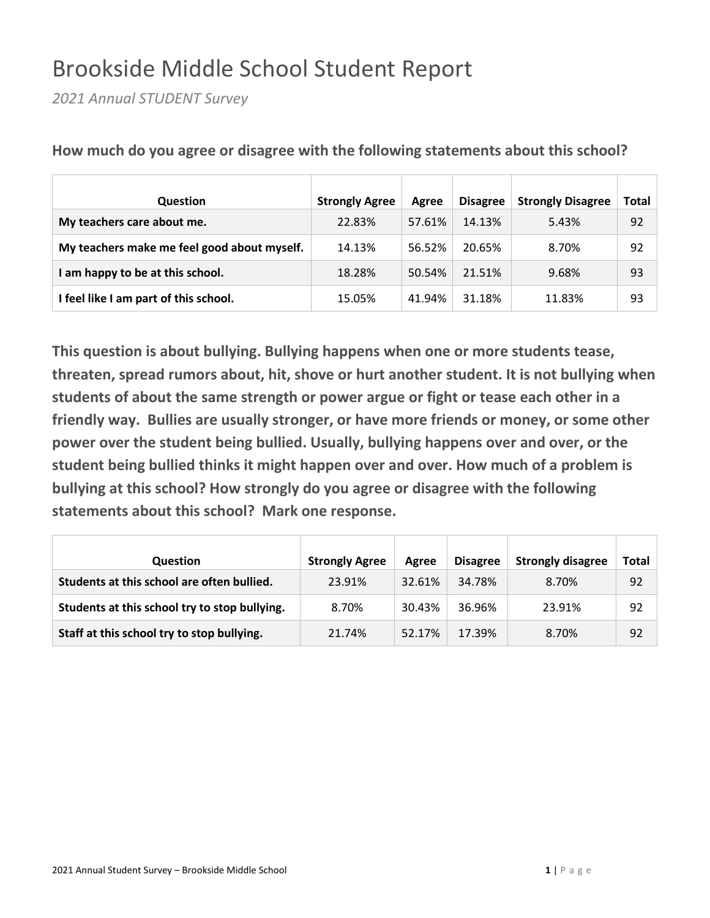## Brookside Middle School Student Report

*2021 Annual STUDENT Survey*

| <b>Question</b>                             | <b>Strongly Agree</b> | Agree  | <b>Disagree</b> | <b>Strongly Disagree</b> | <b>Total</b> |
|---------------------------------------------|-----------------------|--------|-----------------|--------------------------|--------------|
| My teachers care about me.                  | 22.83%                | 57.61% | 14.13%          | 5.43%                    | 92           |
| My teachers make me feel good about myself. | 14.13%                | 56.52% | 20.65%          | 8.70%                    | 92           |
| I am happy to be at this school.            | 18.28%                | 50.54% | 21.51%          | 9.68%                    | 93           |
| I feel like I am part of this school.       | 15.05%                | 41.94% | 31.18%          | 11.83%                   | 93           |

**How much do you agree or disagree with the following statements about this school?**

| <b>Question</b>                               | <b>Strongly Agree</b> | Agree  | <b>Disagree</b> | <b>Strongly disagree</b> | Total |
|-----------------------------------------------|-----------------------|--------|-----------------|--------------------------|-------|
| Students at this school are often bullied.    | 23.91%                | 32.61% | 34.78%          | 8.70%                    | 92    |
| Students at this school try to stop bullying. | 8.70%                 | 30.43% | 36.96%          | 23.91%                   | 92    |
| Staff at this school try to stop bullying.    | 21.74%                | 52.17% | 17.39%          | 8.70%                    | 92    |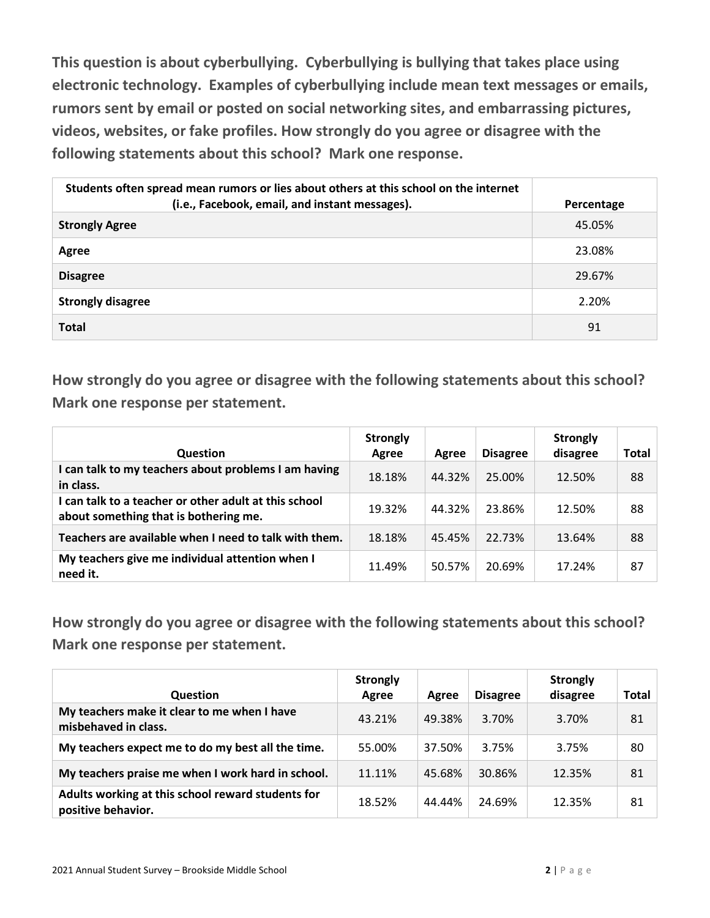**This question is about cyberbullying. Cyberbullying is bullying that takes place using electronic technology. Examples of cyberbullying include mean text messages or emails, rumors sent by email or posted on social networking sites, and embarrassing pictures, videos, websites, or fake profiles. How strongly do you agree or disagree with the following statements about this school? Mark one response.**

| Students often spread mean rumors or lies about others at this school on the internet<br>(i.e., Facebook, email, and instant messages). | Percentage |
|-----------------------------------------------------------------------------------------------------------------------------------------|------------|
| <b>Strongly Agree</b>                                                                                                                   | 45.05%     |
| Agree                                                                                                                                   | 23.08%     |
| <b>Disagree</b>                                                                                                                         | 29.67%     |
| <b>Strongly disagree</b>                                                                                                                | 2.20%      |
| <b>Total</b>                                                                                                                            | 91         |

**How strongly do you agree or disagree with the following statements about this school? Mark one response per statement.**

| <b>Question</b>                                                                                | <b>Strongly</b><br>Agree | Agree  | <b>Disagree</b> | <b>Strongly</b><br>disagree | Total |
|------------------------------------------------------------------------------------------------|--------------------------|--------|-----------------|-----------------------------|-------|
| I can talk to my teachers about problems I am having<br>in class.                              | 18.18%                   | 44.32% | 25.00%          | 12.50%                      | 88    |
| I can talk to a teacher or other adult at this school<br>about something that is bothering me. | 19.32%                   | 44.32% | 23.86%          | 12.50%                      | 88    |
| Teachers are available when I need to talk with them.                                          | 18.18%                   | 45.45% | 22.73%          | 13.64%                      | 88    |
| My teachers give me individual attention when I<br>need it.                                    | 11.49%                   | 50.57% | 20.69%          | 17.24%                      | 87    |

| <b>Question</b>                                                         | <b>Strongly</b><br>Agree | Agree  | <b>Disagree</b> | <b>Strongly</b><br>disagree | Total |
|-------------------------------------------------------------------------|--------------------------|--------|-----------------|-----------------------------|-------|
| My teachers make it clear to me when I have<br>misbehaved in class.     | 43.21%                   | 49.38% | 3.70%           | 3.70%                       | 81    |
| My teachers expect me to do my best all the time.                       | 55.00%                   | 37.50% | 3.75%           | 3.75%                       | 80    |
| My teachers praise me when I work hard in school.                       | 11.11%                   | 45.68% | 30.86%          | 12.35%                      | 81    |
| Adults working at this school reward students for<br>positive behavior. | 18.52%                   | 44.44% | 24.69%          | 12.35%                      | 81    |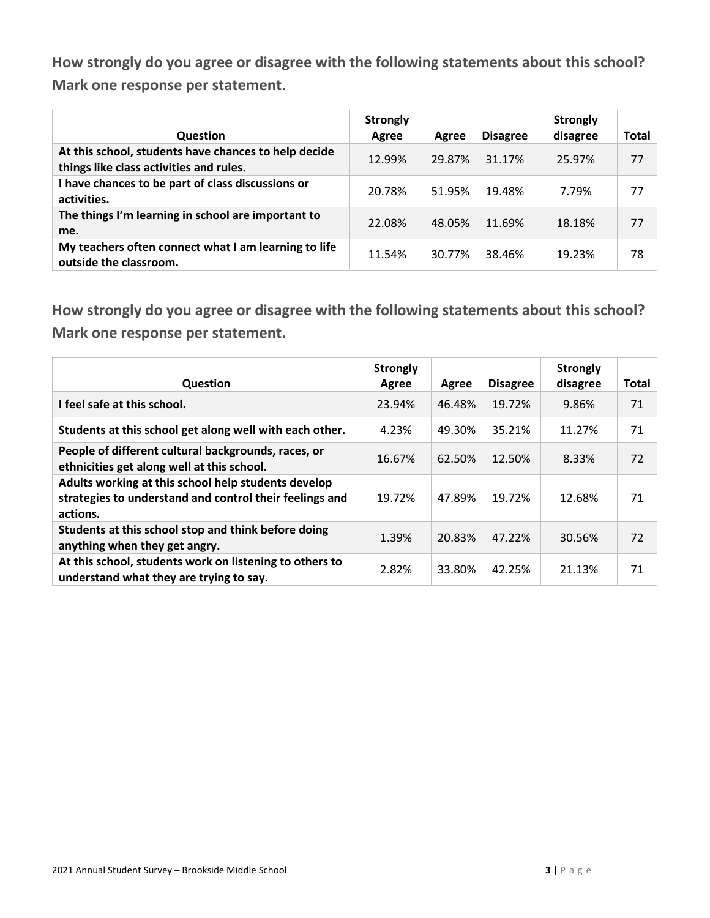| <b>Question</b>                                                                                 | <b>Strongly</b><br>Agree | Agree  | <b>Disagree</b> | <b>Strongly</b><br>disagree | Total |
|-------------------------------------------------------------------------------------------------|--------------------------|--------|-----------------|-----------------------------|-------|
| At this school, students have chances to help decide<br>things like class activities and rules. | 12.99%                   | 29.87% | 31.17%          | 25.97%                      | 77    |
| I have chances to be part of class discussions or<br>activities.                                | 20.78%                   | 51.95% | 19.48%          | 7.79%                       | 77    |
| The things I'm learning in school are important to<br>me.                                       | 22.08%                   | 48.05% | 11.69%          | 18.18%                      | 77    |
| My teachers often connect what I am learning to life<br>outside the classroom.                  | 11.54%                   | 30.77% | 38.46%          | 19.23%                      | 78    |

| <b>Question</b>                                                                                                            | <b>Strongly</b><br>Agree | Agree  | <b>Disagree</b> | <b>Strongly</b><br>disagree | <b>Total</b> |
|----------------------------------------------------------------------------------------------------------------------------|--------------------------|--------|-----------------|-----------------------------|--------------|
| I feel safe at this school.                                                                                                | 23.94%                   | 46.48% | 19.72%          | 9.86%                       | 71           |
| Students at this school get along well with each other.                                                                    | 4.23%                    | 49.30% | 35.21%          | 11.27%                      | 71           |
| People of different cultural backgrounds, races, or<br>ethnicities get along well at this school.                          | 16.67%                   | 62.50% | 12.50%          | 8.33%                       | 72           |
| Adults working at this school help students develop<br>strategies to understand and control their feelings and<br>actions. | 19.72%                   | 47.89% | 19.72%          | 12.68%                      | 71           |
| Students at this school stop and think before doing<br>anything when they get angry.                                       | 1.39%                    | 20.83% | 47.22%          | 30.56%                      | 72           |
| At this school, students work on listening to others to<br>understand what they are trying to say.                         | 2.82%                    | 33.80% | 42.25%          | 21.13%                      | 71           |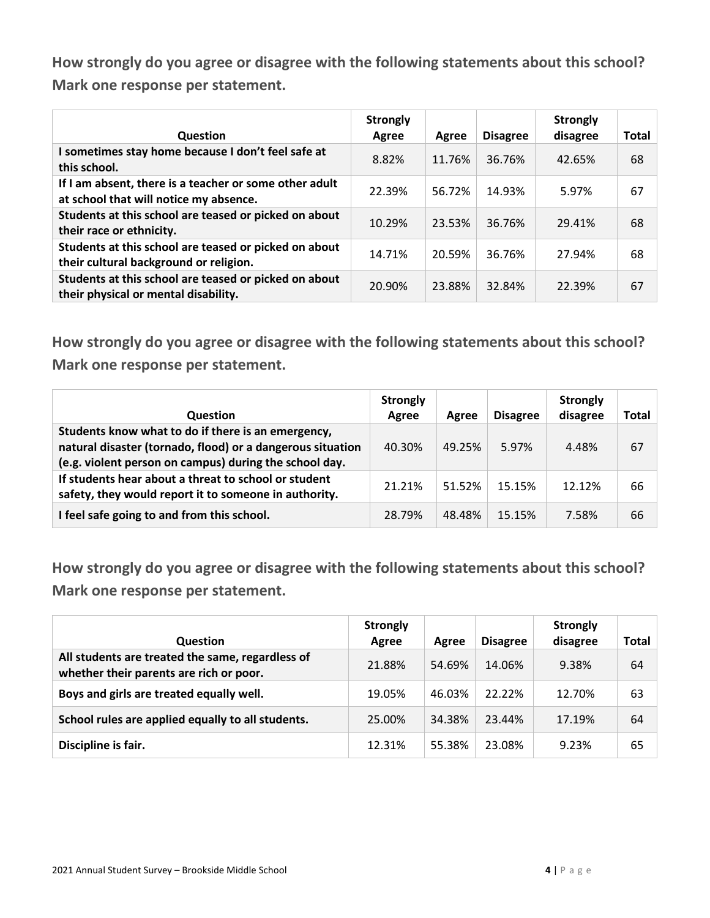| Question                                                                                         | <b>Strongly</b><br>Agree | Agree  | <b>Disagree</b> | <b>Strongly</b><br>disagree | <b>Total</b> |
|--------------------------------------------------------------------------------------------------|--------------------------|--------|-----------------|-----------------------------|--------------|
| I sometimes stay home because I don't feel safe at<br>this school.                               | 8.82%                    | 11.76% | 36.76%          | 42.65%                      | 68           |
| If I am absent, there is a teacher or some other adult<br>at school that will notice my absence. | 22.39%                   | 56.72% | 14.93%          | 5.97%                       | 67           |
| Students at this school are teased or picked on about<br>their race or ethnicity.                | 10.29%                   | 23.53% | 36.76%          | 29.41%                      | 68           |
| Students at this school are teased or picked on about<br>their cultural background or religion.  | 14.71%                   | 20.59% | 36.76%          | 27.94%                      | 68           |
| Students at this school are teased or picked on about<br>their physical or mental disability.    | 20.90%                   | 23.88% | 32.84%          | 22.39%                      | 67           |

**How strongly do you agree or disagree with the following statements about this school? Mark one response per statement.**

| <b>Question</b>                                                                                                                                                            | <b>Strongly</b><br>Agree | Agree  | <b>Disagree</b> | <b>Strongly</b><br>disagree | Total |
|----------------------------------------------------------------------------------------------------------------------------------------------------------------------------|--------------------------|--------|-----------------|-----------------------------|-------|
| Students know what to do if there is an emergency,<br>natural disaster (tornado, flood) or a dangerous situation<br>(e.g. violent person on campus) during the school day. | 40.30%                   | 49.25% | 5.97%           | 4.48%                       | 67    |
| If students hear about a threat to school or student<br>safety, they would report it to someone in authority.                                                              | 21.21%                   | 51.52% | 15.15%          | 12.12%                      | 66    |
| I feel safe going to and from this school.                                                                                                                                 | 28.79%                   | 48.48% | 15.15%          | 7.58%                       | 66    |

| <b>Question</b>                                                                             | <b>Strongly</b><br>Agree | Agree  | <b>Disagree</b> | <b>Strongly</b><br>disagree | Total |
|---------------------------------------------------------------------------------------------|--------------------------|--------|-----------------|-----------------------------|-------|
| All students are treated the same, regardless of<br>whether their parents are rich or poor. | 21.88%                   | 54.69% | 14.06%          | 9.38%                       | 64    |
| Boys and girls are treated equally well.                                                    | 19.05%                   | 46.03% | 22.22%          | 12.70%                      | 63    |
| School rules are applied equally to all students.                                           | 25.00%                   | 34.38% | 23.44%          | 17.19%                      | 64    |
| Discipline is fair.                                                                         | 12.31%                   | 55.38% | 23.08%          | 9.23%                       | 65    |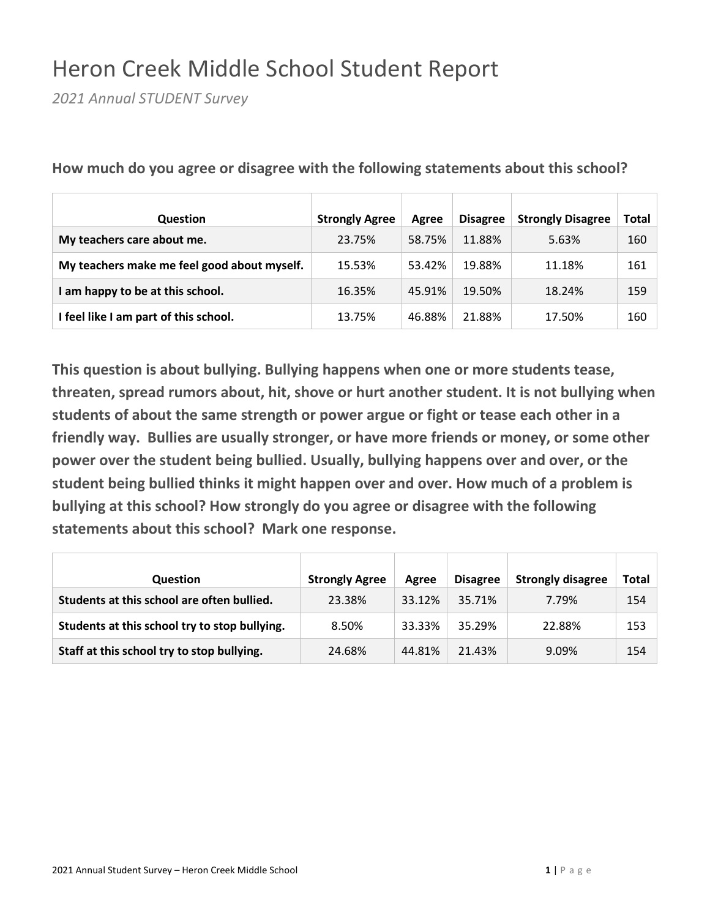## Heron Creek Middle School Student Report

*2021 Annual STUDENT Survey*

| Question                                    | <b>Strongly Agree</b> | Agree  | <b>Disagree</b> | <b>Strongly Disagree</b> | Total |
|---------------------------------------------|-----------------------|--------|-----------------|--------------------------|-------|
| My teachers care about me.                  | 23.75%                | 58.75% | 11.88%          | 5.63%                    | 160   |
| My teachers make me feel good about myself. | 15.53%                | 53.42% | 19.88%          | 11.18%                   | 161   |
| I am happy to be at this school.            | 16.35%                | 45.91% | 19.50%          | 18.24%                   | 159   |
| I feel like I am part of this school.       | 13.75%                | 46.88% | 21.88%          | 17.50%                   | 160   |

**How much do you agree or disagree with the following statements about this school?**

| <b>Question</b>                               | <b>Strongly Agree</b> | Agree  | <b>Disagree</b> | <b>Strongly disagree</b> | Total |
|-----------------------------------------------|-----------------------|--------|-----------------|--------------------------|-------|
| Students at this school are often bullied.    | 23.38%                | 33.12% | 35.71%          | 7.79%                    | 154   |
| Students at this school try to stop bullying. | 8.50%                 | 33.33% | 35.29%          | 22.88%                   | 153   |
| Staff at this school try to stop bullying.    | 24.68%                | 44.81% | 21.43%          | 9.09%                    | 154   |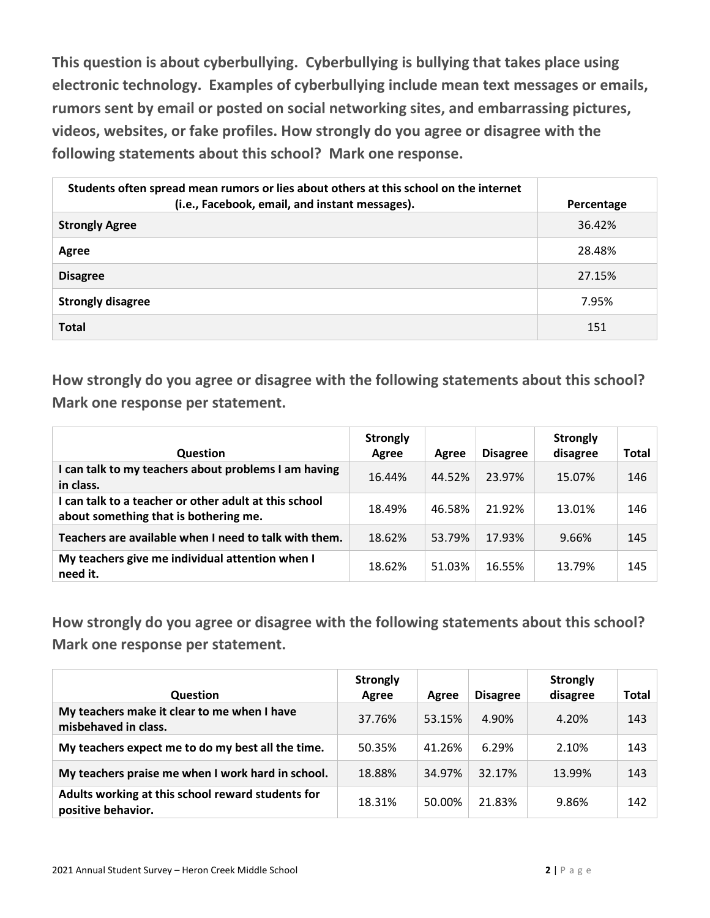**This question is about cyberbullying. Cyberbullying is bullying that takes place using electronic technology. Examples of cyberbullying include mean text messages or emails, rumors sent by email or posted on social networking sites, and embarrassing pictures, videos, websites, or fake profiles. How strongly do you agree or disagree with the following statements about this school? Mark one response.**

| Students often spread mean rumors or lies about others at this school on the internet<br>(i.e., Facebook, email, and instant messages). | Percentage |
|-----------------------------------------------------------------------------------------------------------------------------------------|------------|
| <b>Strongly Agree</b>                                                                                                                   | 36.42%     |
| Agree                                                                                                                                   | 28.48%     |
| <b>Disagree</b>                                                                                                                         | 27.15%     |
| <b>Strongly disagree</b>                                                                                                                | 7.95%      |
| <b>Total</b>                                                                                                                            | 151        |

**How strongly do you agree or disagree with the following statements about this school? Mark one response per statement.**

| <b>Question</b>                                                                                | <b>Strongly</b><br>Agree | Agree  | <b>Disagree</b> | <b>Strongly</b><br>disagree | <b>Total</b> |
|------------------------------------------------------------------------------------------------|--------------------------|--------|-----------------|-----------------------------|--------------|
| I can talk to my teachers about problems I am having<br>in class.                              | 16.44%                   | 44.52% | 23.97%          | 15.07%                      | 146          |
| I can talk to a teacher or other adult at this school<br>about something that is bothering me. | 18.49%                   | 46.58% | 21.92%          | 13.01%                      | 146          |
| Teachers are available when I need to talk with them.                                          | 18.62%                   | 53.79% | 17.93%          | 9.66%                       | 145          |
| My teachers give me individual attention when I<br>need it.                                    | 18.62%                   | 51.03% | 16.55%          | 13.79%                      | 145          |

| <b>Question</b>                                                         | <b>Strongly</b><br>Agree | Agree  | <b>Disagree</b> | <b>Strongly</b><br>disagree | <b>Total</b> |
|-------------------------------------------------------------------------|--------------------------|--------|-----------------|-----------------------------|--------------|
| My teachers make it clear to me when I have<br>misbehaved in class.     | 37.76%                   | 53.15% | 4.90%           | 4.20%                       | 143          |
| My teachers expect me to do my best all the time.                       | 50.35%                   | 41.26% | 6.29%           | 2.10%                       | 143          |
| My teachers praise me when I work hard in school.                       | 18.88%                   | 34.97% | 32.17%          | 13.99%                      | 143          |
| Adults working at this school reward students for<br>positive behavior. | 18.31%                   | 50.00% | 21.83%          | 9.86%                       | 142          |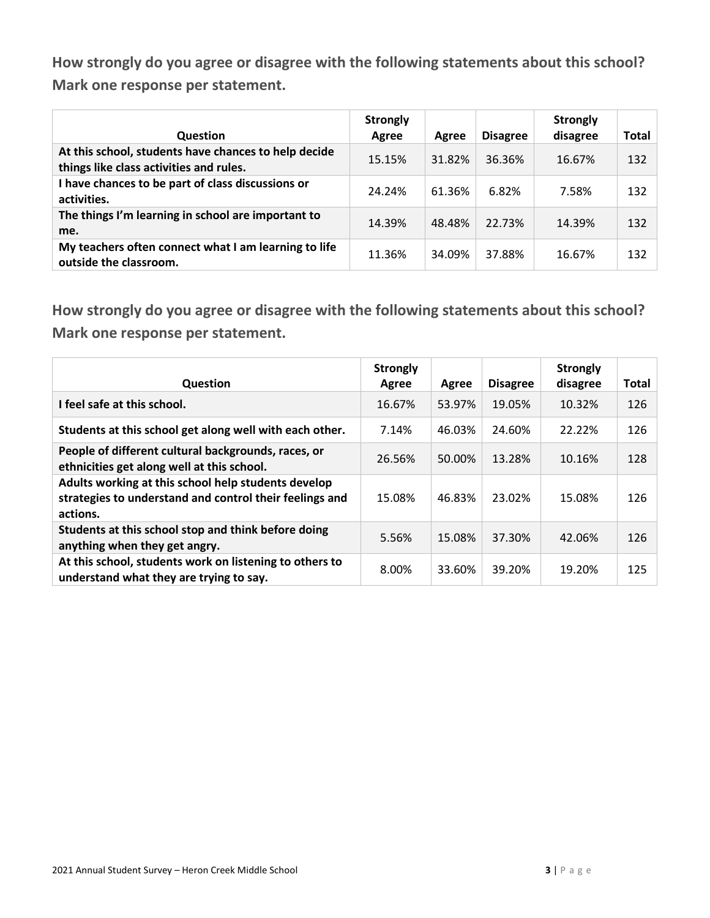| <b>Question</b>                                                                                 | <b>Strongly</b><br>Agree | Agree  | <b>Disagree</b> | <b>Strongly</b><br>disagree | Total |
|-------------------------------------------------------------------------------------------------|--------------------------|--------|-----------------|-----------------------------|-------|
| At this school, students have chances to help decide<br>things like class activities and rules. | 15.15%                   | 31.82% | 36.36%          | 16.67%                      | 132   |
| I have chances to be part of class discussions or<br>activities.                                | 24.24%                   | 61.36% | 6.82%           | 7.58%                       | 132   |
| The things I'm learning in school are important to<br>me.                                       | 14.39%                   | 48.48% | 22.73%          | 14.39%                      | 132   |
| My teachers often connect what I am learning to life<br>outside the classroom.                  | 11.36%                   | 34.09% | 37.88%          | 16.67%                      | 132   |

| <b>Question</b>                                                                                                            | <b>Strongly</b><br>Agree | Agree  | <b>Disagree</b> | <b>Strongly</b><br>disagree | <b>Total</b> |
|----------------------------------------------------------------------------------------------------------------------------|--------------------------|--------|-----------------|-----------------------------|--------------|
| I feel safe at this school.                                                                                                | 16.67%                   | 53.97% | 19.05%          | 10.32%                      | 126          |
| Students at this school get along well with each other.                                                                    | 7.14%                    | 46.03% | 24.60%          | 22.22%                      | 126          |
| People of different cultural backgrounds, races, or<br>ethnicities get along well at this school.                          | 26.56%                   | 50.00% | 13.28%          | 10.16%                      | 128          |
| Adults working at this school help students develop<br>strategies to understand and control their feelings and<br>actions. | 15.08%                   | 46.83% | 23.02%          | 15.08%                      | 126          |
| Students at this school stop and think before doing<br>anything when they get angry.                                       | 5.56%                    | 15.08% | 37.30%          | 42.06%                      | 126          |
| At this school, students work on listening to others to<br>understand what they are trying to say.                         | 8.00%                    | 33.60% | 39.20%          | 19.20%                      | 125          |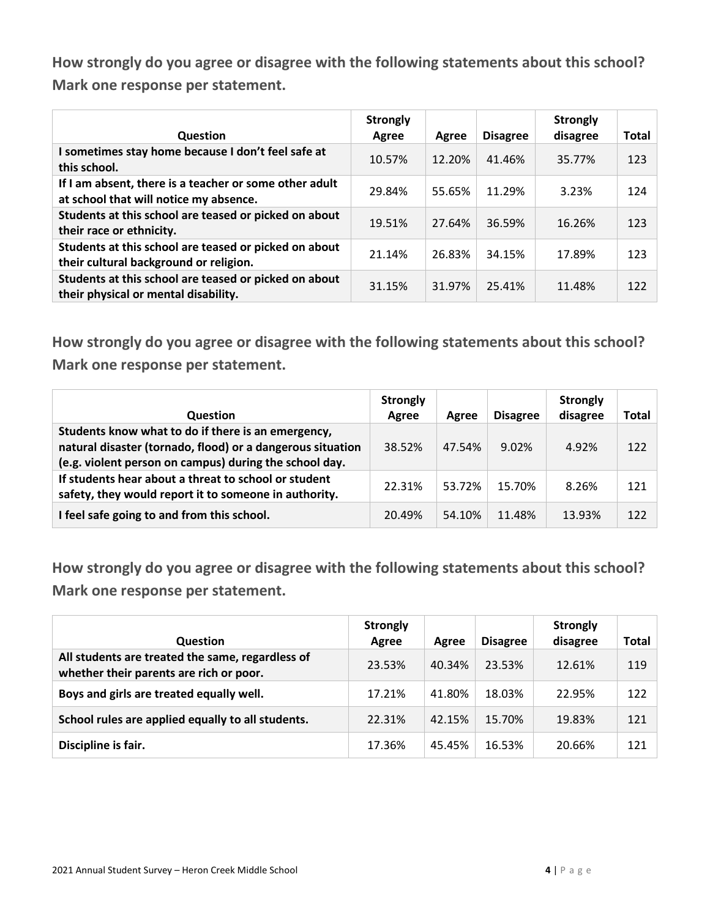| Question                                                                                         | <b>Strongly</b><br>Agree | Agree  | <b>Disagree</b> | <b>Strongly</b><br>disagree | <b>Total</b> |
|--------------------------------------------------------------------------------------------------|--------------------------|--------|-----------------|-----------------------------|--------------|
| I sometimes stay home because I don't feel safe at<br>this school.                               | 10.57%                   | 12.20% | 41.46%          | 35.77%                      | 123          |
| If I am absent, there is a teacher or some other adult<br>at school that will notice my absence. | 29.84%                   | 55.65% | 11.29%          | 3.23%                       | 124          |
| Students at this school are teased or picked on about<br>their race or ethnicity.                | 19.51%                   | 27.64% | 36.59%          | 16.26%                      | 123          |
| Students at this school are teased or picked on about<br>their cultural background or religion.  | 21.14%                   | 26.83% | 34.15%          | 17.89%                      | 123          |
| Students at this school are teased or picked on about<br>their physical or mental disability.    | 31.15%                   | 31.97% | 25.41%          | 11.48%                      | 122          |

**How strongly do you agree or disagree with the following statements about this school? Mark one response per statement.**

| <b>Question</b>                                                                                                                                                            | <b>Strongly</b><br>Agree | Agree  | <b>Disagree</b> | <b>Strongly</b><br>disagree | Total |
|----------------------------------------------------------------------------------------------------------------------------------------------------------------------------|--------------------------|--------|-----------------|-----------------------------|-------|
| Students know what to do if there is an emergency,<br>natural disaster (tornado, flood) or a dangerous situation<br>(e.g. violent person on campus) during the school day. | 38.52%                   | 47.54% | 9.02%           | 4.92%                       | 122   |
| If students hear about a threat to school or student<br>safety, they would report it to someone in authority.                                                              | 22.31%                   | 53.72% | 15.70%          | 8.26%                       | 121   |
| I feel safe going to and from this school.                                                                                                                                 | 20.49%                   | 54.10% | 11.48%          | 13.93%                      | 122   |

| <b>Question</b>                                                                             | <b>Strongly</b><br>Agree | Agree  | <b>Disagree</b> | <b>Strongly</b><br>disagree | <b>Total</b> |
|---------------------------------------------------------------------------------------------|--------------------------|--------|-----------------|-----------------------------|--------------|
| All students are treated the same, regardless of<br>whether their parents are rich or poor. | 23.53%                   | 40.34% | 23.53%          | 12.61%                      | 119          |
| Boys and girls are treated equally well.                                                    | 17.21%                   | 41.80% | 18.03%          | 22.95%                      | 122          |
| School rules are applied equally to all students.                                           | 22.31%                   | 42.15% | 15.70%          | 19.83%                      | 121          |
| Discipline is fair.                                                                         | 17.36%                   | 45.45% | 16.53%          | 20.66%                      | 121          |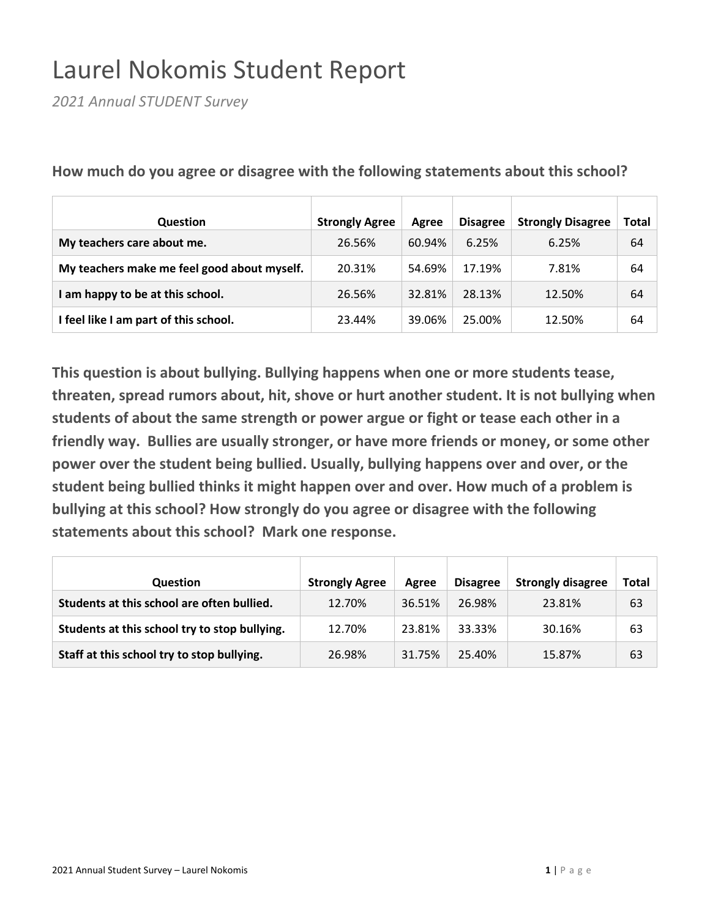## Laurel Nokomis Student Report

*2021 Annual STUDENT Survey*

| Question                                    | <b>Strongly Agree</b> | Agree  | <b>Disagree</b> | <b>Strongly Disagree</b> | <b>Total</b> |
|---------------------------------------------|-----------------------|--------|-----------------|--------------------------|--------------|
| My teachers care about me.                  | 26.56%                | 60.94% | 6.25%           | 6.25%                    | 64           |
| My teachers make me feel good about myself. | 20.31%                | 54.69% | 17.19%          | 7.81%                    | 64           |
| I am happy to be at this school.            | 26.56%                | 32.81% | 28.13%          | 12.50%                   | 64           |
| I feel like I am part of this school.       | 23.44%                | 39.06% | 25.00%          | 12.50%                   | 64           |

**How much do you agree or disagree with the following statements about this school?**

| <b>Question</b>                               | <b>Strongly Agree</b> | Agree  | <b>Disagree</b> | <b>Strongly disagree</b> | Total |
|-----------------------------------------------|-----------------------|--------|-----------------|--------------------------|-------|
| Students at this school are often bullied.    | 12.70%                | 36.51% | 26.98%          | 23.81%                   | 63    |
| Students at this school try to stop bullying. | 12.70%                | 23.81% | 33.33%          | 30.16%                   | 63    |
| Staff at this school try to stop bullying.    | 26.98%                | 31.75% | 25.40%          | 15.87%                   | 63    |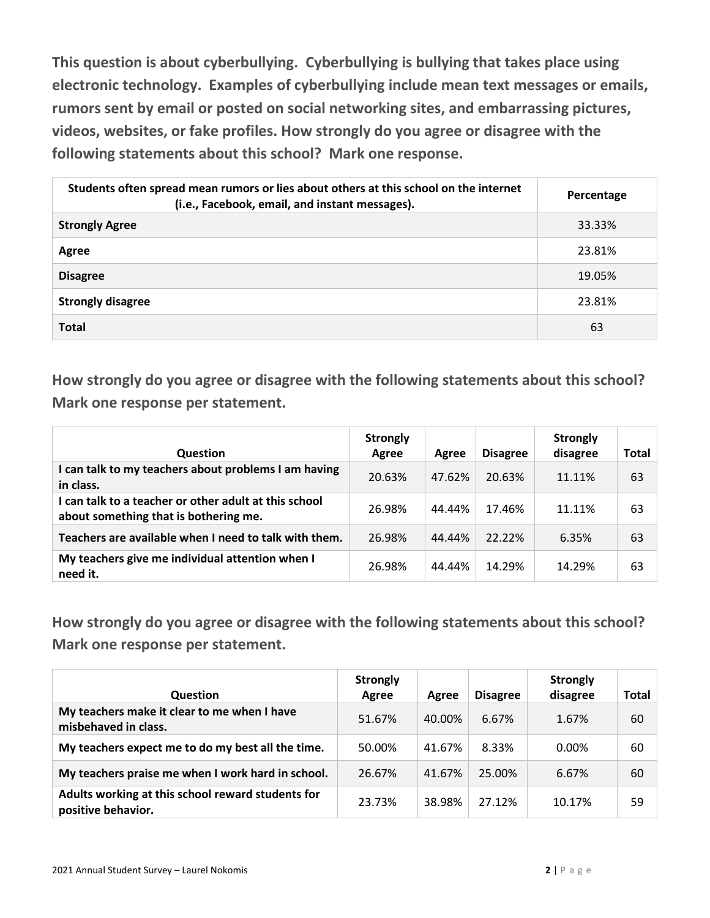**This question is about cyberbullying. Cyberbullying is bullying that takes place using electronic technology. Examples of cyberbullying include mean text messages or emails, rumors sent by email or posted on social networking sites, and embarrassing pictures, videos, websites, or fake profiles. How strongly do you agree or disagree with the following statements about this school? Mark one response.**

| Students often spread mean rumors or lies about others at this school on the internet<br>(i.e., Facebook, email, and instant messages). | Percentage |
|-----------------------------------------------------------------------------------------------------------------------------------------|------------|
| <b>Strongly Agree</b>                                                                                                                   | 33.33%     |
| Agree                                                                                                                                   | 23.81%     |
| <b>Disagree</b>                                                                                                                         | 19.05%     |
| <b>Strongly disagree</b>                                                                                                                | 23.81%     |
| <b>Total</b>                                                                                                                            | 63         |

**How strongly do you agree or disagree with the following statements about this school? Mark one response per statement.**

| <b>Question</b>                                                                                | <b>Strongly</b><br>Agree | Agree  | <b>Disagree</b> | <b>Strongly</b><br>disagree | Total |
|------------------------------------------------------------------------------------------------|--------------------------|--------|-----------------|-----------------------------|-------|
| I can talk to my teachers about problems I am having<br>in class.                              | 20.63%                   | 47.62% | 20.63%          | 11.11%                      | 63    |
| I can talk to a teacher or other adult at this school<br>about something that is bothering me. | 26.98%                   | 44.44% | 17.46%          | 11.11%                      | 63    |
| Teachers are available when I need to talk with them.                                          | 26.98%                   | 44.44% | 22.22%          | 6.35%                       | 63    |
| My teachers give me individual attention when I<br>need it.                                    | 26.98%                   | 44.44% | 14.29%          | 14.29%                      | 63    |

| <b>Question</b>                                                         | <b>Strongly</b><br>Agree | Agree  | <b>Disagree</b> | <b>Strongly</b><br>disagree | Total |
|-------------------------------------------------------------------------|--------------------------|--------|-----------------|-----------------------------|-------|
| My teachers make it clear to me when I have<br>misbehaved in class.     | 51.67%                   | 40.00% | 6.67%           | 1.67%                       | 60    |
| My teachers expect me to do my best all the time.                       | 50.00%                   | 41.67% | 8.33%           | $0.00\%$                    | 60    |
| My teachers praise me when I work hard in school.                       | 26.67%                   | 41.67% | 25.00%          | 6.67%                       | 60    |
| Adults working at this school reward students for<br>positive behavior. | 23.73%                   | 38.98% | 27.12%          | 10.17%                      | 59    |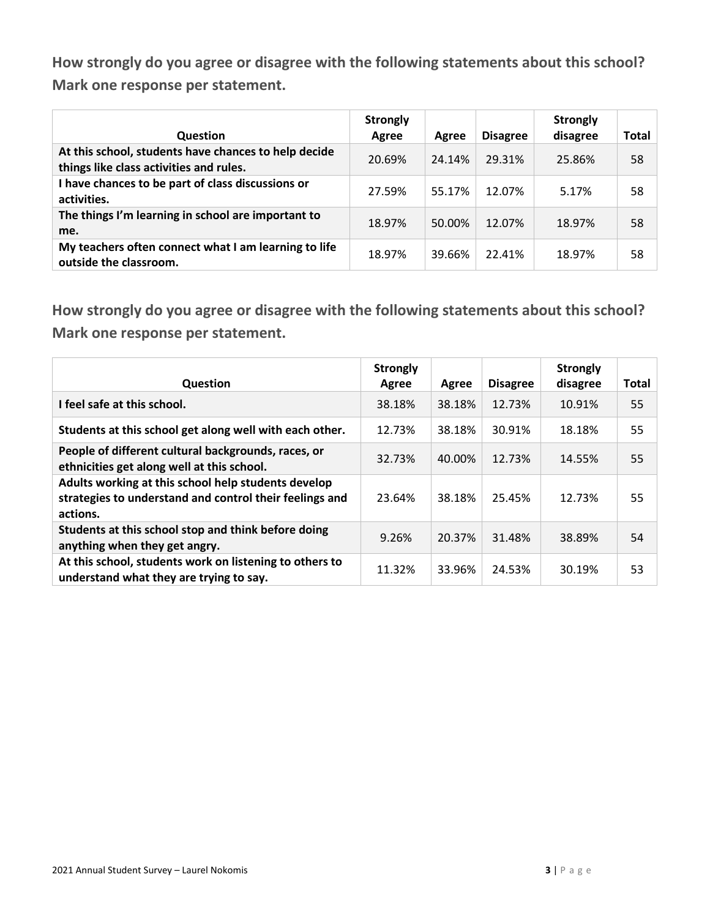| <b>Question</b>                                                                                 | <b>Strongly</b><br>Agree | Agree  | <b>Disagree</b> | <b>Strongly</b><br>disagree | Total |
|-------------------------------------------------------------------------------------------------|--------------------------|--------|-----------------|-----------------------------|-------|
| At this school, students have chances to help decide<br>things like class activities and rules. | 20.69%                   | 24.14% | 29.31%          | 25.86%                      | 58    |
| I have chances to be part of class discussions or<br>activities.                                | 27.59%                   | 55.17% | 12.07%          | 5.17%                       | 58    |
| The things I'm learning in school are important to<br>me.                                       | 18.97%                   | 50.00% | 12.07%          | 18.97%                      | 58    |
| My teachers often connect what I am learning to life<br>outside the classroom.                  | 18.97%                   | 39.66% | 22.41%          | 18.97%                      | 58    |

| <b>Question</b>                                                                                                            | <b>Strongly</b><br>Agree | Agree  | <b>Disagree</b> | <b>Strongly</b><br>disagree | <b>Total</b> |
|----------------------------------------------------------------------------------------------------------------------------|--------------------------|--------|-----------------|-----------------------------|--------------|
| I feel safe at this school.                                                                                                | 38.18%                   | 38.18% | 12.73%          | 10.91%                      | 55           |
| Students at this school get along well with each other.                                                                    | 12.73%                   | 38.18% | 30.91%          | 18.18%                      | 55           |
| People of different cultural backgrounds, races, or<br>ethnicities get along well at this school.                          | 32.73%                   | 40.00% | 12.73%          | 14.55%                      | 55           |
| Adults working at this school help students develop<br>strategies to understand and control their feelings and<br>actions. | 23.64%                   | 38.18% | 25.45%          | 12.73%                      | 55           |
| Students at this school stop and think before doing<br>anything when they get angry.                                       | 9.26%                    | 20.37% | 31.48%          | 38.89%                      | 54           |
| At this school, students work on listening to others to<br>understand what they are trying to say.                         | 11.32%                   | 33.96% | 24.53%          | 30.19%                      | 53           |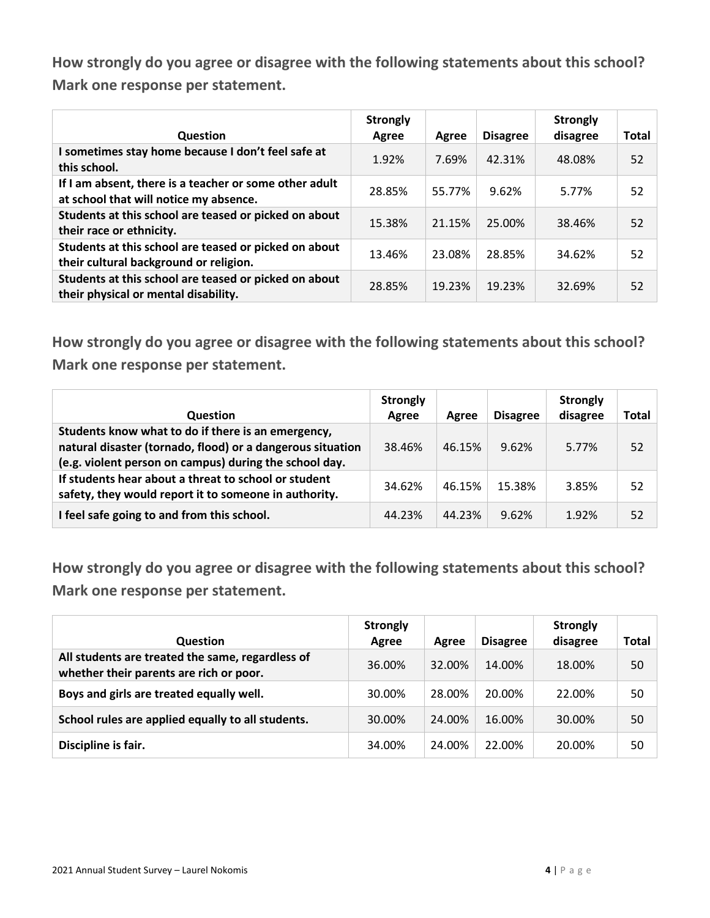| Question                                                                                         | <b>Strongly</b><br>Agree | Agree  | <b>Disagree</b> | <b>Strongly</b><br>disagree | Total |
|--------------------------------------------------------------------------------------------------|--------------------------|--------|-----------------|-----------------------------|-------|
| I sometimes stay home because I don't feel safe at<br>this school.                               | 1.92%                    | 7.69%  | 42.31%          | 48.08%                      | 52    |
| If I am absent, there is a teacher or some other adult<br>at school that will notice my absence. | 28.85%                   | 55.77% | 9.62%           | 5.77%                       | 52    |
| Students at this school are teased or picked on about<br>their race or ethnicity.                | 15.38%                   | 21.15% | 25.00%          | 38.46%                      | 52    |
| Students at this school are teased or picked on about<br>their cultural background or religion.  | 13.46%                   | 23.08% | 28.85%          | 34.62%                      | 52    |
| Students at this school are teased or picked on about<br>their physical or mental disability.    | 28.85%                   | 19.23% | 19.23%          | 32.69%                      | 52    |

**How strongly do you agree or disagree with the following statements about this school? Mark one response per statement.**

| <b>Question</b>                                                                                                                                                            | <b>Strongly</b><br>Agree | Agree  | <b>Disagree</b> | <b>Strongly</b><br>disagree | <b>Total</b> |
|----------------------------------------------------------------------------------------------------------------------------------------------------------------------------|--------------------------|--------|-----------------|-----------------------------|--------------|
| Students know what to do if there is an emergency,<br>natural disaster (tornado, flood) or a dangerous situation<br>(e.g. violent person on campus) during the school day. | 38.46%                   | 46.15% | 9.62%           | 5.77%                       | 52           |
| If students hear about a threat to school or student<br>safety, they would report it to someone in authority.                                                              | 34.62%                   | 46.15% | 15.38%          | 3.85%                       | 52           |
| I feel safe going to and from this school.                                                                                                                                 | 44.23%                   | 44.23% | 9.62%           | 1.92%                       | 52           |

| <b>Question</b>                                                                             | <b>Strongly</b><br>Agree | Agree  | <b>Disagree</b> | <b>Strongly</b><br>disagree | <b>Total</b> |
|---------------------------------------------------------------------------------------------|--------------------------|--------|-----------------|-----------------------------|--------------|
| All students are treated the same, regardless of<br>whether their parents are rich or poor. | 36.00%                   | 32.00% | 14.00%          | 18.00%                      | 50           |
| Boys and girls are treated equally well.                                                    | 30.00%                   | 28.00% | 20.00%          | 22.00%                      | 50           |
| School rules are applied equally to all students.                                           | 30.00%                   | 24.00% | 16.00%          | 30.00%                      | 50           |
| Discipline is fair.                                                                         | 34.00%                   | 24.00% | 22.00%          | 20.00%                      | 50           |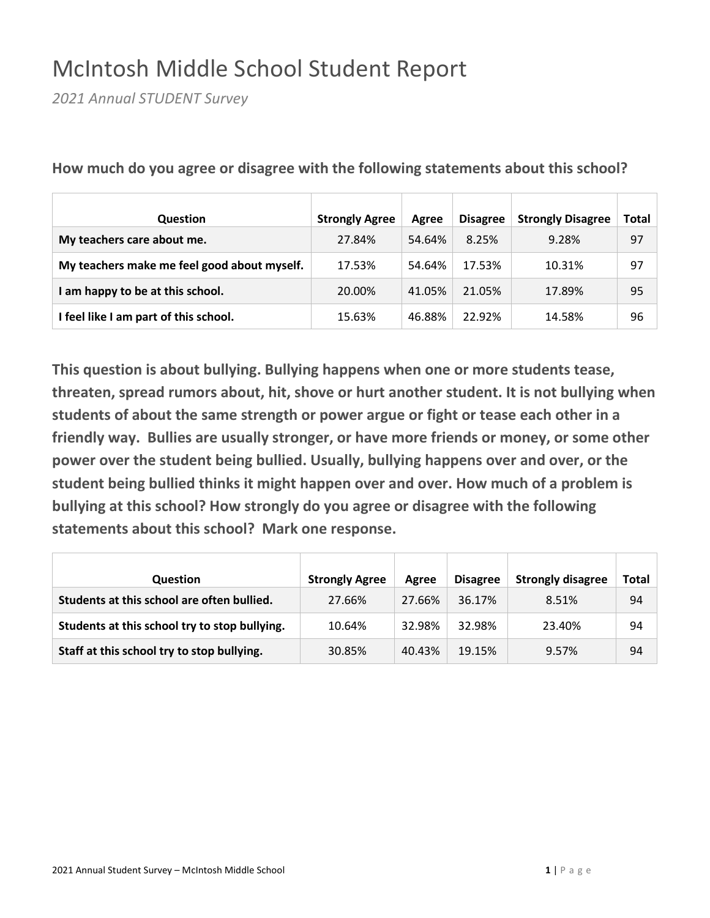## McIntosh Middle School Student Report

*2021 Annual STUDENT Survey*

| Question                                    | <b>Strongly Agree</b> | Agree  | <b>Disagree</b> | <b>Strongly Disagree</b> | Total |
|---------------------------------------------|-----------------------|--------|-----------------|--------------------------|-------|
| My teachers care about me.                  | 27.84%                | 54.64% | 8.25%           | 9.28%                    | 97    |
| My teachers make me feel good about myself. | 17.53%                | 54.64% | 17.53%          | 10.31%                   | 97    |
| am happy to be at this school.              | 20.00%                | 41.05% | 21.05%          | 17.89%                   | 95    |
| I feel like I am part of this school.       | 15.63%                | 46.88% | 22.92%          | 14.58%                   | 96    |

**How much do you agree or disagree with the following statements about this school?**

| <b>Question</b>                               | <b>Strongly Agree</b> | Agree  | <b>Disagree</b> | <b>Strongly disagree</b> | Total |
|-----------------------------------------------|-----------------------|--------|-----------------|--------------------------|-------|
|                                               |                       |        |                 |                          |       |
| Students at this school are often bullied.    | 27.66%                | 27.66% | 36.17%          | 8.51%                    | 94    |
| Students at this school try to stop bullying. | 10.64%                | 32.98% | 32.98%          | 23.40%                   | 94    |
| Staff at this school try to stop bullying.    | 30.85%                | 40.43% | 19.15%          | 9.57%                    | 94    |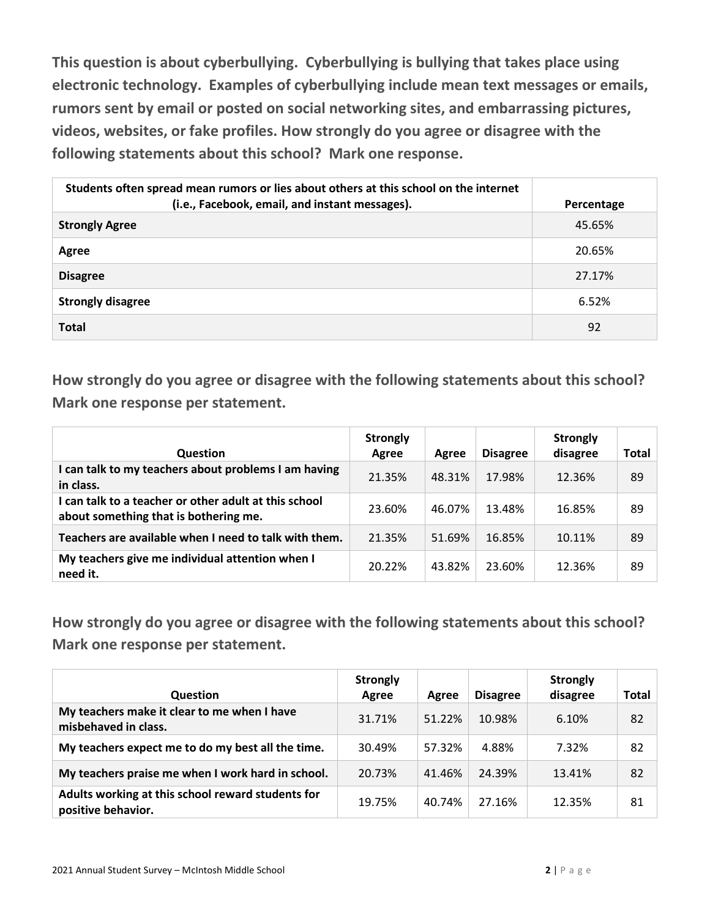**This question is about cyberbullying. Cyberbullying is bullying that takes place using electronic technology. Examples of cyberbullying include mean text messages or emails, rumors sent by email or posted on social networking sites, and embarrassing pictures, videos, websites, or fake profiles. How strongly do you agree or disagree with the following statements about this school? Mark one response.**

| Students often spread mean rumors or lies about others at this school on the internet<br>(i.e., Facebook, email, and instant messages). | Percentage |
|-----------------------------------------------------------------------------------------------------------------------------------------|------------|
| <b>Strongly Agree</b>                                                                                                                   | 45.65%     |
| Agree                                                                                                                                   | 20.65%     |
| <b>Disagree</b>                                                                                                                         | 27.17%     |
| <b>Strongly disagree</b>                                                                                                                | 6.52%      |
| <b>Total</b>                                                                                                                            | 92         |

**How strongly do you agree or disagree with the following statements about this school? Mark one response per statement.**

| <b>Question</b>                                                                                | <b>Strongly</b><br>Agree | Agree  | <b>Disagree</b> | <b>Strongly</b><br>disagree | Total |
|------------------------------------------------------------------------------------------------|--------------------------|--------|-----------------|-----------------------------|-------|
| I can talk to my teachers about problems I am having<br>in class.                              | 21.35%                   | 48.31% | 17.98%          | 12.36%                      | 89    |
| I can talk to a teacher or other adult at this school<br>about something that is bothering me. | 23.60%                   | 46.07% | 13.48%          | 16.85%                      | 89    |
| Teachers are available when I need to talk with them.                                          | 21.35%                   | 51.69% | 16.85%          | 10.11%                      | 89    |
| My teachers give me individual attention when I<br>need it.                                    | 20.22%                   | 43.82% | 23.60%          | 12.36%                      | 89    |

| <b>Question</b>                                                         | <b>Strongly</b><br>Agree | Agree  | <b>Disagree</b> | <b>Strongly</b><br>disagree | Total |
|-------------------------------------------------------------------------|--------------------------|--------|-----------------|-----------------------------|-------|
| My teachers make it clear to me when I have<br>misbehaved in class.     | 31.71%                   | 51.22% | 10.98%          | 6.10%                       | 82    |
| My teachers expect me to do my best all the time.                       | 30.49%                   | 57.32% | 4.88%           | 7.32%                       | 82    |
| My teachers praise me when I work hard in school.                       | 20.73%                   | 41.46% | 24.39%          | 13.41%                      | 82    |
| Adults working at this school reward students for<br>positive behavior. | 19.75%                   | 40.74% | 27.16%          | 12.35%                      | 81    |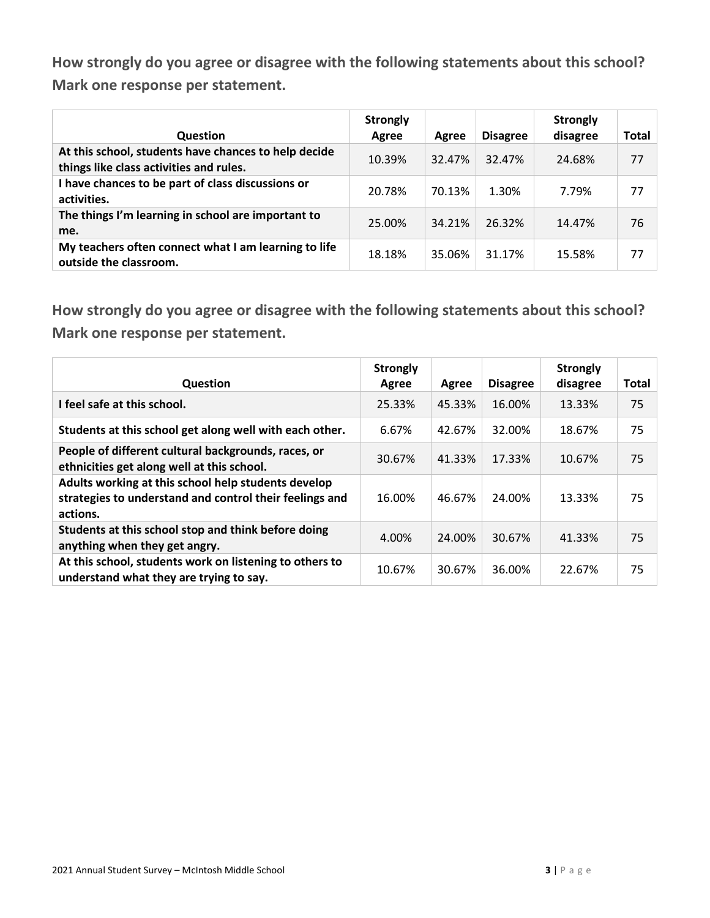| <b>Question</b>                                                                                 | <b>Strongly</b><br>Agree | Agree  | <b>Disagree</b> | <b>Strongly</b><br>disagree | Total |
|-------------------------------------------------------------------------------------------------|--------------------------|--------|-----------------|-----------------------------|-------|
| At this school, students have chances to help decide<br>things like class activities and rules. | 10.39%                   | 32.47% | 32.47%          | 24.68%                      | 77    |
| I have chances to be part of class discussions or<br>activities.                                | 20.78%                   | 70.13% | 1.30%           | 7.79%                       | 77    |
| The things I'm learning in school are important to<br>me.                                       | 25.00%                   | 34.21% | 26.32%          | 14.47%                      | 76    |
| My teachers often connect what I am learning to life<br>outside the classroom.                  | 18.18%                   | 35.06% | 31.17%          | 15.58%                      | 77    |

| <b>Question</b>                                                                                                            | <b>Strongly</b><br>Agree | Agree  | <b>Disagree</b> | <b>Strongly</b><br>disagree | <b>Total</b> |
|----------------------------------------------------------------------------------------------------------------------------|--------------------------|--------|-----------------|-----------------------------|--------------|
| I feel safe at this school.                                                                                                | 25.33%                   | 45.33% | 16.00%          | 13.33%                      | 75           |
| Students at this school get along well with each other.                                                                    | 6.67%                    | 42.67% | 32.00%          | 18.67%                      | 75           |
| People of different cultural backgrounds, races, or<br>ethnicities get along well at this school.                          | 30.67%                   | 41.33% | 17.33%          | 10.67%                      | 75           |
| Adults working at this school help students develop<br>strategies to understand and control their feelings and<br>actions. | 16.00%                   | 46.67% | 24.00%          | 13.33%                      | 75           |
| Students at this school stop and think before doing<br>anything when they get angry.                                       | 4.00%                    | 24.00% | 30.67%          | 41.33%                      | 75           |
| At this school, students work on listening to others to<br>understand what they are trying to say.                         | 10.67%                   | 30.67% | 36.00%          | 22.67%                      | 75           |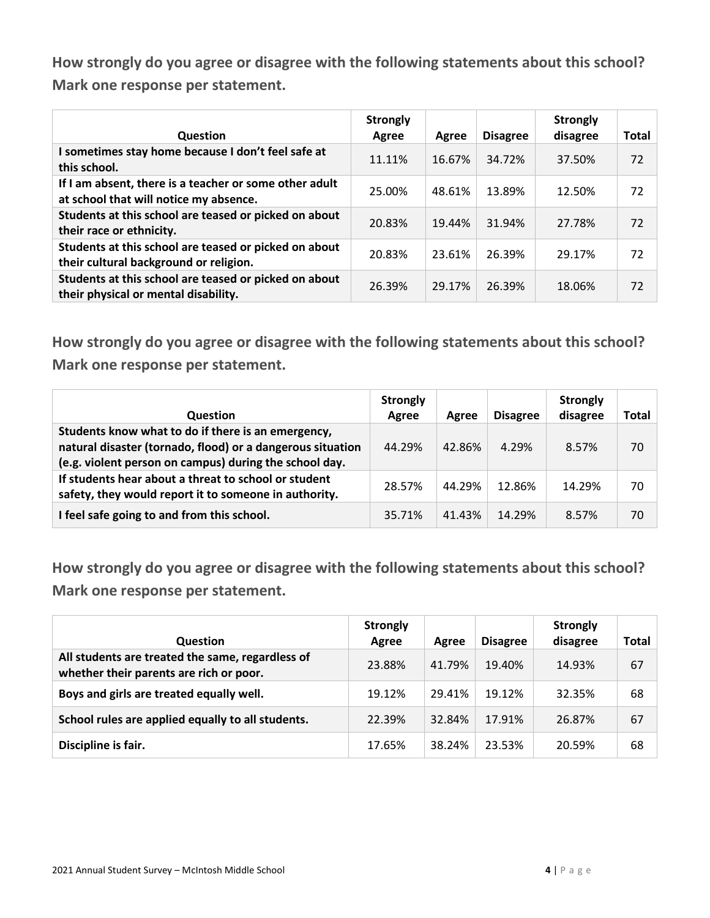| Question                                                                                         | <b>Strongly</b><br>Agree | Agree  | <b>Disagree</b> | <b>Strongly</b><br>disagree | Total |
|--------------------------------------------------------------------------------------------------|--------------------------|--------|-----------------|-----------------------------|-------|
| I sometimes stay home because I don't feel safe at<br>this school.                               | 11.11%                   | 16.67% | 34.72%          | 37.50%                      | 72    |
| If I am absent, there is a teacher or some other adult<br>at school that will notice my absence. | 25.00%                   | 48.61% | 13.89%          | 12.50%                      | 72    |
| Students at this school are teased or picked on about<br>their race or ethnicity.                | 20.83%                   | 19.44% | 31.94%          | 27.78%                      | 72    |
| Students at this school are teased or picked on about<br>their cultural background or religion.  | 20.83%                   | 23.61% | 26.39%          | 29.17%                      | 72    |
| Students at this school are teased or picked on about<br>their physical or mental disability.    | 26.39%                   | 29.17% | 26.39%          | 18.06%                      | 72    |

**How strongly do you agree or disagree with the following statements about this school? Mark one response per statement.**

| <b>Question</b>                                                                                                                                                            | <b>Strongly</b><br>Agree | Agree  | <b>Disagree</b> | <b>Strongly</b><br>disagree | Total |
|----------------------------------------------------------------------------------------------------------------------------------------------------------------------------|--------------------------|--------|-----------------|-----------------------------|-------|
| Students know what to do if there is an emergency,<br>natural disaster (tornado, flood) or a dangerous situation<br>(e.g. violent person on campus) during the school day. | 44.29%                   | 42.86% | 4.29%           | 8.57%                       | 70    |
| If students hear about a threat to school or student<br>safety, they would report it to someone in authority.                                                              | 28.57%                   | 44.29% | 12.86%          | 14.29%                      | 70    |
| I feel safe going to and from this school.                                                                                                                                 | 35.71%                   | 41.43% | 14.29%          | 8.57%                       | 70    |

| <b>Question</b>                                                                             | <b>Strongly</b><br>Agree | Agree  | <b>Disagree</b> | <b>Strongly</b><br>disagree | <b>Total</b> |
|---------------------------------------------------------------------------------------------|--------------------------|--------|-----------------|-----------------------------|--------------|
| All students are treated the same, regardless of<br>whether their parents are rich or poor. | 23.88%                   | 41.79% | 19.40%          | 14.93%                      | 67           |
| Boys and girls are treated equally well.                                                    | 19.12%                   | 29.41% | 19.12%          | 32.35%                      | 68           |
| School rules are applied equally to all students.                                           | 22.39%                   | 32.84% | 17.91%          | 26.87%                      | 67           |
| Discipline is fair.                                                                         | 17.65%                   | 38.24% | 23.53%          | 20.59%                      | 68           |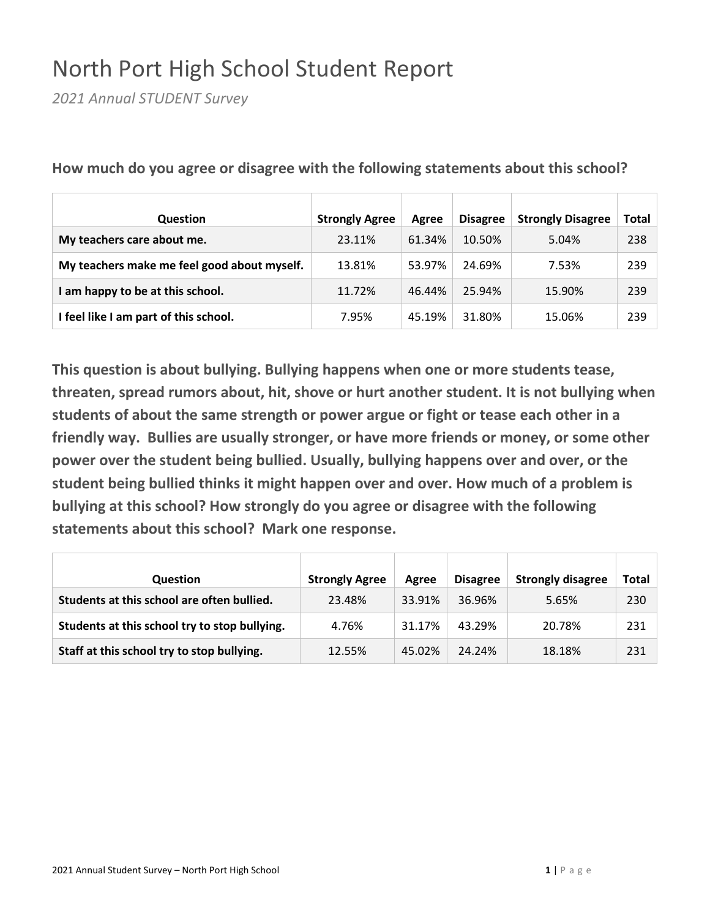## North Port High School Student Report

*2021 Annual STUDENT Survey*

| Question                                    | <b>Strongly Agree</b> | Agree  | <b>Disagree</b> | <b>Strongly Disagree</b> | Total |
|---------------------------------------------|-----------------------|--------|-----------------|--------------------------|-------|
| My teachers care about me.                  | 23.11%                | 61.34% | 10.50%          | 5.04%                    | 238   |
| My teachers make me feel good about myself. | 13.81%                | 53.97% | 24.69%          | 7.53%                    | 239   |
| I am happy to be at this school.            | 11.72%                | 46.44% | 25.94%          | 15.90%                   | 239   |
| I feel like I am part of this school.       | 7.95%                 | 45.19% | 31.80%          | 15.06%                   | 239   |

**How much do you agree or disagree with the following statements about this school?**

| <b>Question</b>                               | <b>Strongly Agree</b> | Agree  | <b>Disagree</b> | <b>Strongly disagree</b> | Total |
|-----------------------------------------------|-----------------------|--------|-----------------|--------------------------|-------|
| Students at this school are often bullied.    | 23.48%                | 33.91% | 36.96%          | 5.65%                    | 230   |
| Students at this school try to stop bullying. | 4.76%                 | 31.17% | 43.29%          | 20.78%                   | 231   |
| Staff at this school try to stop bullying.    | 12.55%                | 45.02% | 24.24%          | 18.18%                   | 231   |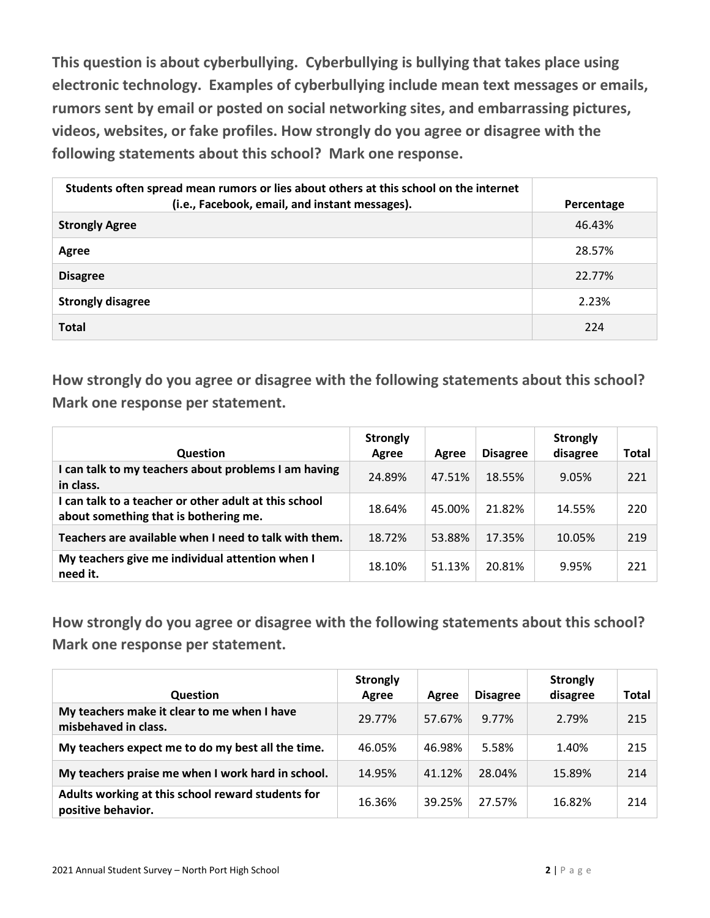**This question is about cyberbullying. Cyberbullying is bullying that takes place using electronic technology. Examples of cyberbullying include mean text messages or emails, rumors sent by email or posted on social networking sites, and embarrassing pictures, videos, websites, or fake profiles. How strongly do you agree or disagree with the following statements about this school? Mark one response.**

| Students often spread mean rumors or lies about others at this school on the internet<br>(i.e., Facebook, email, and instant messages). | Percentage |
|-----------------------------------------------------------------------------------------------------------------------------------------|------------|
| <b>Strongly Agree</b>                                                                                                                   | 46.43%     |
| Agree                                                                                                                                   | 28.57%     |
| <b>Disagree</b>                                                                                                                         | 22.77%     |
| <b>Strongly disagree</b>                                                                                                                | 2.23%      |
| <b>Total</b>                                                                                                                            | 224        |

**How strongly do you agree or disagree with the following statements about this school? Mark one response per statement.**

| <b>Question</b>                                                                                | <b>Strongly</b><br>Agree | Agree  | <b>Disagree</b> | <b>Strongly</b><br>disagree | Total |
|------------------------------------------------------------------------------------------------|--------------------------|--------|-----------------|-----------------------------|-------|
| I can talk to my teachers about problems I am having<br>in class.                              | 24.89%                   | 47.51% | 18.55%          | 9.05%                       | 221   |
| I can talk to a teacher or other adult at this school<br>about something that is bothering me. | 18.64%                   | 45.00% | 21.82%          | 14.55%                      | 220   |
| Teachers are available when I need to talk with them.                                          | 18.72%                   | 53.88% | 17.35%          | 10.05%                      | 219   |
| My teachers give me individual attention when I<br>need it.                                    | 18.10%                   | 51.13% | 20.81%          | 9.95%                       | 221   |

| <b>Question</b>                                                         | <b>Strongly</b><br>Agree | Agree  | <b>Disagree</b> | <b>Strongly</b><br>disagree | <b>Total</b> |
|-------------------------------------------------------------------------|--------------------------|--------|-----------------|-----------------------------|--------------|
| My teachers make it clear to me when I have<br>misbehaved in class.     | 29.77%                   | 57.67% | 9.77%           | 2.79%                       | 215          |
| My teachers expect me to do my best all the time.                       | 46.05%                   | 46.98% | 5.58%           | 1.40%                       | 215          |
| My teachers praise me when I work hard in school.                       | 14.95%                   | 41.12% | 28.04%          | 15.89%                      | 214          |
| Adults working at this school reward students for<br>positive behavior. | 16.36%                   | 39.25% | 27.57%          | 16.82%                      | 214          |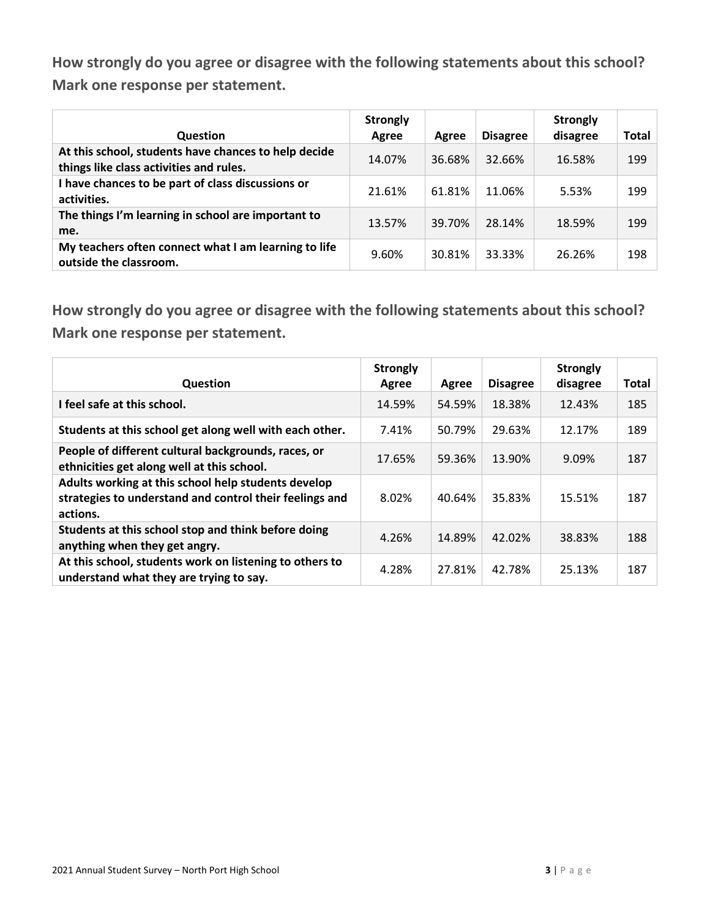| <b>Question</b>                                                                                 | <b>Strongly</b><br>Agree | Agree  | <b>Disagree</b> | <b>Strongly</b><br>disagree | Total |
|-------------------------------------------------------------------------------------------------|--------------------------|--------|-----------------|-----------------------------|-------|
| At this school, students have chances to help decide<br>things like class activities and rules. | 14.07%                   | 36.68% | 32.66%          | 16.58%                      | 199   |
| I have chances to be part of class discussions or<br>activities.                                | 21.61%                   | 61.81% | 11.06%          | 5.53%                       | 199   |
| The things I'm learning in school are important to<br>me.                                       | 13.57%                   | 39.70% | 28.14%          | 18.59%                      | 199   |
| My teachers often connect what I am learning to life<br>outside the classroom.                  | 9.60%                    | 30.81% | 33.33%          | 26.26%                      | 198   |

| <b>Question</b>                                                                                                            | <b>Strongly</b><br>Agree | Agree  | <b>Disagree</b> | <b>Strongly</b><br>disagree | <b>Total</b> |
|----------------------------------------------------------------------------------------------------------------------------|--------------------------|--------|-----------------|-----------------------------|--------------|
| I feel safe at this school.                                                                                                | 14.59%                   | 54.59% | 18.38%          | 12.43%                      | 185          |
| Students at this school get along well with each other.                                                                    | 7.41%                    | 50.79% | 29.63%          | 12.17%                      | 189          |
| People of different cultural backgrounds, races, or<br>ethnicities get along well at this school.                          | 17.65%                   | 59.36% | 13.90%          | 9.09%                       | 187          |
| Adults working at this school help students develop<br>strategies to understand and control their feelings and<br>actions. | 8.02%                    | 40.64% | 35.83%          | 15.51%                      | 187          |
| Students at this school stop and think before doing<br>anything when they get angry.                                       | 4.26%                    | 14.89% | 42.02%          | 38.83%                      | 188          |
| At this school, students work on listening to others to<br>understand what they are trying to say.                         | 4.28%                    | 27.81% | 42.78%          | 25.13%                      | 187          |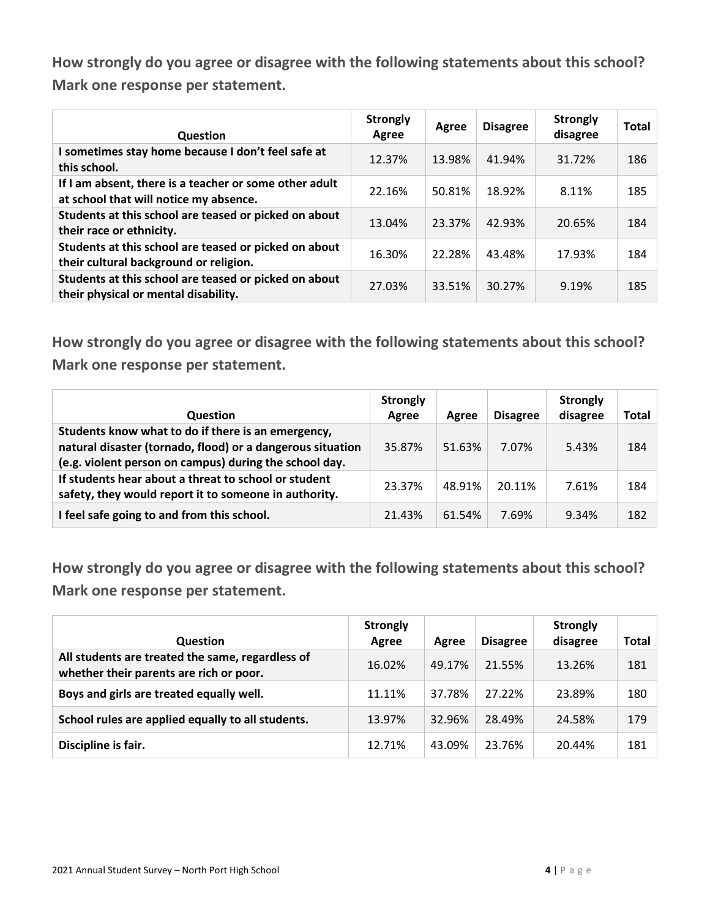| Question                                                                                         | <b>Strongly</b><br>Agree | Agree  | <b>Disagree</b> | <b>Strongly</b><br>disagree | <b>Total</b> |
|--------------------------------------------------------------------------------------------------|--------------------------|--------|-----------------|-----------------------------|--------------|
| I sometimes stay home because I don't feel safe at<br>this school.                               | 12.37%                   | 13.98% | 41.94%          | 31.72%                      | 186          |
| If I am absent, there is a teacher or some other adult<br>at school that will notice my absence. | 22.16%                   | 50.81% | 18.92%          | 8.11%                       | 185          |
| Students at this school are teased or picked on about<br>their race or ethnicity.                | 13.04%                   | 23.37% | 42.93%          | 20.65%                      | 184          |
| Students at this school are teased or picked on about<br>their cultural background or religion.  | 16.30%                   | 22.28% | 43.48%          | 17.93%                      | 184          |
| Students at this school are teased or picked on about<br>their physical or mental disability.    | 27.03%                   | 33.51% | 30.27%          | 9.19%                       | 185          |

**How strongly do you agree or disagree with the following statements about this school? Mark one response per statement.**

| <b>Question</b>                                                                                                                                                            | <b>Strongly</b><br>Agree | Agree  | <b>Disagree</b> | <b>Strongly</b><br>disagree | Total |
|----------------------------------------------------------------------------------------------------------------------------------------------------------------------------|--------------------------|--------|-----------------|-----------------------------|-------|
| Students know what to do if there is an emergency,<br>natural disaster (tornado, flood) or a dangerous situation<br>(e.g. violent person on campus) during the school day. | 35.87%                   | 51.63% | 7.07%           | 5.43%                       | 184   |
| If students hear about a threat to school or student<br>safety, they would report it to someone in authority.                                                              | 23.37%                   | 48.91% | 20.11%          | 7.61%                       | 184   |
| I feel safe going to and from this school.                                                                                                                                 | 21.43%                   | 61.54% | 7.69%           | 9.34%                       | 182   |

| <b>Question</b>                                                                             | <b>Strongly</b><br>Agree | Agree  | <b>Disagree</b> | <b>Strongly</b><br>disagree | Total |
|---------------------------------------------------------------------------------------------|--------------------------|--------|-----------------|-----------------------------|-------|
| All students are treated the same, regardless of<br>whether their parents are rich or poor. | 16.02%                   | 49.17% | 21.55%          | 13.26%                      | 181   |
| Boys and girls are treated equally well.                                                    | 11.11%                   | 37.78% | 27.22%          | 23.89%                      | 180   |
| School rules are applied equally to all students.                                           | 13.97%                   | 32.96% | 28.49%          | 24.58%                      | 179   |
| Discipline is fair.                                                                         | 12.71%                   | 43.09% | 23.76%          | 20.44%                      | 181   |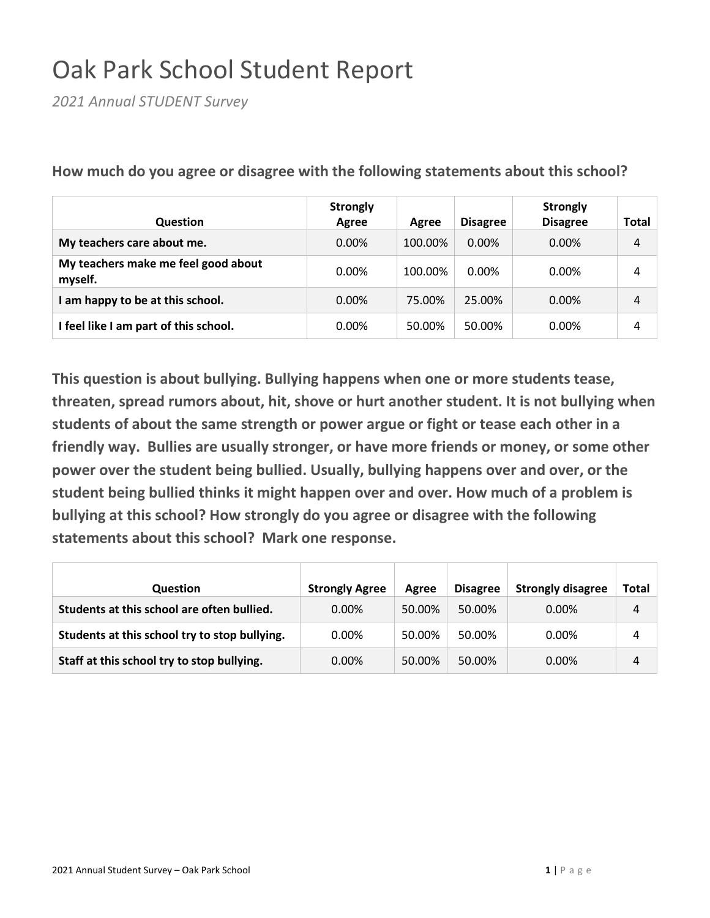# Oak Park School Student Report

*2021 Annual STUDENT Survey*

| <b>Question</b>                                | <b>Strongly</b><br>Agree | Agree   | <b>Disagree</b> | <b>Strongly</b><br><b>Disagree</b> | Total |
|------------------------------------------------|--------------------------|---------|-----------------|------------------------------------|-------|
| My teachers care about me.                     | $0.00\%$                 | 100.00% | $0.00\%$        | $0.00\%$                           | 4     |
| My teachers make me feel good about<br>myself. | $0.00\%$                 | 100.00% | 0.00%           | $0.00\%$                           | 4     |
| I am happy to be at this school.               | $0.00\%$                 | 75.00%  | 25.00%          | $0.00\%$                           | 4     |
| I feel like I am part of this school.          | $0.00\%$                 | 50.00%  | 50.00%          | $0.00\%$                           | 4     |

**How much do you agree or disagree with the following statements about this school?**

| <b>Question</b>                               | <b>Strongly Agree</b> | Agree  | <b>Disagree</b> | <b>Strongly disagree</b> | Total |
|-----------------------------------------------|-----------------------|--------|-----------------|--------------------------|-------|
| Students at this school are often bullied.    | $0.00\%$              | 50.00% | 50.00%          | $0.00\%$                 | 4     |
| Students at this school try to stop bullying. | 0.00%                 | 50.00% | 50.00%          | $0.00\%$                 | Δ     |
| Staff at this school try to stop bullying.    | $0.00\%$              | 50.00% | 50.00%          | $0.00\%$                 | 4     |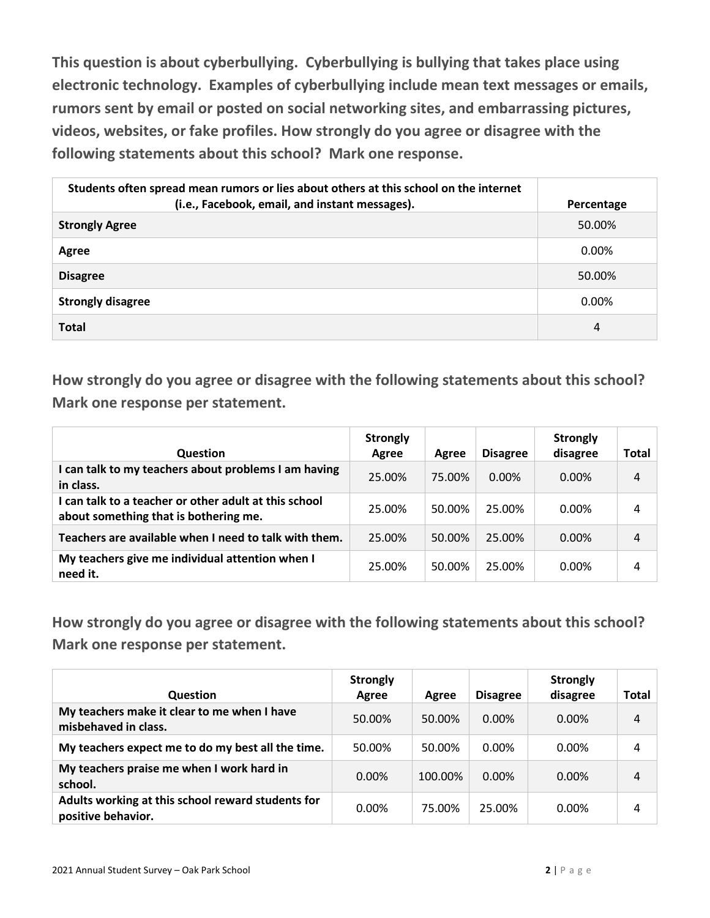**This question is about cyberbullying. Cyberbullying is bullying that takes place using electronic technology. Examples of cyberbullying include mean text messages or emails, rumors sent by email or posted on social networking sites, and embarrassing pictures, videos, websites, or fake profiles. How strongly do you agree or disagree with the following statements about this school? Mark one response.**

| Students often spread mean rumors or lies about others at this school on the internet<br>(i.e., Facebook, email, and instant messages). | Percentage |
|-----------------------------------------------------------------------------------------------------------------------------------------|------------|
| <b>Strongly Agree</b>                                                                                                                   | 50.00%     |
| Agree                                                                                                                                   | $0.00\%$   |
| <b>Disagree</b>                                                                                                                         | 50.00%     |
| <b>Strongly disagree</b>                                                                                                                | $0.00\%$   |
| <b>Total</b>                                                                                                                            | 4          |

**How strongly do you agree or disagree with the following statements about this school? Mark one response per statement.**

| <b>Question</b>                                                                                | <b>Strongly</b><br>Agree | Agree  | <b>Disagree</b> | <b>Strongly</b><br>disagree | Total |
|------------------------------------------------------------------------------------------------|--------------------------|--------|-----------------|-----------------------------|-------|
| I can talk to my teachers about problems I am having<br>in class.                              | 25.00%                   | 75.00% | $0.00\%$        | $0.00\%$                    | 4     |
| I can talk to a teacher or other adult at this school<br>about something that is bothering me. | 25.00%                   | 50.00% | 25.00%          | $0.00\%$                    | 4     |
| Teachers are available when I need to talk with them.                                          | 25.00%                   | 50.00% | 25.00%          | $0.00\%$                    | 4     |
| My teachers give me individual attention when I<br>need it.                                    | 25.00%                   | 50.00% | 25.00%          | $0.00\%$                    | 4     |

| <b>Question</b>                                                         | <b>Strongly</b><br>Agree | Agree   | <b>Disagree</b> | <b>Strongly</b><br>disagree | Total |
|-------------------------------------------------------------------------|--------------------------|---------|-----------------|-----------------------------|-------|
| My teachers make it clear to me when I have<br>misbehaved in class.     | 50.00%                   | 50.00%  | $0.00\%$        | $0.00\%$                    | 4     |
| My teachers expect me to do my best all the time.                       | 50.00%                   | 50.00%  | 0.00%           | $0.00\%$                    | 4     |
| My teachers praise me when I work hard in<br>school.                    | $0.00\%$                 | 100.00% | $0.00\%$        | $0.00\%$                    | 4     |
| Adults working at this school reward students for<br>positive behavior. | $0.00\%$                 | 75.00%  | 25.00%          | 0.00%                       | 4     |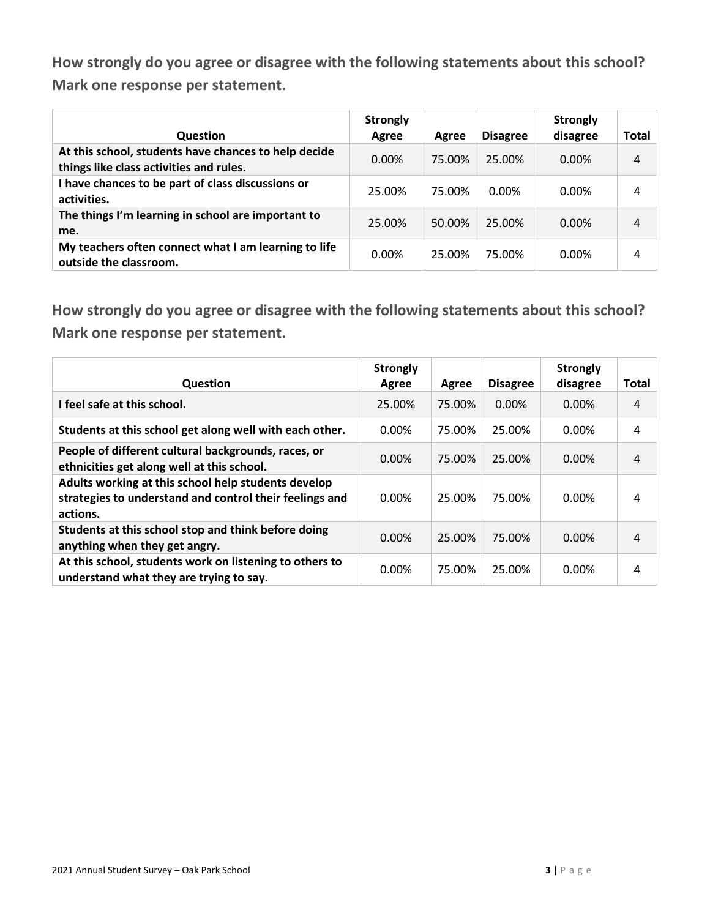| <b>Question</b>                                                                                 | <b>Strongly</b><br>Agree | Agree  | <b>Disagree</b> | <b>Strongly</b><br>disagree | Total |
|-------------------------------------------------------------------------------------------------|--------------------------|--------|-----------------|-----------------------------|-------|
| At this school, students have chances to help decide<br>things like class activities and rules. | $0.00\%$                 | 75.00% | 25.00%          | $0.00\%$                    | 4     |
| I have chances to be part of class discussions or<br>activities.                                | 25.00%                   | 75.00% | $0.00\%$        | $0.00\%$                    | 4     |
| The things I'm learning in school are important to<br>me.                                       | 25.00%                   | 50.00% | 25.00%          | $0.00\%$                    | 4     |
| My teachers often connect what I am learning to life<br>outside the classroom.                  | $0.00\%$                 | 25.00% | 75.00%          | $0.00\%$                    | 4     |

| <b>Question</b>                                                                                                            | <b>Strongly</b><br>Agree | Agree  | <b>Disagree</b> | <b>Strongly</b><br>disagree | <b>Total</b> |
|----------------------------------------------------------------------------------------------------------------------------|--------------------------|--------|-----------------|-----------------------------|--------------|
| I feel safe at this school.                                                                                                | 25.00%                   | 75.00% | 0.00%           | $0.00\%$                    | 4            |
| Students at this school get along well with each other.                                                                    | 0.00%                    | 75.00% | 25.00%          | 0.00%                       | 4            |
| People of different cultural backgrounds, races, or<br>ethnicities get along well at this school.                          | 0.00%                    | 75.00% | 25.00%          | $0.00\%$                    | 4            |
| Adults working at this school help students develop<br>strategies to understand and control their feelings and<br>actions. | 0.00%                    | 25.00% | 75.00%          | 0.00%                       | 4            |
| Students at this school stop and think before doing<br>anything when they get angry.                                       | 0.00%                    | 25.00% | 75.00%          | $0.00\%$                    | 4            |
| At this school, students work on listening to others to<br>understand what they are trying to say.                         | 0.00%                    | 75.00% | 25.00%          | 0.00%                       | 4            |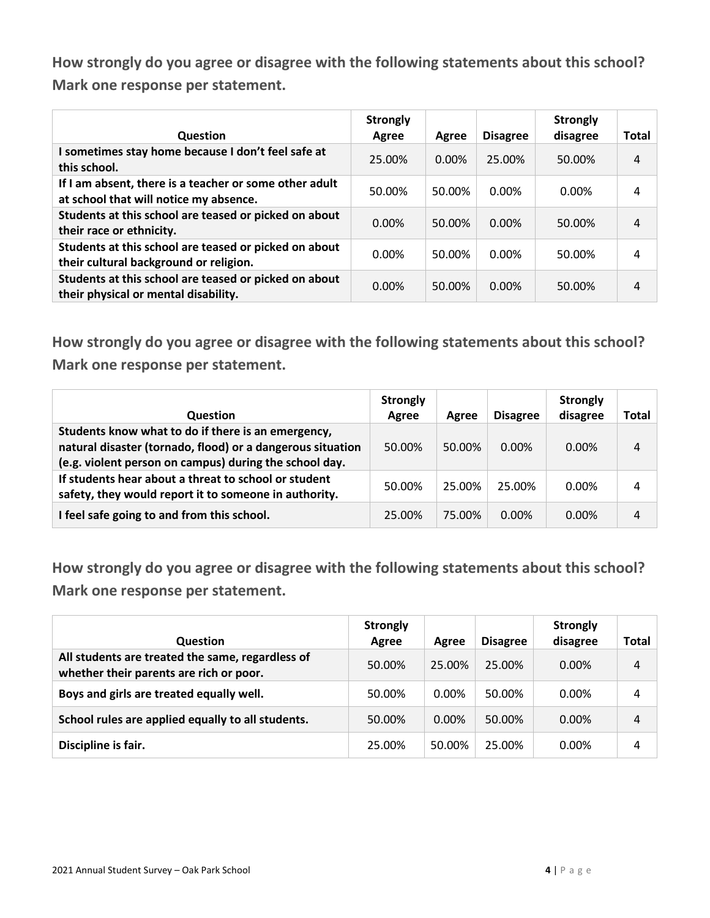| Question                                                                                         | <b>Strongly</b><br>Agree | Agree    | <b>Disagree</b> | <b>Strongly</b><br>disagree | <b>Total</b> |
|--------------------------------------------------------------------------------------------------|--------------------------|----------|-----------------|-----------------------------|--------------|
| I sometimes stay home because I don't feel safe at<br>this school.                               | 25.00%                   | $0.00\%$ | 25.00%          | 50.00%                      | 4            |
| If I am absent, there is a teacher or some other adult<br>at school that will notice my absence. | 50.00%                   | 50.00%   | 0.00%           | $0.00\%$                    | 4            |
| Students at this school are teased or picked on about<br>their race or ethnicity.                | 0.00%                    | 50.00%   | 0.00%           | 50.00%                      | 4            |
| Students at this school are teased or picked on about<br>their cultural background or religion.  | 0.00%                    | 50.00%   | 0.00%           | 50.00%                      | 4            |
| Students at this school are teased or picked on about<br>their physical or mental disability.    | $0.00\%$                 | 50.00%   | 0.00%           | 50.00%                      | 4            |

**How strongly do you agree or disagree with the following statements about this school? Mark one response per statement.**

| <b>Question</b>                                                                                                                                                            | <b>Strongly</b><br>Agree | Agree  | <b>Disagree</b> | <b>Strongly</b><br>disagree | Total |
|----------------------------------------------------------------------------------------------------------------------------------------------------------------------------|--------------------------|--------|-----------------|-----------------------------|-------|
| Students know what to do if there is an emergency,<br>natural disaster (tornado, flood) or a dangerous situation<br>(e.g. violent person on campus) during the school day. | 50.00%                   | 50.00% | $0.00\%$        | $0.00\%$                    | 4     |
| If students hear about a threat to school or student<br>safety, they would report it to someone in authority.                                                              | 50.00%                   | 25.00% | 25.00%          | $0.00\%$                    | 4     |
| I feel safe going to and from this school.                                                                                                                                 | 25.00%                   | 75.00% | $0.00\%$        | $0.00\%$                    | 4     |

| <b>Question</b>                                                                             | <b>Strongly</b><br>Agree | Agree    | <b>Disagree</b> | <b>Strongly</b><br>disagree | Total |
|---------------------------------------------------------------------------------------------|--------------------------|----------|-----------------|-----------------------------|-------|
| All students are treated the same, regardless of<br>whether their parents are rich or poor. | 50.00%                   | 25.00%   | 25.00%          | 0.00%                       | 4     |
| Boys and girls are treated equally well.                                                    | 50.00%                   | 0.00%    | 50.00%          | $0.00\%$                    | 4     |
| School rules are applied equally to all students.                                           | 50.00%                   | $0.00\%$ | 50.00%          | 0.00%                       | 4     |
| Discipline is fair.                                                                         | 25.00%                   | 50.00%   | 25.00%          | 0.00%                       | 4     |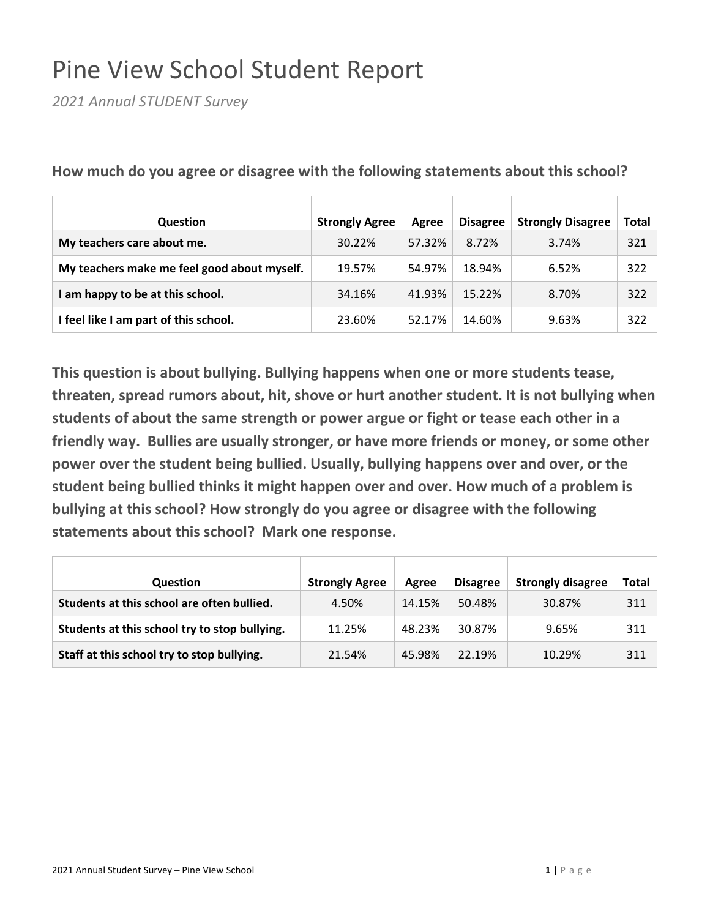## Pine View School Student Report

*2021 Annual STUDENT Survey*

| Question                                    | <b>Strongly Agree</b> | Agree  | <b>Disagree</b> | <b>Strongly Disagree</b> | Total |
|---------------------------------------------|-----------------------|--------|-----------------|--------------------------|-------|
| My teachers care about me.                  | 30.22%                | 57.32% | 8.72%           | 3.74%                    | 321   |
| My teachers make me feel good about myself. | 19.57%                | 54.97% | 18.94%          | 6.52%                    | 322   |
| I am happy to be at this school.            | 34.16%                | 41.93% | 15.22%          | 8.70%                    | 322   |
| I feel like I am part of this school.       | 23.60%                | 52.17% | 14.60%          | 9.63%                    | 322   |

**How much do you agree or disagree with the following statements about this school?**

| <b>Question</b>                               | <b>Strongly Agree</b> | Agree  | <b>Disagree</b> | <b>Strongly disagree</b> | Total |
|-----------------------------------------------|-----------------------|--------|-----------------|--------------------------|-------|
|                                               |                       |        |                 |                          |       |
| Students at this school are often bullied.    | 4.50%                 | 14.15% | 50.48%          | 30.87%                   | 311   |
| Students at this school try to stop bullying. | 11.25%                | 48.23% | 30.87%          | 9.65%                    | 311   |
| Staff at this school try to stop bullying.    | 21.54%                | 45.98% | 22.19%          | 10.29%                   | 311   |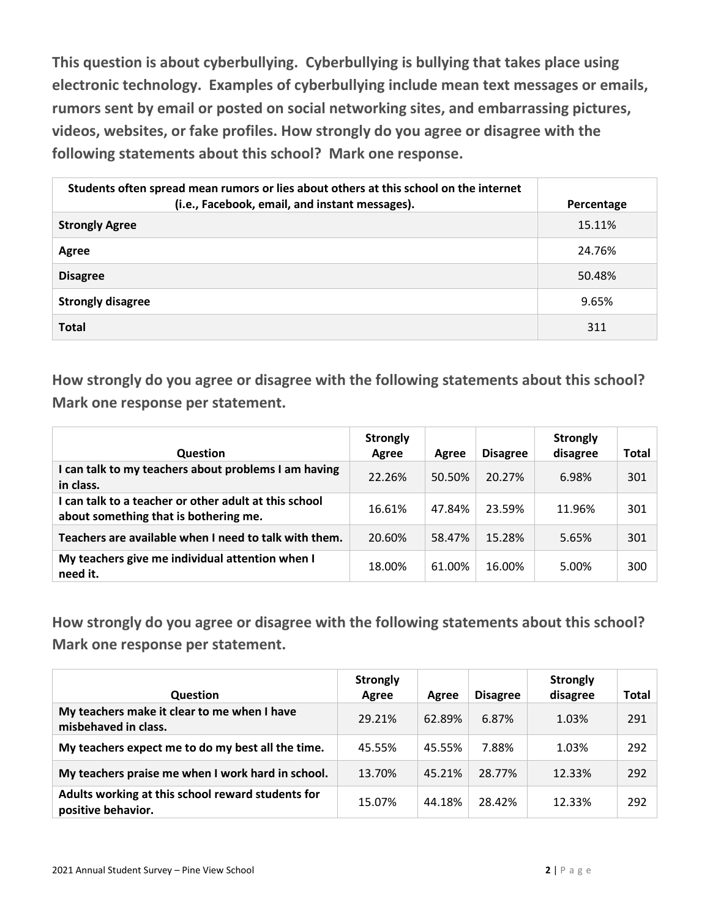**This question is about cyberbullying. Cyberbullying is bullying that takes place using electronic technology. Examples of cyberbullying include mean text messages or emails, rumors sent by email or posted on social networking sites, and embarrassing pictures, videos, websites, or fake profiles. How strongly do you agree or disagree with the following statements about this school? Mark one response.**

| Students often spread mean rumors or lies about others at this school on the internet<br>(i.e., Facebook, email, and instant messages). | Percentage |
|-----------------------------------------------------------------------------------------------------------------------------------------|------------|
| <b>Strongly Agree</b>                                                                                                                   | 15.11%     |
| Agree                                                                                                                                   | 24.76%     |
| <b>Disagree</b>                                                                                                                         | 50.48%     |
| <b>Strongly disagree</b>                                                                                                                | 9.65%      |
| <b>Total</b>                                                                                                                            | 311        |

**How strongly do you agree or disagree with the following statements about this school? Mark one response per statement.**

| <b>Question</b>                                                                                | <b>Strongly</b><br>Agree | Agree  | <b>Disagree</b> | <b>Strongly</b><br>disagree | Total |
|------------------------------------------------------------------------------------------------|--------------------------|--------|-----------------|-----------------------------|-------|
| I can talk to my teachers about problems I am having<br>in class.                              | 22.26%                   | 50.50% | 20.27%          | 6.98%                       | 301   |
| I can talk to a teacher or other adult at this school<br>about something that is bothering me. | 16.61%                   | 47.84% | 23.59%          | 11.96%                      | 301   |
| Teachers are available when I need to talk with them.                                          | 20.60%                   | 58.47% | 15.28%          | 5.65%                       | 301   |
| My teachers give me individual attention when I<br>need it.                                    | 18.00%                   | 61.00% | 16.00%          | 5.00%                       | 300   |

| <b>Question</b>                                                         | <b>Strongly</b><br>Agree | Agree  | <b>Disagree</b> | <b>Strongly</b><br>disagree | <b>Total</b> |
|-------------------------------------------------------------------------|--------------------------|--------|-----------------|-----------------------------|--------------|
| My teachers make it clear to me when I have<br>misbehaved in class.     | 29.21%                   | 62.89% | 6.87%           | 1.03%                       | 291          |
| My teachers expect me to do my best all the time.                       | 45.55%                   | 45.55% | 7.88%           | 1.03%                       | 292          |
| My teachers praise me when I work hard in school.                       | 13.70%                   | 45.21% | 28.77%          | 12.33%                      | 292          |
| Adults working at this school reward students for<br>positive behavior. | 15.07%                   | 44.18% | 28.42%          | 12.33%                      | 292          |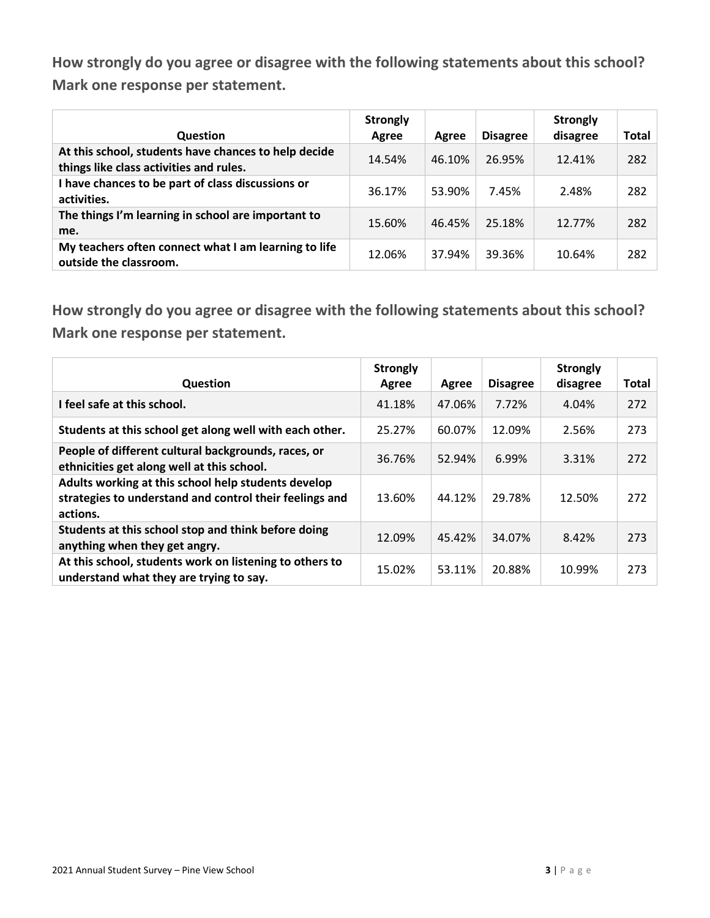| <b>Question</b>                                                                                 | <b>Strongly</b><br>Agree | Agree  | <b>Disagree</b> | <b>Strongly</b><br>disagree | Total |
|-------------------------------------------------------------------------------------------------|--------------------------|--------|-----------------|-----------------------------|-------|
| At this school, students have chances to help decide<br>things like class activities and rules. | 14.54%                   | 46.10% | 26.95%          | 12.41%                      | 282   |
| I have chances to be part of class discussions or<br>activities.                                | 36.17%                   | 53.90% | 7.45%           | 2.48%                       | 282   |
| The things I'm learning in school are important to<br>me.                                       | 15.60%                   | 46.45% | 25.18%          | 12.77%                      | 282   |
| My teachers often connect what I am learning to life<br>outside the classroom.                  | 12.06%                   | 37.94% | 39.36%          | 10.64%                      | 282   |

| <b>Question</b>                                                                                                            | <b>Strongly</b><br>Agree | Agree  | <b>Disagree</b> | <b>Strongly</b><br>disagree | <b>Total</b> |
|----------------------------------------------------------------------------------------------------------------------------|--------------------------|--------|-----------------|-----------------------------|--------------|
| I feel safe at this school.                                                                                                | 41.18%                   | 47.06% | 7.72%           | 4.04%                       | 272          |
| Students at this school get along well with each other.                                                                    | 25.27%                   | 60.07% | 12.09%          | 2.56%                       | 273          |
| People of different cultural backgrounds, races, or<br>ethnicities get along well at this school.                          | 36.76%                   | 52.94% | 6.99%           | 3.31%                       | 272          |
| Adults working at this school help students develop<br>strategies to understand and control their feelings and<br>actions. | 13.60%                   | 44.12% | 29.78%          | 12.50%                      | 272          |
| Students at this school stop and think before doing<br>anything when they get angry.                                       | 12.09%                   | 45.42% | 34.07%          | 8.42%                       | 273          |
| At this school, students work on listening to others to<br>understand what they are trying to say.                         | 15.02%                   | 53.11% | 20.88%          | 10.99%                      | 273          |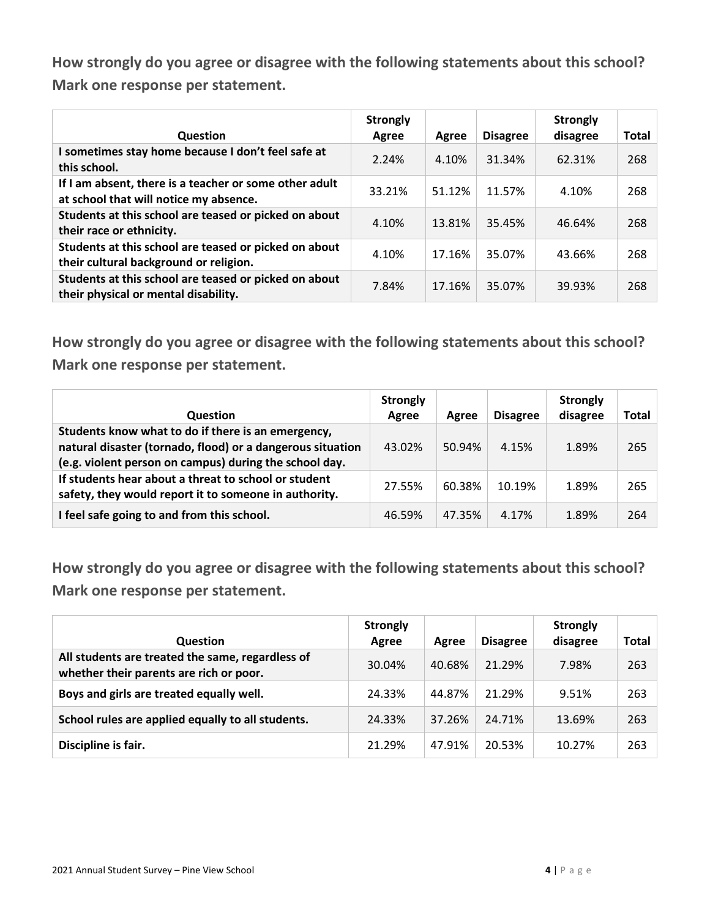| Question                                                                                         | <b>Strongly</b><br>Agree | Agree  | <b>Disagree</b> | <b>Strongly</b><br>disagree | <b>Total</b> |
|--------------------------------------------------------------------------------------------------|--------------------------|--------|-----------------|-----------------------------|--------------|
| I sometimes stay home because I don't feel safe at<br>this school.                               | 2.24%                    | 4.10%  | 31.34%          | 62.31%                      | 268          |
| If I am absent, there is a teacher or some other adult<br>at school that will notice my absence. | 33.21%                   | 51.12% | 11.57%          | 4.10%                       | 268          |
| Students at this school are teased or picked on about<br>their race or ethnicity.                | 4.10%                    | 13.81% | 35.45%          | 46.64%                      | 268          |
| Students at this school are teased or picked on about<br>their cultural background or religion.  | 4.10%                    | 17.16% | 35.07%          | 43.66%                      | 268          |
| Students at this school are teased or picked on about<br>their physical or mental disability.    | 7.84%                    | 17.16% | 35.07%          | 39.93%                      | 268          |

**How strongly do you agree or disagree with the following statements about this school? Mark one response per statement.**

| <b>Question</b>                                                                                                                                                            | <b>Strongly</b><br>Agree | Agree  | <b>Disagree</b> | <b>Strongly</b><br>disagree | Total |
|----------------------------------------------------------------------------------------------------------------------------------------------------------------------------|--------------------------|--------|-----------------|-----------------------------|-------|
| Students know what to do if there is an emergency,<br>natural disaster (tornado, flood) or a dangerous situation<br>(e.g. violent person on campus) during the school day. | 43.02%                   | 50.94% | 4.15%           | 1.89%                       | 265   |
| If students hear about a threat to school or student<br>safety, they would report it to someone in authority.                                                              | 27.55%                   | 60.38% | 10.19%          | 1.89%                       | 265   |
| I feel safe going to and from this school.                                                                                                                                 | 46.59%                   | 47.35% | 4.17%           | 1.89%                       | 264   |

| <b>Question</b>                                                                             | <b>Strongly</b><br>Agree | Agree  | <b>Disagree</b> | <b>Strongly</b><br>disagree | <b>Total</b> |
|---------------------------------------------------------------------------------------------|--------------------------|--------|-----------------|-----------------------------|--------------|
| All students are treated the same, regardless of<br>whether their parents are rich or poor. | 30.04%                   | 40.68% | 21.29%          | 7.98%                       | 263          |
| Boys and girls are treated equally well.                                                    | 24.33%                   | 44.87% | 21.29%          | 9.51%                       | 263          |
| School rules are applied equally to all students.                                           | 24.33%                   | 37.26% | 24.71%          | 13.69%                      | 263          |
| Discipline is fair.                                                                         | 21.29%                   | 47.91% | 20.53%          | 10.27%                      | 263          |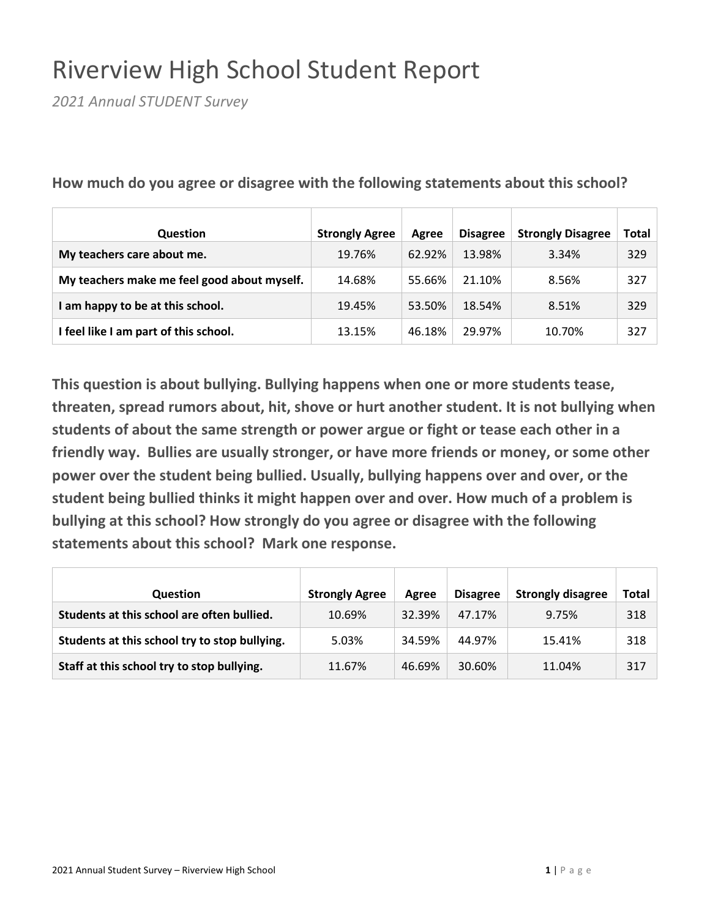# Riverview High School Student Report

*2021 Annual STUDENT Survey*

| Question                                    | <b>Strongly Agree</b> | Agree  | <b>Disagree</b> | <b>Strongly Disagree</b> | Total |
|---------------------------------------------|-----------------------|--------|-----------------|--------------------------|-------|
| My teachers care about me.                  | 19.76%                | 62.92% | 13.98%          | 3.34%                    | 329   |
| My teachers make me feel good about myself. | 14.68%                | 55.66% | 21.10%          | 8.56%                    | 327   |
| I am happy to be at this school.            | 19.45%                | 53.50% | 18.54%          | 8.51%                    | 329   |
| I feel like I am part of this school.       | 13.15%                | 46.18% | 29.97%          | 10.70%                   | 327   |

**How much do you agree or disagree with the following statements about this school?**

| <b>Question</b>                               | <b>Strongly Agree</b> | Agree  | <b>Disagree</b> | <b>Strongly disagree</b> | <b>Total</b> |
|-----------------------------------------------|-----------------------|--------|-----------------|--------------------------|--------------|
| Students at this school are often bullied.    | 10.69%                | 32.39% | 47.17%          | 9.75%                    | 318          |
| Students at this school try to stop bullying. | 5.03%                 | 34.59% | 44.97%          | 15.41%                   | 318          |
| Staff at this school try to stop bullying.    | 11.67%                | 46.69% | 30.60%          | 11.04%                   | 317          |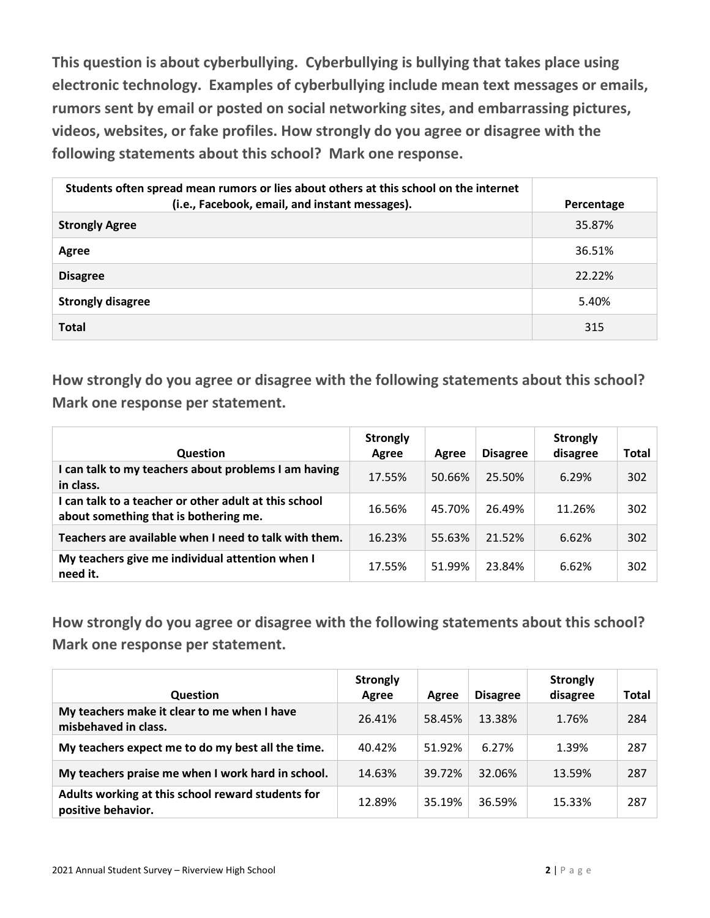**This question is about cyberbullying. Cyberbullying is bullying that takes place using electronic technology. Examples of cyberbullying include mean text messages or emails, rumors sent by email or posted on social networking sites, and embarrassing pictures, videos, websites, or fake profiles. How strongly do you agree or disagree with the following statements about this school? Mark one response.**

| Students often spread mean rumors or lies about others at this school on the internet<br>(i.e., Facebook, email, and instant messages). | Percentage |
|-----------------------------------------------------------------------------------------------------------------------------------------|------------|
| <b>Strongly Agree</b>                                                                                                                   | 35.87%     |
| Agree                                                                                                                                   | 36.51%     |
| <b>Disagree</b>                                                                                                                         | 22.22%     |
| <b>Strongly disagree</b>                                                                                                                | 5.40%      |
| <b>Total</b>                                                                                                                            | 315        |

**How strongly do you agree or disagree with the following statements about this school? Mark one response per statement.**

| <b>Question</b>                                                                                | <b>Strongly</b><br>Agree | Agree  | <b>Disagree</b> | <b>Strongly</b><br>disagree | Total |
|------------------------------------------------------------------------------------------------|--------------------------|--------|-----------------|-----------------------------|-------|
| I can talk to my teachers about problems I am having<br>in class.                              | 17.55%                   | 50.66% | 25.50%          | 6.29%                       | 302   |
| I can talk to a teacher or other adult at this school<br>about something that is bothering me. | 16.56%                   | 45.70% | 26.49%          | 11.26%                      | 302   |
| Teachers are available when I need to talk with them.                                          | 16.23%                   | 55.63% | 21.52%          | 6.62%                       | 302   |
| My teachers give me individual attention when I<br>need it.                                    | 17.55%                   | 51.99% | 23.84%          | 6.62%                       | 302   |

| <b>Question</b>                                                         | <b>Strongly</b><br>Agree | Agree  | <b>Disagree</b> | <b>Strongly</b><br>disagree | Total |
|-------------------------------------------------------------------------|--------------------------|--------|-----------------|-----------------------------|-------|
| My teachers make it clear to me when I have<br>misbehaved in class.     | 26.41%                   | 58.45% | 13.38%          | 1.76%                       | 284   |
| My teachers expect me to do my best all the time.                       | 40.42%                   | 51.92% | 6.27%           | 1.39%                       | 287   |
| My teachers praise me when I work hard in school.                       | 14.63%                   | 39.72% | 32.06%          | 13.59%                      | 287   |
| Adults working at this school reward students for<br>positive behavior. | 12.89%                   | 35.19% | 36.59%          | 15.33%                      | 287   |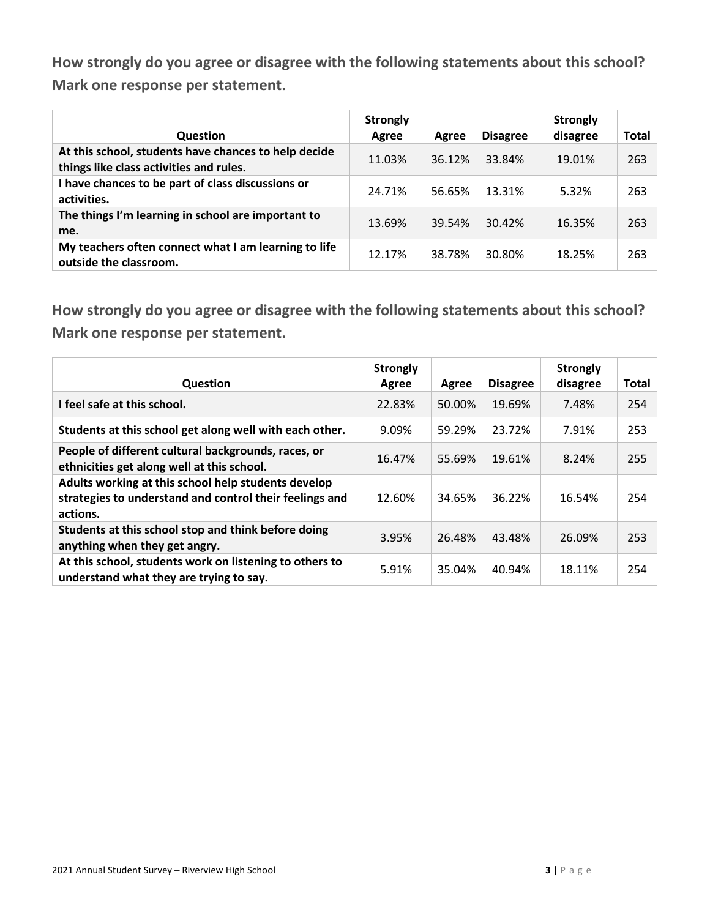| <b>Question</b>                                                                                 | <b>Strongly</b><br>Agree | Agree  | <b>Disagree</b> | <b>Strongly</b><br>disagree | Total |
|-------------------------------------------------------------------------------------------------|--------------------------|--------|-----------------|-----------------------------|-------|
| At this school, students have chances to help decide<br>things like class activities and rules. | 11.03%                   | 36.12% | 33.84%          | 19.01%                      | 263   |
| I have chances to be part of class discussions or<br>activities.                                | 24.71%                   | 56.65% | 13.31%          | 5.32%                       | 263   |
| The things I'm learning in school are important to<br>me.                                       | 13.69%                   | 39.54% | 30.42%          | 16.35%                      | 263   |
| My teachers often connect what I am learning to life<br>outside the classroom.                  | 12.17%                   | 38.78% | 30.80%          | 18.25%                      | 263   |

| <b>Question</b>                                                                                                            | <b>Strongly</b><br>Agree | Agree  | <b>Disagree</b> | <b>Strongly</b><br>disagree | <b>Total</b> |
|----------------------------------------------------------------------------------------------------------------------------|--------------------------|--------|-----------------|-----------------------------|--------------|
| I feel safe at this school.                                                                                                | 22.83%                   | 50.00% | 19.69%          | 7.48%                       | 254          |
| Students at this school get along well with each other.                                                                    | 9.09%                    | 59.29% | 23.72%          | 7.91%                       | 253          |
| People of different cultural backgrounds, races, or<br>ethnicities get along well at this school.                          | 16.47%                   | 55.69% | 19.61%          | 8.24%                       | 255          |
| Adults working at this school help students develop<br>strategies to understand and control their feelings and<br>actions. | 12.60%                   | 34.65% | 36.22%          | 16.54%                      | 254          |
| Students at this school stop and think before doing<br>anything when they get angry.                                       | 3.95%                    | 26.48% | 43.48%          | 26.09%                      | 253          |
| At this school, students work on listening to others to<br>understand what they are trying to say.                         | 5.91%                    | 35.04% | 40.94%          | 18.11%                      | 254          |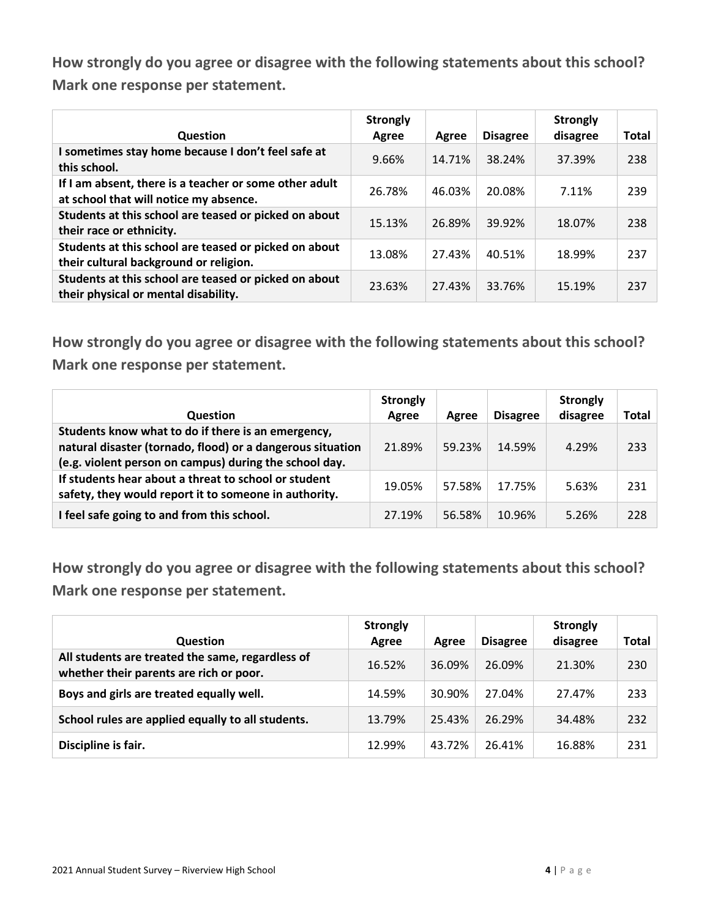| Question                                                                                         | <b>Strongly</b><br>Agree | Agree  | <b>Disagree</b> | <b>Strongly</b><br>disagree | Total |
|--------------------------------------------------------------------------------------------------|--------------------------|--------|-----------------|-----------------------------|-------|
| I sometimes stay home because I don't feel safe at<br>this school.                               | 9.66%                    | 14.71% | 38.24%          | 37.39%                      | 238   |
| If I am absent, there is a teacher or some other adult<br>at school that will notice my absence. | 26.78%                   | 46.03% | 20.08%          | 7.11%                       | 239   |
| Students at this school are teased or picked on about<br>their race or ethnicity.                | 15.13%                   | 26.89% | 39.92%          | 18.07%                      | 238   |
| Students at this school are teased or picked on about<br>their cultural background or religion.  | 13.08%                   | 27.43% | 40.51%          | 18.99%                      | 237   |
| Students at this school are teased or picked on about<br>their physical or mental disability.    | 23.63%                   | 27.43% | 33.76%          | 15.19%                      | 237   |

**How strongly do you agree or disagree with the following statements about this school? Mark one response per statement.**

| <b>Question</b>                                                                                                                                                            | <b>Strongly</b><br>Agree | Agree  | <b>Disagree</b> | <b>Strongly</b><br>disagree | <b>Total</b> |
|----------------------------------------------------------------------------------------------------------------------------------------------------------------------------|--------------------------|--------|-----------------|-----------------------------|--------------|
| Students know what to do if there is an emergency,<br>natural disaster (tornado, flood) or a dangerous situation<br>(e.g. violent person on campus) during the school day. | 21.89%                   | 59.23% | 14.59%          | 4.29%                       | 233          |
| If students hear about a threat to school or student<br>safety, they would report it to someone in authority.                                                              | 19.05%                   | 57.58% | 17.75%          | 5.63%                       | 231          |
| I feel safe going to and from this school.                                                                                                                                 | 27.19%                   | 56.58% | 10.96%          | 5.26%                       | 228          |

| <b>Question</b>                                                                             | <b>Strongly</b><br>Agree | Agree  | <b>Disagree</b> | <b>Strongly</b><br>disagree | <b>Total</b> |
|---------------------------------------------------------------------------------------------|--------------------------|--------|-----------------|-----------------------------|--------------|
| All students are treated the same, regardless of<br>whether their parents are rich or poor. | 16.52%                   | 36.09% | 26.09%          | 21.30%                      | 230          |
| Boys and girls are treated equally well.                                                    | 14.59%                   | 30.90% | 27.04%          | 27.47%                      | 233          |
| School rules are applied equally to all students.                                           | 13.79%                   | 25.43% | 26.29%          | 34.48%                      | 232          |
| Discipline is fair.                                                                         | 12.99%                   | 43.72% | 26.41%          | 16.88%                      | 231          |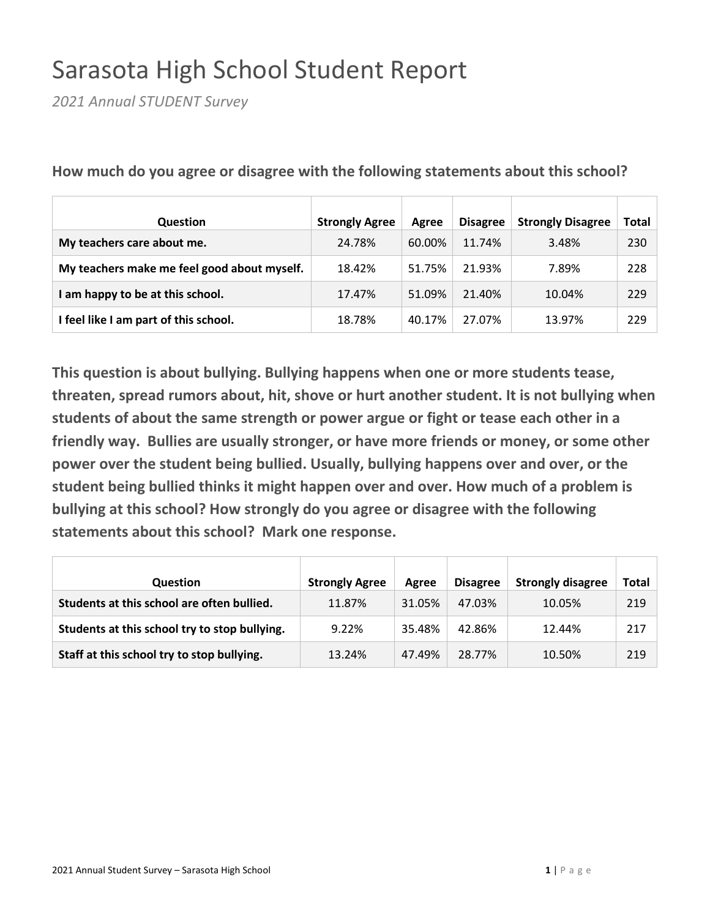# Sarasota High School Student Report

*2021 Annual STUDENT Survey*

| Question                                    | <b>Strongly Agree</b> | Agree  | <b>Disagree</b> | <b>Strongly Disagree</b> | <b>Total</b> |
|---------------------------------------------|-----------------------|--------|-----------------|--------------------------|--------------|
| My teachers care about me.                  | 24.78%                | 60.00% | 11.74%          | 3.48%                    | 230          |
| My teachers make me feel good about myself. | 18.42%                | 51.75% | 21.93%          | 7.89%                    | 228          |
| I am happy to be at this school.            | 17.47%                | 51.09% | 21.40%          | 10.04%                   | 229          |
| I feel like I am part of this school.       | 18.78%                | 40.17% | 27.07%          | 13.97%                   | 229          |

**How much do you agree or disagree with the following statements about this school?**

| <b>Question</b>                               | <b>Strongly Agree</b> | Agree  | <b>Disagree</b> | <b>Strongly disagree</b> | Total |
|-----------------------------------------------|-----------------------|--------|-----------------|--------------------------|-------|
| Students at this school are often bullied.    | 11.87%                | 31.05% | 47.03%          | 10.05%                   | 219   |
| Students at this school try to stop bullying. | 9.22%                 | 35.48% | 42.86%          | 12.44%                   | 217   |
| Staff at this school try to stop bullying.    | 13.24%                | 47.49% | 28.77%          | 10.50%                   | 219   |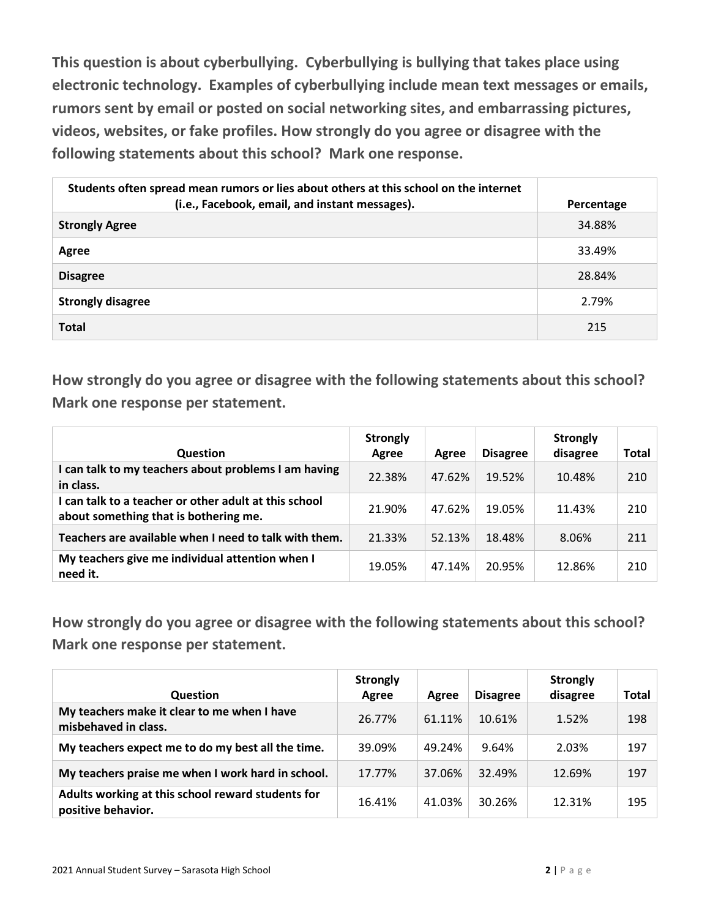**This question is about cyberbullying. Cyberbullying is bullying that takes place using electronic technology. Examples of cyberbullying include mean text messages or emails, rumors sent by email or posted on social networking sites, and embarrassing pictures, videos, websites, or fake profiles. How strongly do you agree or disagree with the following statements about this school? Mark one response.**

| Students often spread mean rumors or lies about others at this school on the internet<br>(i.e., Facebook, email, and instant messages). | Percentage |
|-----------------------------------------------------------------------------------------------------------------------------------------|------------|
| <b>Strongly Agree</b>                                                                                                                   | 34.88%     |
| Agree                                                                                                                                   | 33.49%     |
| <b>Disagree</b>                                                                                                                         | 28.84%     |
| <b>Strongly disagree</b>                                                                                                                | 2.79%      |
| <b>Total</b>                                                                                                                            | 215        |

**How strongly do you agree or disagree with the following statements about this school? Mark one response per statement.**

| <b>Question</b>                                                                                | <b>Strongly</b><br>Agree | Agree  | <b>Disagree</b> | <b>Strongly</b><br>disagree | <b>Total</b> |
|------------------------------------------------------------------------------------------------|--------------------------|--------|-----------------|-----------------------------|--------------|
| I can talk to my teachers about problems I am having<br>in class.                              | 22.38%                   | 47.62% | 19.52%          | 10.48%                      | 210          |
| I can talk to a teacher or other adult at this school<br>about something that is bothering me. | 21.90%                   | 47.62% | 19.05%          | 11.43%                      | 210          |
| Teachers are available when I need to talk with them.                                          | 21.33%                   | 52.13% | 18.48%          | 8.06%                       | 211          |
| My teachers give me individual attention when I<br>need it.                                    | 19.05%                   | 47.14% | 20.95%          | 12.86%                      | 210          |

| <b>Question</b>                                                         | <b>Strongly</b><br>Agree | Agree  | <b>Disagree</b> | <b>Strongly</b><br>disagree | Total |
|-------------------------------------------------------------------------|--------------------------|--------|-----------------|-----------------------------|-------|
| My teachers make it clear to me when I have<br>misbehaved in class.     | 26.77%                   | 61.11% | 10.61%          | 1.52%                       | 198   |
| My teachers expect me to do my best all the time.                       | 39.09%                   | 49.24% | 9.64%           | 2.03%                       | 197   |
| My teachers praise me when I work hard in school.                       | 17.77%                   | 37.06% | 32.49%          | 12.69%                      | 197   |
| Adults working at this school reward students for<br>positive behavior. | 16.41%                   | 41.03% | 30.26%          | 12.31%                      | 195   |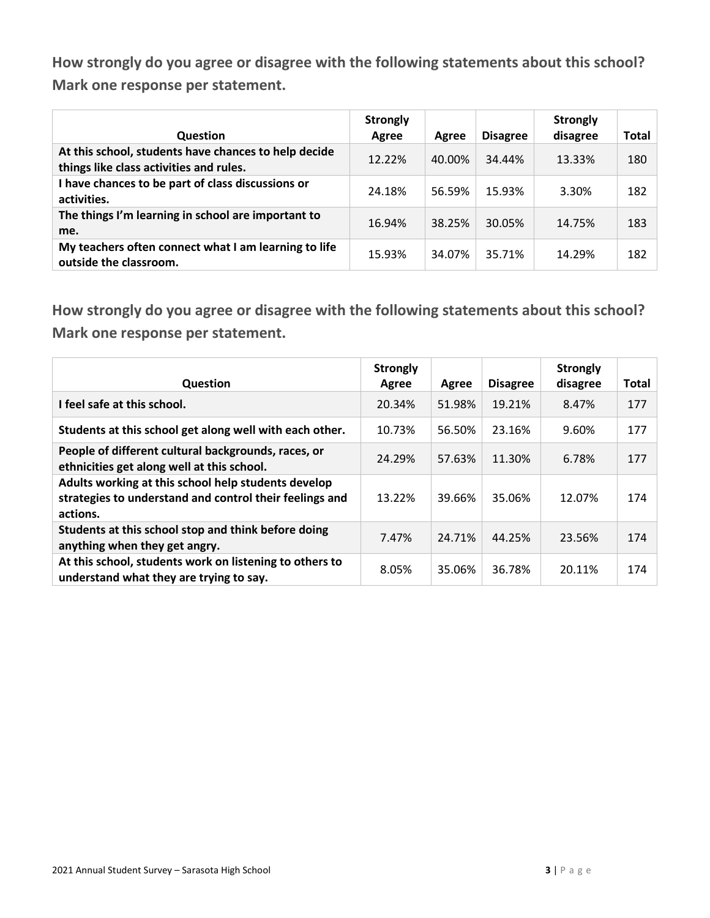| <b>Question</b>                                                                                 | <b>Strongly</b><br>Agree | Agree  | <b>Disagree</b> | <b>Strongly</b><br>disagree | Total |
|-------------------------------------------------------------------------------------------------|--------------------------|--------|-----------------|-----------------------------|-------|
| At this school, students have chances to help decide<br>things like class activities and rules. | 12.22%                   | 40.00% | 34.44%          | 13.33%                      | 180   |
| I have chances to be part of class discussions or<br>activities.                                | 24.18%                   | 56.59% | 15.93%          | 3.30%                       | 182   |
| The things I'm learning in school are important to<br>me.                                       | 16.94%                   | 38.25% | 30.05%          | 14.75%                      | 183   |
| My teachers often connect what I am learning to life<br>outside the classroom.                  | 15.93%                   | 34.07% | 35.71%          | 14.29%                      | 182   |

| Question                                                                                                                   | <b>Strongly</b><br>Agree | Agree  | <b>Disagree</b> | <b>Strongly</b><br>disagree | <b>Total</b> |
|----------------------------------------------------------------------------------------------------------------------------|--------------------------|--------|-----------------|-----------------------------|--------------|
| I feel safe at this school.                                                                                                | 20.34%                   | 51.98% | 19.21%          | 8.47%                       | 177          |
| Students at this school get along well with each other.                                                                    | 10.73%                   | 56.50% | 23.16%          | 9.60%                       | 177          |
| People of different cultural backgrounds, races, or<br>ethnicities get along well at this school.                          | 24.29%                   | 57.63% | 11.30%          | 6.78%                       | 177          |
| Adults working at this school help students develop<br>strategies to understand and control their feelings and<br>actions. | 13.22%                   | 39.66% | 35.06%          | 12.07%                      | 174          |
| Students at this school stop and think before doing<br>anything when they get angry.                                       | 7.47%                    | 24.71% | 44.25%          | 23.56%                      | 174          |
| At this school, students work on listening to others to<br>understand what they are trying to say.                         | 8.05%                    | 35.06% | 36.78%          | 20.11%                      | 174          |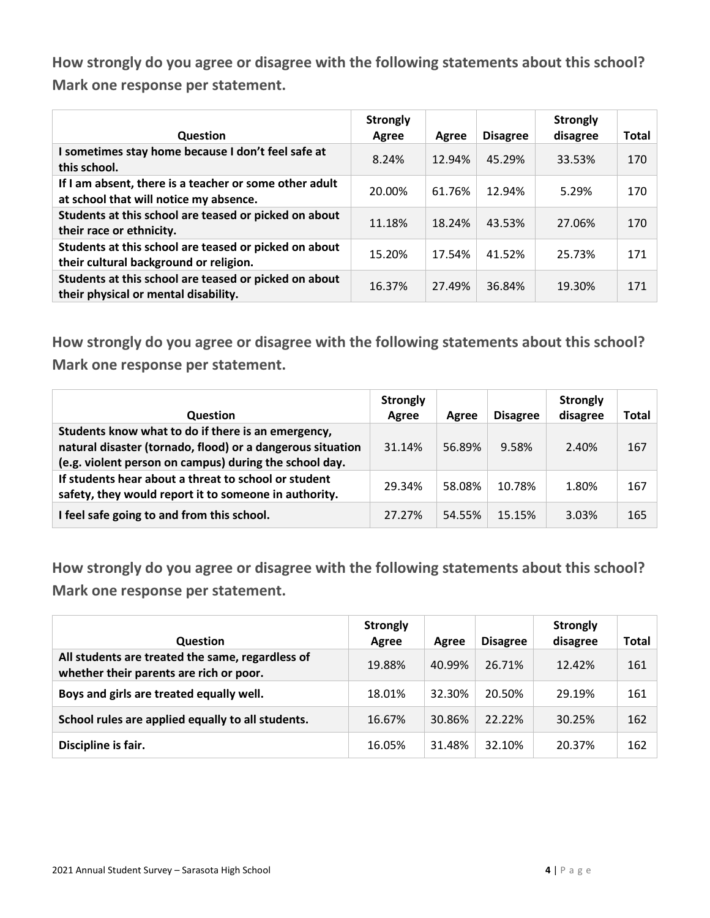| Question                                                                                         | <b>Strongly</b><br>Agree | Agree  | <b>Disagree</b> | <b>Strongly</b><br>disagree | <b>Total</b> |
|--------------------------------------------------------------------------------------------------|--------------------------|--------|-----------------|-----------------------------|--------------|
| I sometimes stay home because I don't feel safe at<br>this school.                               | 8.24%                    | 12.94% | 45.29%          | 33.53%                      | 170          |
| If I am absent, there is a teacher or some other adult<br>at school that will notice my absence. | 20.00%                   | 61.76% | 12.94%          | 5.29%                       | 170          |
| Students at this school are teased or picked on about<br>their race or ethnicity.                | 11.18%                   | 18.24% | 43.53%          | 27.06%                      | 170          |
| Students at this school are teased or picked on about<br>their cultural background or religion.  | 15.20%                   | 17.54% | 41.52%          | 25.73%                      | 171          |
| Students at this school are teased or picked on about<br>their physical or mental disability.    | 16.37%                   | 27.49% | 36.84%          | 19.30%                      | 171          |

**How strongly do you agree or disagree with the following statements about this school? Mark one response per statement.**

| <b>Question</b>                                                                                                                                                            | <b>Strongly</b><br>Agree | Agree  | <b>Disagree</b> | <b>Strongly</b><br>disagree | Total |
|----------------------------------------------------------------------------------------------------------------------------------------------------------------------------|--------------------------|--------|-----------------|-----------------------------|-------|
| Students know what to do if there is an emergency,<br>natural disaster (tornado, flood) or a dangerous situation<br>(e.g. violent person on campus) during the school day. | 31.14%                   | 56.89% | 9.58%           | 2.40%                       | 167   |
| If students hear about a threat to school or student<br>safety, they would report it to someone in authority.                                                              | 29.34%                   | 58.08% | 10.78%          | 1.80%                       | 167   |
| I feel safe going to and from this school.                                                                                                                                 | 27.27%                   | 54.55% | 15.15%          | 3.03%                       | 165   |

| <b>Question</b>                                                                             | <b>Strongly</b><br>Agree | Agree  | <b>Disagree</b> | <b>Strongly</b><br>disagree | <b>Total</b> |
|---------------------------------------------------------------------------------------------|--------------------------|--------|-----------------|-----------------------------|--------------|
| All students are treated the same, regardless of<br>whether their parents are rich or poor. | 19.88%                   | 40.99% | 26.71%          | 12.42%                      | 161          |
| Boys and girls are treated equally well.                                                    | 18.01%                   | 32.30% | 20.50%          | 29.19%                      | 161          |
| School rules are applied equally to all students.                                           | 16.67%                   | 30.86% | 22.22%          | 30.25%                      | 162          |
| Discipline is fair.                                                                         | 16.05%                   | 31.48% | 32.10%          | 20.37%                      | 162          |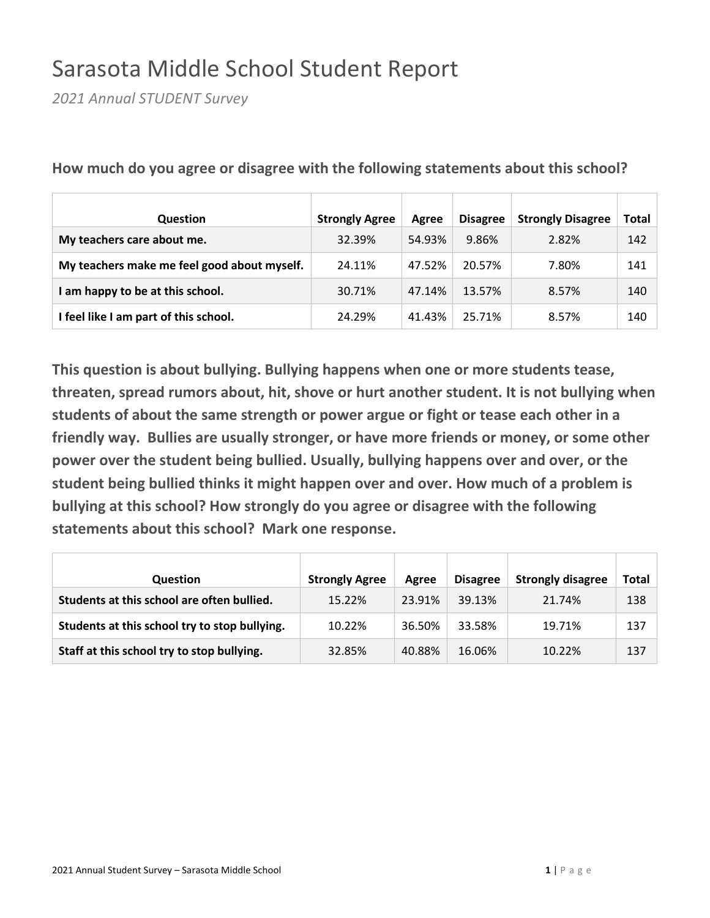#### Sarasota Middle School Student Report

*2021 Annual STUDENT Survey*

| <b>Question</b>                             | <b>Strongly Agree</b> | Agree  | <b>Disagree</b> | <b>Strongly Disagree</b> | Total |
|---------------------------------------------|-----------------------|--------|-----------------|--------------------------|-------|
| My teachers care about me.                  | 32.39%                | 54.93% | 9.86%           | 2.82%                    | 142   |
| My teachers make me feel good about myself. | 24.11%                | 47.52% | 20.57%          | 7.80%                    | 141   |
| am happy to be at this school.              | 30.71%                | 47.14% | 13.57%          | 8.57%                    | 140   |
| I feel like I am part of this school.       | 24.29%                | 41.43% | 25.71%          | 8.57%                    | 140   |

**How much do you agree or disagree with the following statements about this school?**

| <b>Question</b>                               | <b>Strongly Agree</b> | Agree  | <b>Disagree</b> | <b>Strongly disagree</b> | <b>Total</b> |
|-----------------------------------------------|-----------------------|--------|-----------------|--------------------------|--------------|
| Students at this school are often bullied.    | 15.22%                | 23.91% | 39.13%          | 21.74%                   | 138          |
| Students at this school try to stop bullying. | 10.22%                | 36.50% | 33.58%          | 19.71%                   | 137          |
| Staff at this school try to stop bullying.    | 32.85%                | 40.88% | 16.06%          | $10.22\%$                | 137          |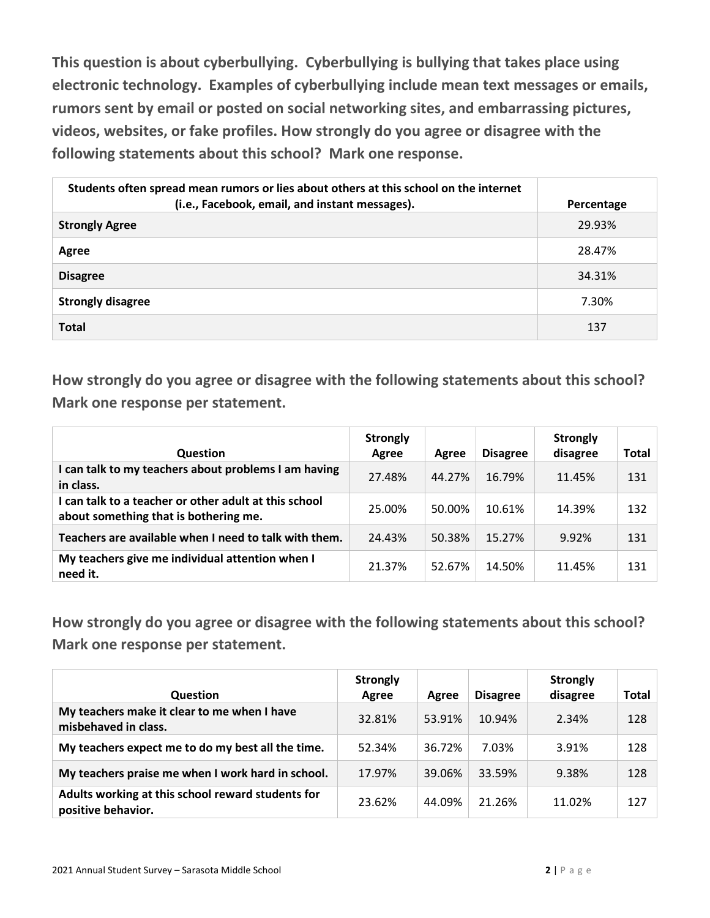**This question is about cyberbullying. Cyberbullying is bullying that takes place using electronic technology. Examples of cyberbullying include mean text messages or emails, rumors sent by email or posted on social networking sites, and embarrassing pictures, videos, websites, or fake profiles. How strongly do you agree or disagree with the following statements about this school? Mark one response.**

| Students often spread mean rumors or lies about others at this school on the internet<br>(i.e., Facebook, email, and instant messages). | Percentage |
|-----------------------------------------------------------------------------------------------------------------------------------------|------------|
| <b>Strongly Agree</b>                                                                                                                   | 29.93%     |
| Agree                                                                                                                                   | 28.47%     |
| <b>Disagree</b>                                                                                                                         | 34.31%     |
| <b>Strongly disagree</b>                                                                                                                | 7.30%      |
| <b>Total</b>                                                                                                                            | 137        |

**How strongly do you agree or disagree with the following statements about this school? Mark one response per statement.**

| <b>Question</b>                                                                                | <b>Strongly</b><br>Agree | Agree  | <b>Disagree</b> | <b>Strongly</b><br>disagree | <b>Total</b> |
|------------------------------------------------------------------------------------------------|--------------------------|--------|-----------------|-----------------------------|--------------|
| I can talk to my teachers about problems I am having<br>in class.                              | 27.48%                   | 44.27% | 16.79%          | 11.45%                      | 131          |
| I can talk to a teacher or other adult at this school<br>about something that is bothering me. | 25.00%                   | 50.00% | 10.61%          | 14.39%                      | 132          |
| Teachers are available when I need to talk with them.                                          | 24.43%                   | 50.38% | 15.27%          | 9.92%                       | 131          |
| My teachers give me individual attention when I<br>need it.                                    | 21.37%                   | 52.67% | 14.50%          | 11.45%                      | 131          |

| <b>Question</b>                                                         | <b>Strongly</b><br>Agree | Agree  | <b>Disagree</b> | <b>Strongly</b><br>disagree | Total |
|-------------------------------------------------------------------------|--------------------------|--------|-----------------|-----------------------------|-------|
| My teachers make it clear to me when I have<br>misbehaved in class.     | 32.81%                   | 53.91% | 10.94%          | 2.34%                       | 128   |
| My teachers expect me to do my best all the time.                       | 52.34%                   | 36.72% | 7.03%           | 3.91%                       | 128   |
| My teachers praise me when I work hard in school.                       | 17.97%                   | 39.06% | 33.59%          | 9.38%                       | 128   |
| Adults working at this school reward students for<br>positive behavior. | 23.62%                   | 44.09% | 21.26%          | 11.02%                      | 127   |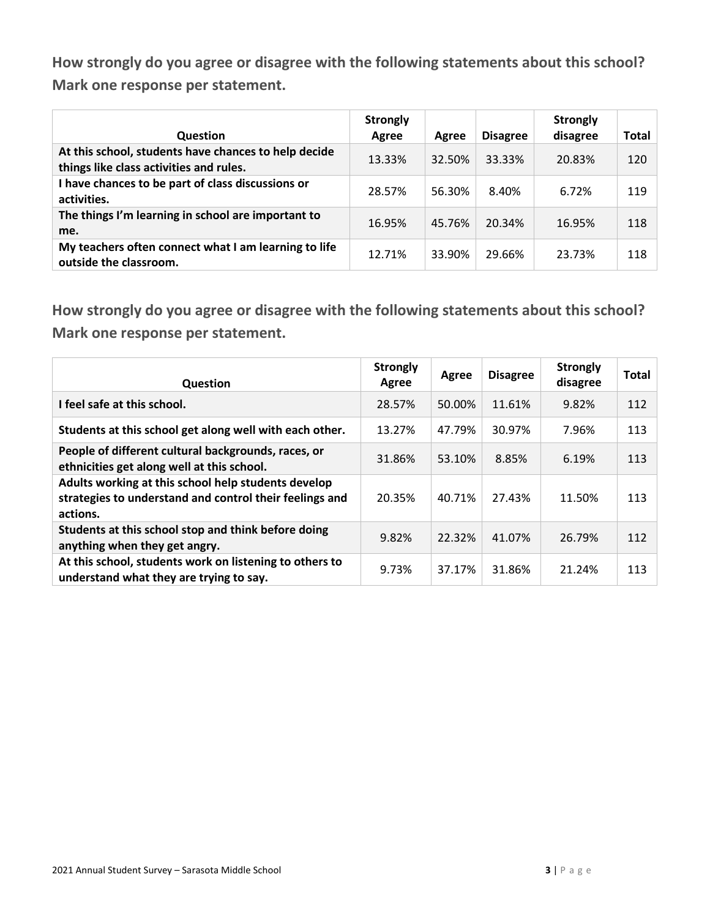| <b>Question</b>                                                                                 | <b>Strongly</b><br>Agree | Agree  | <b>Disagree</b> | <b>Strongly</b><br>disagree | Total |
|-------------------------------------------------------------------------------------------------|--------------------------|--------|-----------------|-----------------------------|-------|
| At this school, students have chances to help decide<br>things like class activities and rules. | 13.33%                   | 32.50% | 33.33%          | 20.83%                      | 120   |
| I have chances to be part of class discussions or<br>activities.                                | 28.57%                   | 56.30% | 8.40%           | 6.72%                       | 119   |
| The things I'm learning in school are important to<br>me.                                       | 16.95%                   | 45.76% | 20.34%          | 16.95%                      | 118   |
| My teachers often connect what I am learning to life<br>outside the classroom.                  | 12.71%                   | 33.90% | 29.66%          | 23.73%                      | 118   |

| <b>Question</b>                                                                                                            | Strongly<br>Agree | Agree  | <b>Disagree</b> | <b>Strongly</b><br>disagree | <b>Total</b> |
|----------------------------------------------------------------------------------------------------------------------------|-------------------|--------|-----------------|-----------------------------|--------------|
| I feel safe at this school.                                                                                                | 28.57%            | 50.00% | 11.61%          | 9.82%                       | 112          |
| Students at this school get along well with each other.                                                                    | 13.27%            | 47.79% | 30.97%          | 7.96%                       | 113          |
| People of different cultural backgrounds, races, or<br>ethnicities get along well at this school.                          | 31.86%            | 53.10% | 8.85%           | 6.19%                       | 113          |
| Adults working at this school help students develop<br>strategies to understand and control their feelings and<br>actions. | 20.35%            | 40.71% | 27.43%          | 11.50%                      | 113          |
| Students at this school stop and think before doing<br>anything when they get angry.                                       | 9.82%             | 22.32% | 41.07%          | 26.79%                      | 112          |
| At this school, students work on listening to others to<br>understand what they are trying to say.                         | 9.73%             | 37.17% | 31.86%          | 21.24%                      | 113          |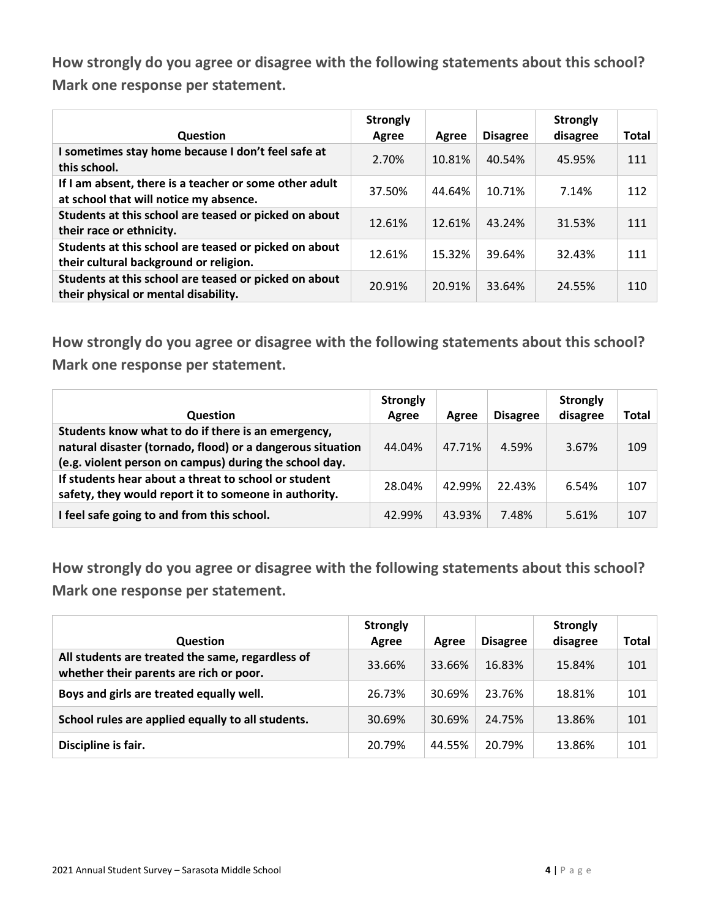| Question                                                                                         | <b>Strongly</b><br>Agree | Agree  | <b>Disagree</b> | <b>Strongly</b><br>disagree | <b>Total</b> |
|--------------------------------------------------------------------------------------------------|--------------------------|--------|-----------------|-----------------------------|--------------|
| I sometimes stay home because I don't feel safe at<br>this school.                               | 2.70%                    | 10.81% | 40.54%          | 45.95%                      | 111          |
| If I am absent, there is a teacher or some other adult<br>at school that will notice my absence. | 37.50%                   | 44.64% | 10.71%          | 7.14%                       | 112          |
| Students at this school are teased or picked on about<br>their race or ethnicity.                | 12.61%                   | 12.61% | 43.24%          | 31.53%                      | 111          |
| Students at this school are teased or picked on about<br>their cultural background or religion.  | 12.61%                   | 15.32% | 39.64%          | 32.43%                      | 111          |
| Students at this school are teased or picked on about<br>their physical or mental disability.    | 20.91%                   | 20.91% | 33.64%          | 24.55%                      | 110          |

**How strongly do you agree or disagree with the following statements about this school? Mark one response per statement.**

| <b>Question</b>                                                                                                                                                            | <b>Strongly</b><br>Agree | Agree  | <b>Disagree</b> | <b>Strongly</b><br>disagree | Total |
|----------------------------------------------------------------------------------------------------------------------------------------------------------------------------|--------------------------|--------|-----------------|-----------------------------|-------|
| Students know what to do if there is an emergency,<br>natural disaster (tornado, flood) or a dangerous situation<br>(e.g. violent person on campus) during the school day. | 44.04%                   | 47.71% | 4.59%           | 3.67%                       | 109   |
| If students hear about a threat to school or student<br>safety, they would report it to someone in authority.                                                              | 28.04%                   | 42.99% | 22.43%          | 6.54%                       | 107   |
| I feel safe going to and from this school.                                                                                                                                 | 42.99%                   | 43.93% | 7.48%           | 5.61%                       | 107   |

| <b>Question</b>                                                                             | <b>Strongly</b><br>Agree | Agree  | <b>Disagree</b> | <b>Strongly</b><br>disagree | <b>Total</b> |
|---------------------------------------------------------------------------------------------|--------------------------|--------|-----------------|-----------------------------|--------------|
| All students are treated the same, regardless of<br>whether their parents are rich or poor. | 33.66%                   | 33.66% | 16.83%          | 15.84%                      | 101          |
| Boys and girls are treated equally well.                                                    | 26.73%                   | 30.69% | 23.76%          | 18.81%                      | 101          |
| School rules are applied equally to all students.                                           | 30.69%                   | 30.69% | 24.75%          | 13.86%                      | 101          |
| Discipline is fair.                                                                         | 20.79%                   | 44.55% | 20.79%          | 13.86%                      | 101          |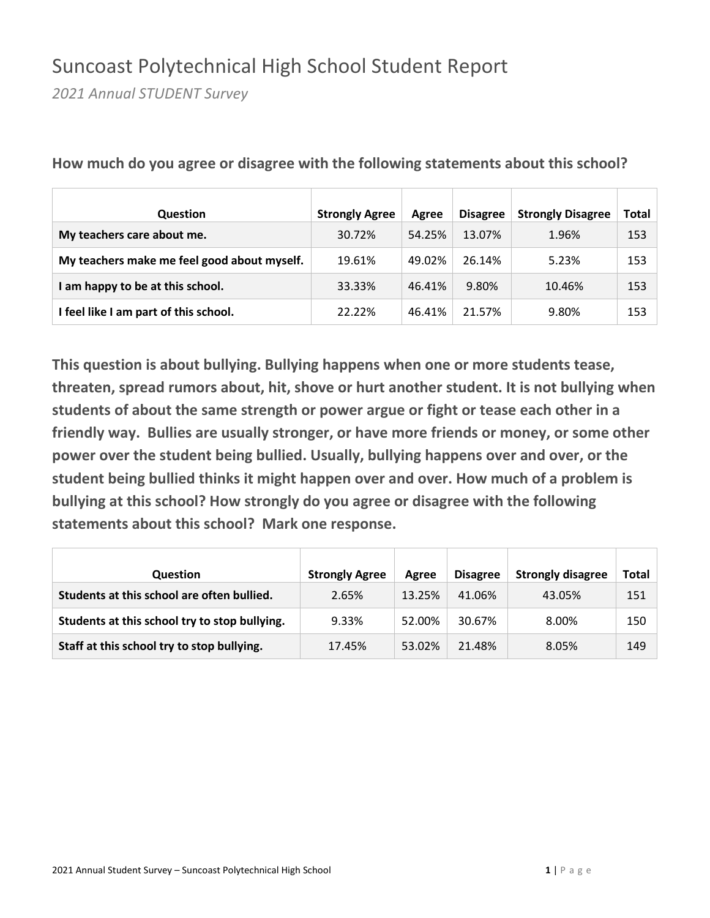#### Suncoast Polytechnical High School Student Report

*2021 Annual STUDENT Survey*

| <b>Question</b>                             | <b>Strongly Agree</b> | Agree  | <b>Disagree</b> | <b>Strongly Disagree</b> | Total |
|---------------------------------------------|-----------------------|--------|-----------------|--------------------------|-------|
| My teachers care about me.                  | 30.72%                | 54.25% | 13.07%          | 1.96%                    | 153   |
| My teachers make me feel good about myself. | 19.61%                | 49.02% | 26.14%          | 5.23%                    | 153   |
| am happy to be at this school.              | 33.33%                | 46.41% | 9.80%           | 10.46%                   | 153   |
| I feel like I am part of this school.       | 22.22%                | 46.41% | 21.57%          | 9.80%                    | 153   |

**How much do you agree or disagree with the following statements about this school?**

| <b>Question</b>                               | <b>Strongly Agree</b> | Agree  | <b>Disagree</b> | <b>Strongly disagree</b> | <b>Total</b> |
|-----------------------------------------------|-----------------------|--------|-----------------|--------------------------|--------------|
| Students at this school are often bullied.    | 2.65%                 | 13.25% | 41.06%          | 43.05%                   | 151          |
| Students at this school try to stop bullying. | 9.33%                 | 52.00% | 30.67%          | 8.00%                    | 150          |
| Staff at this school try to stop bullying.    | 17.45%                | 53.02% | 21.48%          | 8.05%                    | 149          |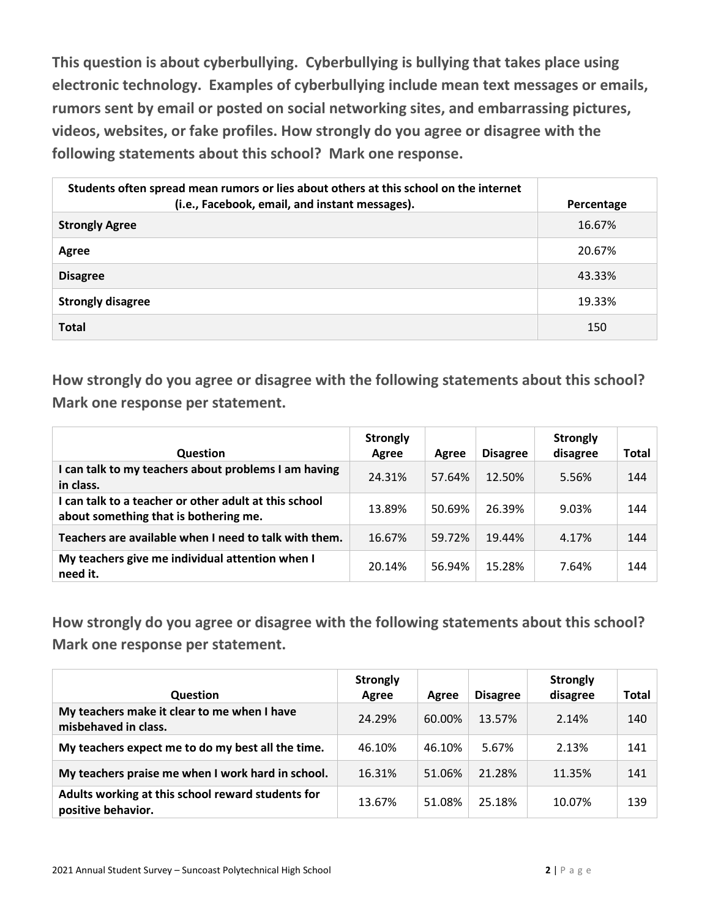**This question is about cyberbullying. Cyberbullying is bullying that takes place using electronic technology. Examples of cyberbullying include mean text messages or emails, rumors sent by email or posted on social networking sites, and embarrassing pictures, videos, websites, or fake profiles. How strongly do you agree or disagree with the following statements about this school? Mark one response.**

| Students often spread mean rumors or lies about others at this school on the internet<br>(i.e., Facebook, email, and instant messages). | Percentage |
|-----------------------------------------------------------------------------------------------------------------------------------------|------------|
| <b>Strongly Agree</b>                                                                                                                   | 16.67%     |
| Agree                                                                                                                                   | 20.67%     |
| <b>Disagree</b>                                                                                                                         | 43.33%     |
| <b>Strongly disagree</b>                                                                                                                | 19.33%     |
| <b>Total</b>                                                                                                                            | 150        |

**How strongly do you agree or disagree with the following statements about this school? Mark one response per statement.**

| <b>Question</b>                                                                                | <b>Strongly</b><br>Agree | Agree  | <b>Disagree</b> | <b>Strongly</b><br>disagree | Total |
|------------------------------------------------------------------------------------------------|--------------------------|--------|-----------------|-----------------------------|-------|
| I can talk to my teachers about problems I am having<br>in class.                              | 24.31%                   | 57.64% | 12.50%          | 5.56%                       | 144   |
| I can talk to a teacher or other adult at this school<br>about something that is bothering me. | 13.89%                   | 50.69% | 26.39%          | 9.03%                       | 144   |
| Teachers are available when I need to talk with them.                                          | 16.67%                   | 59.72% | 19.44%          | 4.17%                       | 144   |
| My teachers give me individual attention when I<br>need it.                                    | 20.14%                   | 56.94% | 15.28%          | 7.64%                       | 144   |

| <b>Question</b>                                                         | <b>Strongly</b><br>Agree | Agree  | <b>Disagree</b> | <b>Strongly</b><br>disagree | Total |
|-------------------------------------------------------------------------|--------------------------|--------|-----------------|-----------------------------|-------|
| My teachers make it clear to me when I have<br>misbehaved in class.     | 24.29%                   | 60.00% | 13.57%          | 2.14%                       | 140   |
| My teachers expect me to do my best all the time.                       | 46.10%                   | 46.10% | 5.67%           | 2.13%                       | 141   |
| My teachers praise me when I work hard in school.                       | 16.31%                   | 51.06% | 21.28%          | 11.35%                      | 141   |
| Adults working at this school reward students for<br>positive behavior. | 13.67%                   | 51.08% | 25.18%          | 10.07%                      | 139   |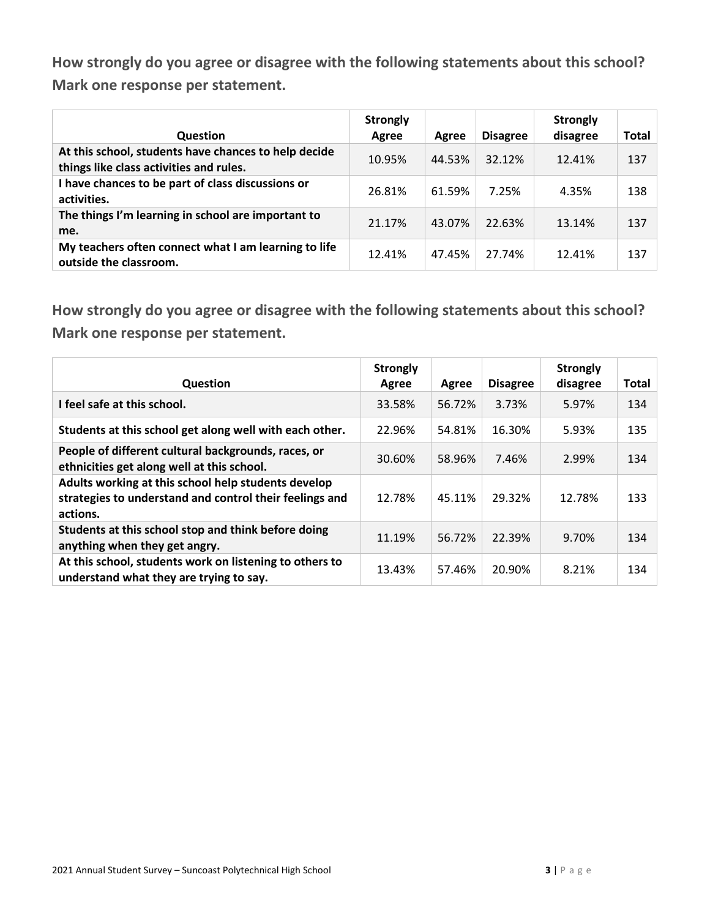| <b>Question</b>                                                                                 | <b>Strongly</b><br>Agree | Agree  | <b>Disagree</b> | <b>Strongly</b><br>disagree | Total |
|-------------------------------------------------------------------------------------------------|--------------------------|--------|-----------------|-----------------------------|-------|
| At this school, students have chances to help decide<br>things like class activities and rules. | 10.95%                   | 44.53% | 32.12%          | 12.41%                      | 137   |
| I have chances to be part of class discussions or<br>activities.                                | 26.81%                   | 61.59% | 7.25%           | 4.35%                       | 138   |
| The things I'm learning in school are important to<br>me.                                       | 21.17%                   | 43.07% | 22.63%          | 13.14%                      | 137   |
| My teachers often connect what I am learning to life<br>outside the classroom.                  | 12.41%                   | 47.45% | 27.74%          | 12.41%                      | 137   |

| <b>Question</b>                                                                                                            | <b>Strongly</b><br>Agree | Agree  | <b>Disagree</b> | <b>Strongly</b><br>disagree | <b>Total</b> |
|----------------------------------------------------------------------------------------------------------------------------|--------------------------|--------|-----------------|-----------------------------|--------------|
| I feel safe at this school.                                                                                                | 33.58%                   | 56.72% | 3.73%           | 5.97%                       | 134          |
| Students at this school get along well with each other.                                                                    | 22.96%                   | 54.81% | 16.30%          | 5.93%                       | 135          |
| People of different cultural backgrounds, races, or<br>ethnicities get along well at this school.                          | 30.60%                   | 58.96% | 7.46%           | 2.99%                       | 134          |
| Adults working at this school help students develop<br>strategies to understand and control their feelings and<br>actions. | 12.78%                   | 45.11% | 29.32%          | 12.78%                      | 133          |
| Students at this school stop and think before doing<br>anything when they get angry.                                       | 11.19%                   | 56.72% | 22.39%          | 9.70%                       | 134          |
| At this school, students work on listening to others to<br>understand what they are trying to say.                         | 13.43%                   | 57.46% | 20.90%          | 8.21%                       | 134          |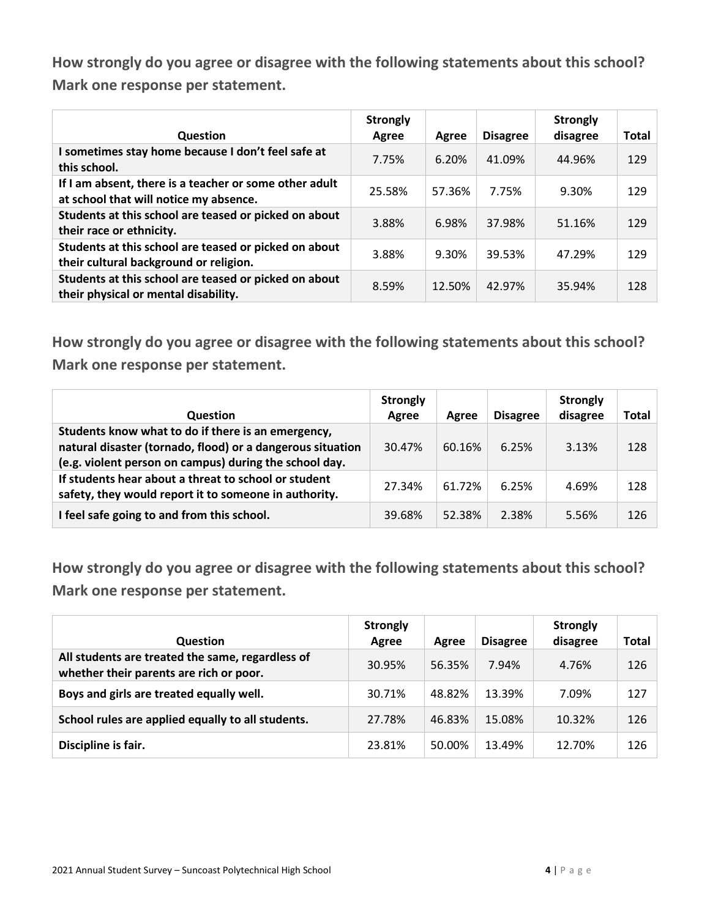| Question                                                                                         | <b>Strongly</b><br>Agree | Agree  | <b>Disagree</b> | <b>Strongly</b><br>disagree | Total |
|--------------------------------------------------------------------------------------------------|--------------------------|--------|-----------------|-----------------------------|-------|
| I sometimes stay home because I don't feel safe at<br>this school.                               | 7.75%                    | 6.20%  | 41.09%          | 44.96%                      | 129   |
| If I am absent, there is a teacher or some other adult<br>at school that will notice my absence. | 25.58%                   | 57.36% | 7.75%           | 9.30%                       | 129   |
| Students at this school are teased or picked on about<br>their race or ethnicity.                | 3.88%                    | 6.98%  | 37.98%          | 51.16%                      | 129   |
| Students at this school are teased or picked on about<br>their cultural background or religion.  | 3.88%                    | 9.30%  | 39.53%          | 47.29%                      | 129   |
| Students at this school are teased or picked on about<br>their physical or mental disability.    | 8.59%                    | 12.50% | 42.97%          | 35.94%                      | 128   |

**How strongly do you agree or disagree with the following statements about this school? Mark one response per statement.**

| <b>Question</b>                                                                                                                                                            | <b>Strongly</b><br>Agree | Agree  | <b>Disagree</b> | <b>Strongly</b><br>disagree | Total |
|----------------------------------------------------------------------------------------------------------------------------------------------------------------------------|--------------------------|--------|-----------------|-----------------------------|-------|
| Students know what to do if there is an emergency,<br>natural disaster (tornado, flood) or a dangerous situation<br>(e.g. violent person on campus) during the school day. | 30.47%                   | 60.16% | 6.25%           | 3.13%                       | 128   |
| If students hear about a threat to school or student<br>safety, they would report it to someone in authority.                                                              | 27.34%                   | 61.72% | 6.25%           | 4.69%                       | 128   |
| I feel safe going to and from this school.                                                                                                                                 | 39.68%                   | 52.38% | 2.38%           | 5.56%                       | 126   |

| <b>Question</b>                                                                             | <b>Strongly</b><br>Agree | Agree  | <b>Disagree</b> | <b>Strongly</b><br>disagree | Total |
|---------------------------------------------------------------------------------------------|--------------------------|--------|-----------------|-----------------------------|-------|
| All students are treated the same, regardless of<br>whether their parents are rich or poor. | 30.95%                   | 56.35% | 7.94%           | 4.76%                       | 126   |
| Boys and girls are treated equally well.                                                    | 30.71%                   | 48.82% | 13.39%          | 7.09%                       | 127   |
| School rules are applied equally to all students.                                           | 27.78%                   | 46.83% | 15.08%          | 10.32%                      | 126   |
| Discipline is fair.                                                                         | 23.81%                   | 50.00% | 13.49%          | 12.70%                      | 126   |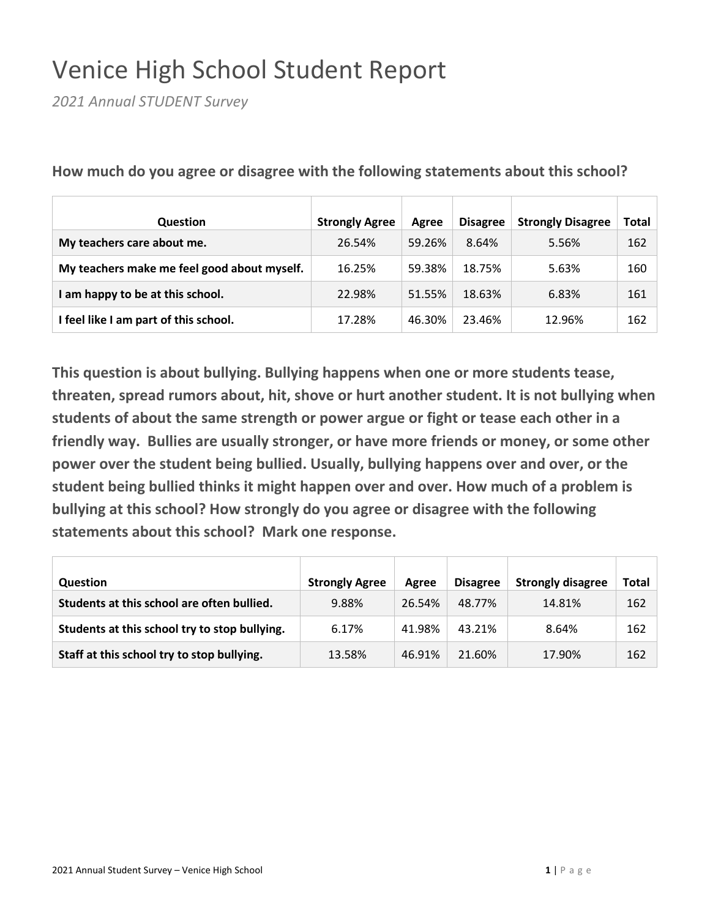# Venice High School Student Report

*2021 Annual STUDENT Survey*

| Question                                    | <b>Strongly Agree</b> | Agree  | <b>Disagree</b> | <b>Strongly Disagree</b> | Total |
|---------------------------------------------|-----------------------|--------|-----------------|--------------------------|-------|
| My teachers care about me.                  | 26.54%                | 59.26% | 8.64%           | 5.56%                    | 162   |
| My teachers make me feel good about myself. | 16.25%                | 59.38% | 18.75%          | 5.63%                    | 160   |
| I am happy to be at this school.            | 22.98%                | 51.55% | 18.63%          | 6.83%                    | 161   |
| I feel like I am part of this school.       | 17.28%                | 46.30% | 23.46%          | 12.96%                   | 162   |

**How much do you agree or disagree with the following statements about this school?**

| <b>Question</b>                               | <b>Strongly Agree</b> | Agree  | <b>Disagree</b> | <b>Strongly disagree</b> | Total |
|-----------------------------------------------|-----------------------|--------|-----------------|--------------------------|-------|
| Students at this school are often bullied.    | 9.88%                 | 26.54% | 48.77%          | 14.81%                   | 162   |
| Students at this school try to stop bullying. | 6.17%                 | 41.98% | 43.21%          | 8.64%                    | 162   |
| Staff at this school try to stop bullying.    | 13.58%                | 46.91% | 21.60%          | 17.90%                   | 162   |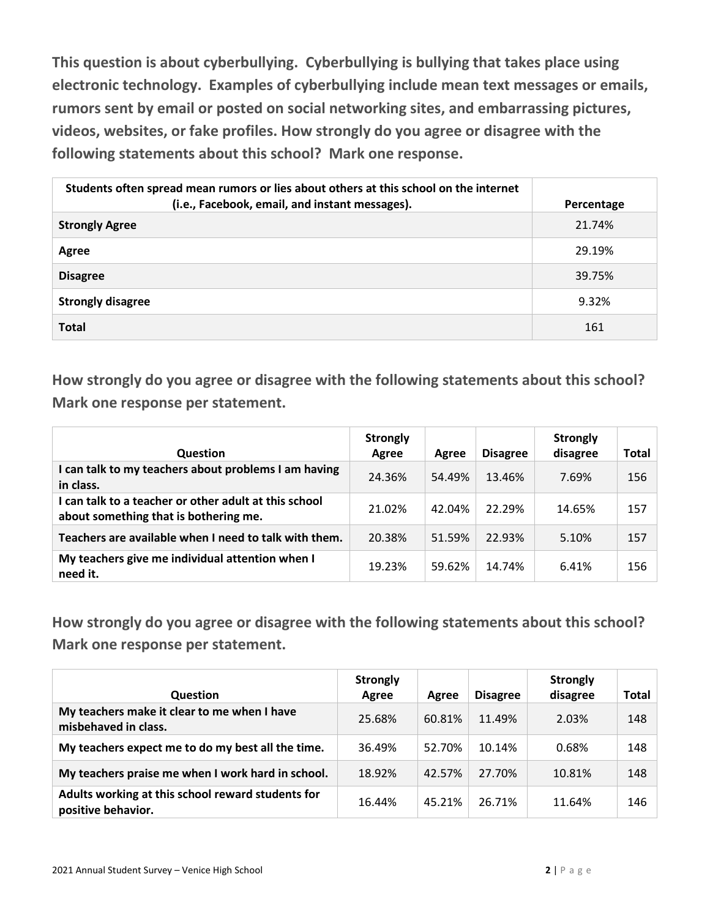**This question is about cyberbullying. Cyberbullying is bullying that takes place using electronic technology. Examples of cyberbullying include mean text messages or emails, rumors sent by email or posted on social networking sites, and embarrassing pictures, videos, websites, or fake profiles. How strongly do you agree or disagree with the following statements about this school? Mark one response.**

| Students often spread mean rumors or lies about others at this school on the internet<br>(i.e., Facebook, email, and instant messages). | Percentage |
|-----------------------------------------------------------------------------------------------------------------------------------------|------------|
| <b>Strongly Agree</b>                                                                                                                   | 21.74%     |
| Agree                                                                                                                                   | 29.19%     |
| <b>Disagree</b>                                                                                                                         | 39.75%     |
| <b>Strongly disagree</b>                                                                                                                | 9.32%      |
| <b>Total</b>                                                                                                                            | 161        |

**How strongly do you agree or disagree with the following statements about this school? Mark one response per statement.**

| <b>Question</b>                                                                                | <b>Strongly</b><br>Agree | Agree  | <b>Disagree</b> | <b>Strongly</b><br>disagree | <b>Total</b> |
|------------------------------------------------------------------------------------------------|--------------------------|--------|-----------------|-----------------------------|--------------|
| I can talk to my teachers about problems I am having<br>in class.                              | 24.36%                   | 54.49% | 13.46%          | 7.69%                       | 156          |
| I can talk to a teacher or other adult at this school<br>about something that is bothering me. | 21.02%                   | 42.04% | 22.29%          | 14.65%                      | 157          |
| Teachers are available when I need to talk with them.                                          | 20.38%                   | 51.59% | 22.93%          | 5.10%                       | 157          |
| My teachers give me individual attention when I<br>need it.                                    | 19.23%                   | 59.62% | 14.74%          | 6.41%                       | 156          |

| <b>Question</b>                                                         | <b>Strongly</b><br>Agree | Agree  | <b>Disagree</b> | <b>Strongly</b><br>disagree | Total |
|-------------------------------------------------------------------------|--------------------------|--------|-----------------|-----------------------------|-------|
| My teachers make it clear to me when I have<br>misbehaved in class.     | 25.68%                   | 60.81% | 11.49%          | 2.03%                       | 148   |
| My teachers expect me to do my best all the time.                       | 36.49%                   | 52.70% | 10.14%          | 0.68%                       | 148   |
| My teachers praise me when I work hard in school.                       | 18.92%                   | 42.57% | 27.70%          | 10.81%                      | 148   |
| Adults working at this school reward students for<br>positive behavior. | 16.44%                   | 45.21% | 26.71%          | 11.64%                      | 146   |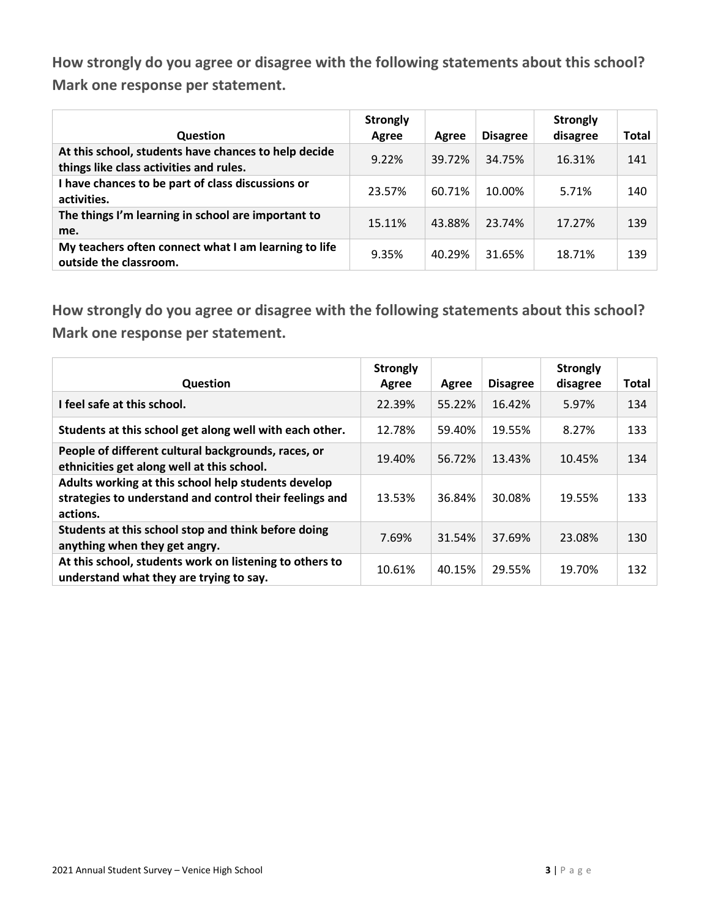| <b>Question</b>                                                                                 | <b>Strongly</b><br>Agree | Agree  | <b>Disagree</b> | <b>Strongly</b><br>disagree | Total |
|-------------------------------------------------------------------------------------------------|--------------------------|--------|-----------------|-----------------------------|-------|
| At this school, students have chances to help decide<br>things like class activities and rules. | $9.22\%$                 | 39.72% | 34.75%          | 16.31%                      | 141   |
| I have chances to be part of class discussions or<br>activities.                                | 23.57%                   | 60.71% | 10.00%          | 5.71%                       | 140   |
| The things I'm learning in school are important to<br>me.                                       | 15.11%                   | 43.88% | 23.74%          | 17.27%                      | 139   |
| My teachers often connect what I am learning to life<br>outside the classroom.                  | 9.35%                    | 40.29% | 31.65%          | 18.71%                      | 139   |

| <b>Question</b>                                                                                                            | <b>Strongly</b><br>Agree | Agree  | <b>Disagree</b> | <b>Strongly</b><br>disagree | <b>Total</b> |
|----------------------------------------------------------------------------------------------------------------------------|--------------------------|--------|-----------------|-----------------------------|--------------|
| I feel safe at this school.                                                                                                | 22.39%                   | 55.22% | 16.42%          | 5.97%                       | 134          |
| Students at this school get along well with each other.                                                                    | 12.78%                   | 59.40% | 19.55%          | 8.27%                       | 133          |
| People of different cultural backgrounds, races, or<br>ethnicities get along well at this school.                          | 19.40%                   | 56.72% | 13.43%          | 10.45%                      | 134          |
| Adults working at this school help students develop<br>strategies to understand and control their feelings and<br>actions. | 13.53%                   | 36.84% | 30.08%          | 19.55%                      | 133          |
| Students at this school stop and think before doing<br>anything when they get angry.                                       | 7.69%                    | 31.54% | 37.69%          | 23.08%                      | 130          |
| At this school, students work on listening to others to<br>understand what they are trying to say.                         | 10.61%                   | 40.15% | 29.55%          | 19.70%                      | 132          |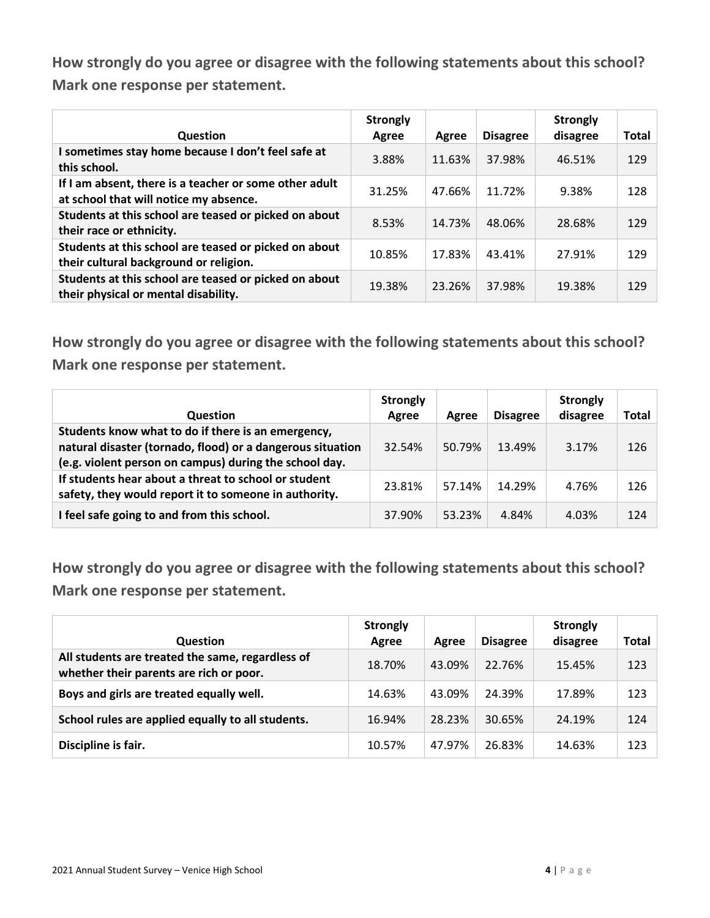| Question                                                                                         | <b>Strongly</b><br>Agree | Agree  | <b>Disagree</b> | <b>Strongly</b><br>disagree | <b>Total</b> |
|--------------------------------------------------------------------------------------------------|--------------------------|--------|-----------------|-----------------------------|--------------|
| I sometimes stay home because I don't feel safe at<br>this school.                               | 3.88%                    | 11.63% | 37.98%          | 46.51%                      | 129          |
| If I am absent, there is a teacher or some other adult<br>at school that will notice my absence. | 31.25%                   | 47.66% | 11.72%          | 9.38%                       | 128          |
| Students at this school are teased or picked on about<br>their race or ethnicity.                | 8.53%                    | 14.73% | 48.06%          | 28.68%                      | 129          |
| Students at this school are teased or picked on about<br>their cultural background or religion.  | 10.85%                   | 17.83% | 43.41%          | 27.91%                      | 129          |
| Students at this school are teased or picked on about<br>their physical or mental disability.    | 19.38%                   | 23.26% | 37.98%          | 19.38%                      | 129          |

**How strongly do you agree or disagree with the following statements about this school? Mark one response per statement.**

| <b>Question</b>                                                                                                                                                            | <b>Strongly</b><br>Agree | Agree  | <b>Disagree</b> | <b>Strongly</b><br>disagree | Total |
|----------------------------------------------------------------------------------------------------------------------------------------------------------------------------|--------------------------|--------|-----------------|-----------------------------|-------|
| Students know what to do if there is an emergency,<br>natural disaster (tornado, flood) or a dangerous situation<br>(e.g. violent person on campus) during the school day. | 32.54%                   | 50.79% | 13.49%          | 3.17%                       | 126   |
| If students hear about a threat to school or student<br>safety, they would report it to someone in authority.                                                              | 23.81%                   | 57.14% | 14.29%          | 4.76%                       | 126   |
| I feel safe going to and from this school.                                                                                                                                 | 37.90%                   | 53.23% | 4.84%           | 4.03%                       | 124   |

| <b>Question</b>                                                                             | <b>Strongly</b><br>Agree | Agree  | <b>Disagree</b> | <b>Strongly</b><br>disagree | <b>Total</b> |
|---------------------------------------------------------------------------------------------|--------------------------|--------|-----------------|-----------------------------|--------------|
| All students are treated the same, regardless of<br>whether their parents are rich or poor. | 18.70%                   | 43.09% | 22.76%          | 15.45%                      | 123          |
| Boys and girls are treated equally well.                                                    | 14.63%                   | 43.09% | 24.39%          | 17.89%                      | 123          |
| School rules are applied equally to all students.                                           | 16.94%                   | 28.23% | 30.65%          | 24.19%                      | 124          |
| Discipline is fair.                                                                         | 10.57%                   | 47.97% | 26.83%          | 14.63%                      | 123          |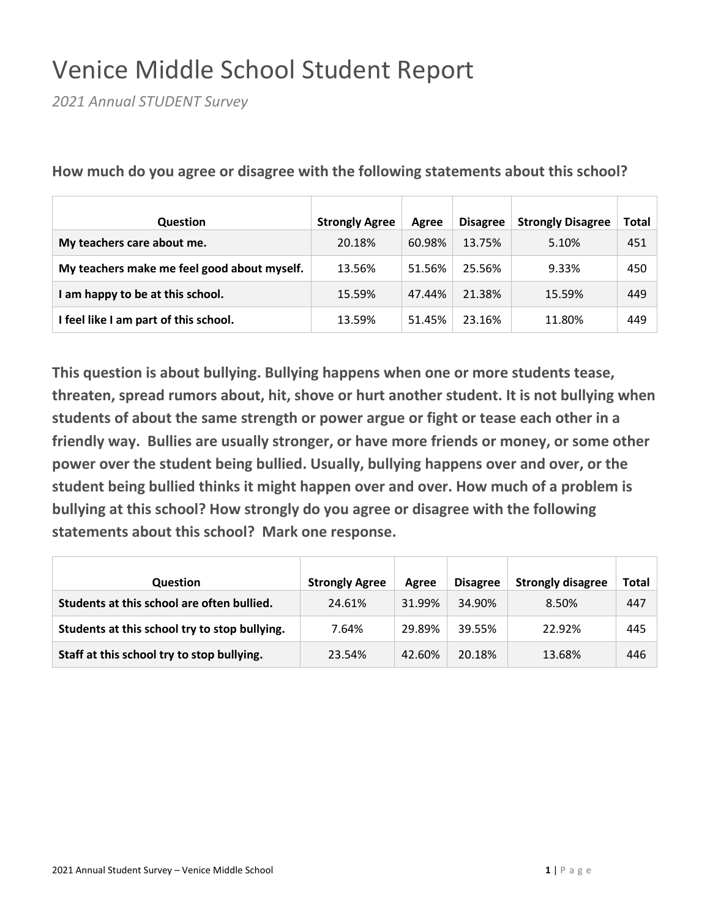# Venice Middle School Student Report

*2021 Annual STUDENT Survey*

| Question                                    | <b>Strongly Agree</b> | Agree  | <b>Disagree</b> | <b>Strongly Disagree</b> | Total |
|---------------------------------------------|-----------------------|--------|-----------------|--------------------------|-------|
| My teachers care about me.                  | 20.18%                | 60.98% | 13.75%          | 5.10%                    | 451   |
| My teachers make me feel good about myself. | 13.56%                | 51.56% | 25.56%          | 9.33%                    | 450   |
| I am happy to be at this school.            | 15.59%                | 47.44% | 21.38%          | 15.59%                   | 449   |
| I feel like I am part of this school.       | 13.59%                | 51.45% | 23.16%          | 11.80%                   | 449   |

**How much do you agree or disagree with the following statements about this school?**

| <b>Question</b>                               | <b>Strongly Agree</b> | Agree  | <b>Disagree</b> | <b>Strongly disagree</b> | Total |
|-----------------------------------------------|-----------------------|--------|-----------------|--------------------------|-------|
| Students at this school are often bullied.    | 24.61%                | 31.99% | 34.90%          | 8.50%                    | 447   |
| Students at this school try to stop bullying. | 7.64%                 | 29.89% | 39.55%          | 22.92%                   | 445   |
| Staff at this school try to stop bullying.    | 23.54%                | 42.60% | 20.18%          | 13.68%                   | 446   |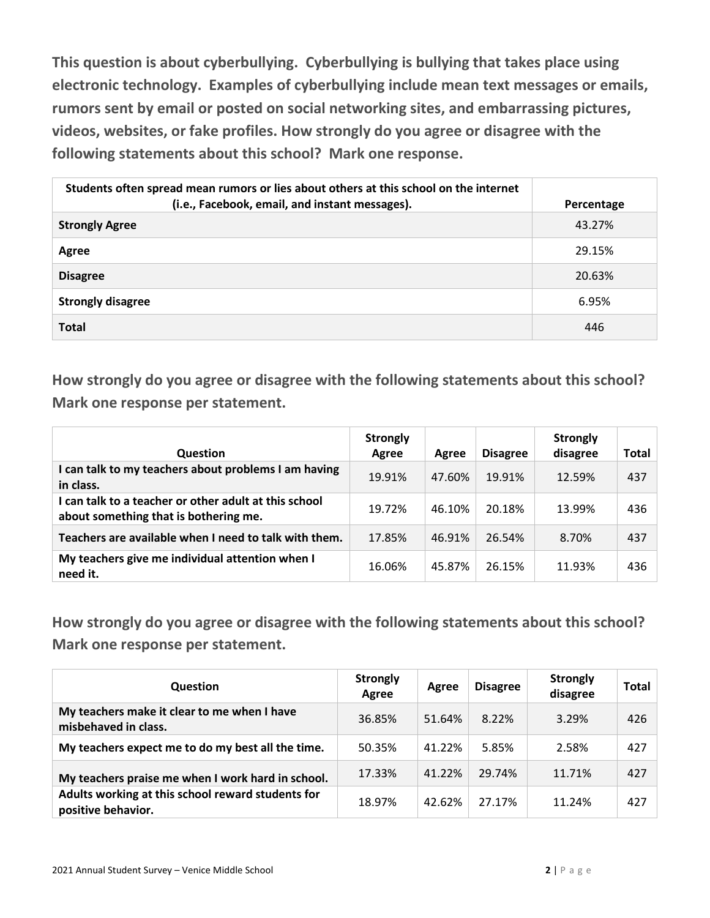**This question is about cyberbullying. Cyberbullying is bullying that takes place using electronic technology. Examples of cyberbullying include mean text messages or emails, rumors sent by email or posted on social networking sites, and embarrassing pictures, videos, websites, or fake profiles. How strongly do you agree or disagree with the following statements about this school? Mark one response.**

| Students often spread mean rumors or lies about others at this school on the internet<br>(i.e., Facebook, email, and instant messages). | Percentage |
|-----------------------------------------------------------------------------------------------------------------------------------------|------------|
| <b>Strongly Agree</b>                                                                                                                   | 43.27%     |
| Agree                                                                                                                                   | 29.15%     |
| <b>Disagree</b>                                                                                                                         | 20.63%     |
| <b>Strongly disagree</b>                                                                                                                | 6.95%      |
| <b>Total</b>                                                                                                                            | 446        |

**How strongly do you agree or disagree with the following statements about this school? Mark one response per statement.**

| <b>Question</b>                                                                                | <b>Strongly</b><br>Agree | Agree  | <b>Disagree</b> | <b>Strongly</b><br>disagree | Total |
|------------------------------------------------------------------------------------------------|--------------------------|--------|-----------------|-----------------------------|-------|
| I can talk to my teachers about problems I am having<br>in class.                              | 19.91%                   | 47.60% | 19.91%          | 12.59%                      | 437   |
| I can talk to a teacher or other adult at this school<br>about something that is bothering me. | 19.72%                   | 46.10% | 20.18%          | 13.99%                      | 436   |
| Teachers are available when I need to talk with them.                                          | 17.85%                   | 46.91% | 26.54%          | 8.70%                       | 437   |
| My teachers give me individual attention when I<br>need it.                                    | 16.06%                   | 45.87% | 26.15%          | 11.93%                      | 436   |

| <b>Question</b>                                                         | <b>Strongly</b><br>Agree | Agree  | <b>Disagree</b> | <b>Strongly</b><br>disagree | Total |
|-------------------------------------------------------------------------|--------------------------|--------|-----------------|-----------------------------|-------|
| My teachers make it clear to me when I have<br>misbehaved in class.     | 36.85%                   | 51.64% | 8.22%           | 3.29%                       | 426   |
| My teachers expect me to do my best all the time.                       | 50.35%                   | 41.22% | 5.85%           | 2.58%                       | 427   |
| My teachers praise me when I work hard in school.                       | 17.33%                   | 41.22% | 29.74%          | 11.71%                      | 427   |
| Adults working at this school reward students for<br>positive behavior. | 18.97%                   | 42.62% | 27.17%          | 11.24%                      | 427   |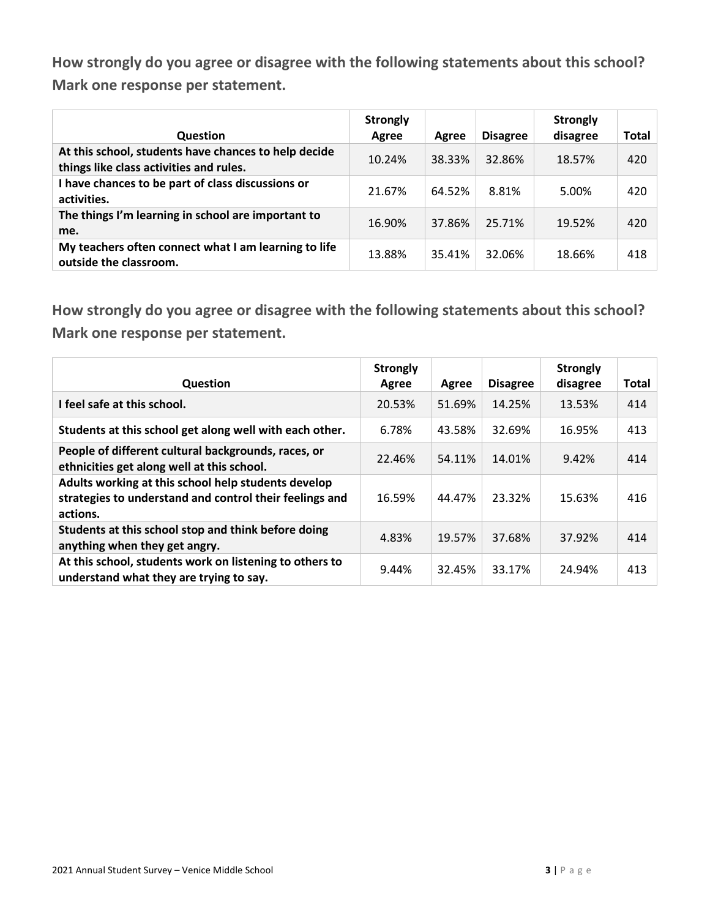| <b>Question</b>                                                                                 | <b>Strongly</b><br>Agree | Agree  | <b>Disagree</b> | <b>Strongly</b><br>disagree | Total |
|-------------------------------------------------------------------------------------------------|--------------------------|--------|-----------------|-----------------------------|-------|
| At this school, students have chances to help decide<br>things like class activities and rules. | 10.24%                   | 38.33% | 32.86%          | 18.57%                      | 420   |
| I have chances to be part of class discussions or<br>activities.                                | 21.67%                   | 64.52% | 8.81%           | 5.00%                       | 420   |
| The things I'm learning in school are important to<br>me.                                       | 16.90%                   | 37.86% | 25.71%          | 19.52%                      | 420   |
| My teachers often connect what I am learning to life<br>outside the classroom.                  | 13.88%                   | 35.41% | 32.06%          | 18.66%                      | 418   |

| <b>Question</b>                                                                                                            | <b>Strongly</b><br>Agree | Agree  | <b>Disagree</b> | <b>Strongly</b><br>disagree | <b>Total</b> |
|----------------------------------------------------------------------------------------------------------------------------|--------------------------|--------|-----------------|-----------------------------|--------------|
| I feel safe at this school.                                                                                                | 20.53%                   | 51.69% | 14.25%          | 13.53%                      | 414          |
| Students at this school get along well with each other.                                                                    | 6.78%                    | 43.58% | 32.69%          | 16.95%                      | 413          |
| People of different cultural backgrounds, races, or<br>ethnicities get along well at this school.                          | 22.46%                   | 54.11% | 14.01%          | 9.42%                       | 414          |
| Adults working at this school help students develop<br>strategies to understand and control their feelings and<br>actions. | 16.59%                   | 44.47% | 23.32%          | 15.63%                      | 416          |
| Students at this school stop and think before doing<br>anything when they get angry.                                       | 4.83%                    | 19.57% | 37.68%          | 37.92%                      | 414          |
| At this school, students work on listening to others to<br>understand what they are trying to say.                         | 9.44%                    | 32.45% | 33.17%          | 24.94%                      | 413          |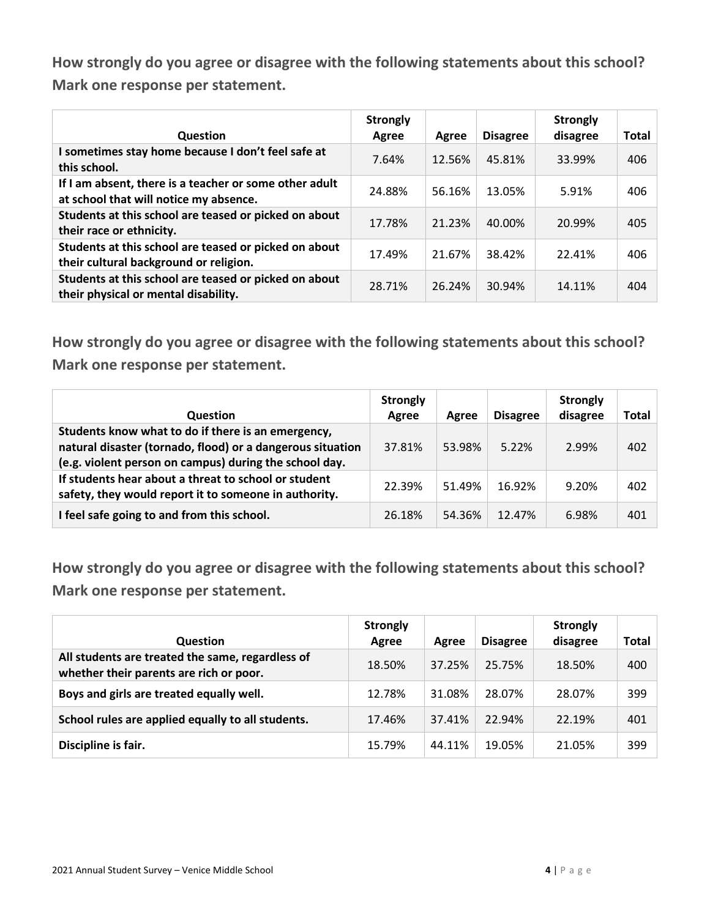| Question                                                                                         | <b>Strongly</b><br>Agree | Agree  | <b>Disagree</b> | <b>Strongly</b><br>disagree | <b>Total</b> |
|--------------------------------------------------------------------------------------------------|--------------------------|--------|-----------------|-----------------------------|--------------|
| I sometimes stay home because I don't feel safe at<br>this school.                               | 7.64%                    | 12.56% | 45.81%          | 33.99%                      | 406          |
| If I am absent, there is a teacher or some other adult<br>at school that will notice my absence. | 24.88%                   | 56.16% | 13.05%          | 5.91%                       | 406          |
| Students at this school are teased or picked on about<br>their race or ethnicity.                | 17.78%                   | 21.23% | 40.00%          | 20.99%                      | 405          |
| Students at this school are teased or picked on about<br>their cultural background or religion.  | 17.49%                   | 21.67% | 38.42%          | 22.41%                      | 406          |
| Students at this school are teased or picked on about<br>their physical or mental disability.    | 28.71%                   | 26.24% | 30.94%          | 14.11%                      | 404          |

**How strongly do you agree or disagree with the following statements about this school? Mark one response per statement.**

| <b>Question</b>                                                                                                                                                            | <b>Strongly</b><br>Agree | Agree  | <b>Disagree</b> | <b>Strongly</b><br>disagree | Total |
|----------------------------------------------------------------------------------------------------------------------------------------------------------------------------|--------------------------|--------|-----------------|-----------------------------|-------|
| Students know what to do if there is an emergency,<br>natural disaster (tornado, flood) or a dangerous situation<br>(e.g. violent person on campus) during the school day. | 37.81%                   | 53.98% | 5.22%           | 2.99%                       | 402   |
| If students hear about a threat to school or student<br>safety, they would report it to someone in authority.                                                              | 22.39%                   | 51.49% | 16.92%          | 9.20%                       | 402   |
| I feel safe going to and from this school.                                                                                                                                 | 26.18%                   | 54.36% | 12.47%          | 6.98%                       | 401   |

| <b>Question</b>                                                                             | <b>Strongly</b><br>Agree | Agree  | <b>Disagree</b> | <b>Strongly</b><br>disagree | <b>Total</b> |
|---------------------------------------------------------------------------------------------|--------------------------|--------|-----------------|-----------------------------|--------------|
| All students are treated the same, regardless of<br>whether their parents are rich or poor. | 18.50%                   | 37.25% | 25.75%          | 18.50%                      | 400          |
| Boys and girls are treated equally well.                                                    | 12.78%                   | 31.08% | 28.07%          | 28.07%                      | 399          |
| School rules are applied equally to all students.                                           | 17.46%                   | 37.41% | 22.94%          | 22.19%                      | 401          |
| Discipline is fair.                                                                         | 15.79%                   | 44.11% | 19.05%          | 21.05%                      | 399          |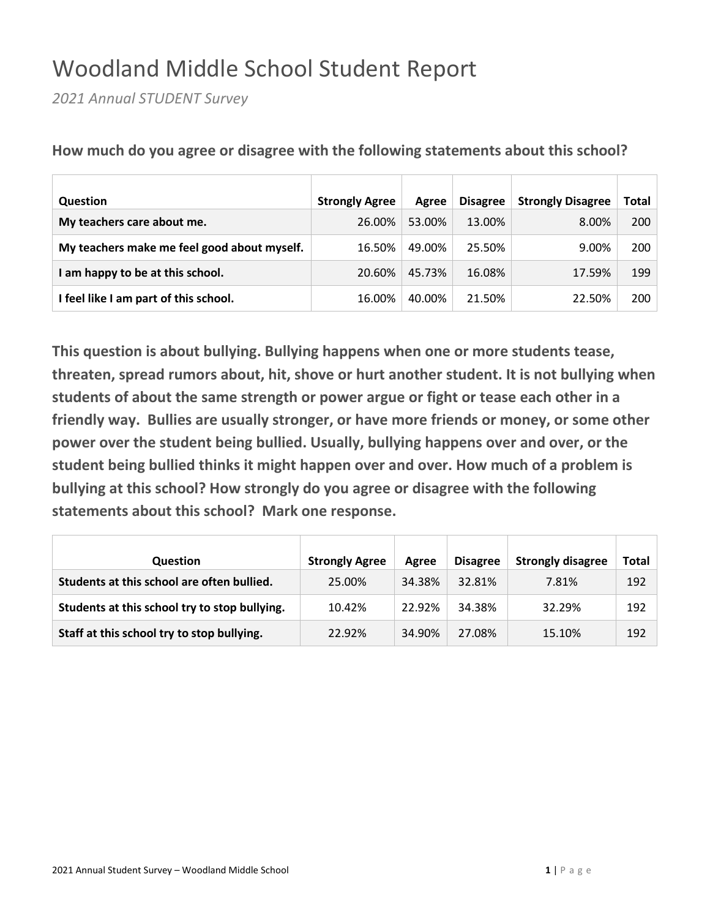## Woodland Middle School Student Report

*2021 Annual STUDENT Survey*

| <b>Question</b>                             | <b>Strongly Agree</b> | Agree  | <b>Disagree</b> | <b>Strongly Disagree</b> | <b>Total</b> |
|---------------------------------------------|-----------------------|--------|-----------------|--------------------------|--------------|
| My teachers care about me.                  | 26.00%                | 53.00% | 13.00%          | 8.00%                    | <b>200</b>   |
| My teachers make me feel good about myself. | 16.50%                | 49.00% | 25.50%          | 9.00%                    | 200          |
| I am happy to be at this school.            | 20.60%                | 45.73% | 16.08%          | 17.59%                   | 199          |
| I feel like I am part of this school.       | 16.00%                | 40.00% | 21.50%          | 22.50%                   | 200          |

**How much do you agree or disagree with the following statements about this school?**

| <b>Question</b>                               | <b>Strongly Agree</b> | Agree  | <b>Disagree</b> | <b>Strongly disagree</b> | Total |
|-----------------------------------------------|-----------------------|--------|-----------------|--------------------------|-------|
| Students at this school are often bullied.    | 25.00%                | 34.38% | 32.81%          | 7.81%                    | 192   |
| Students at this school try to stop bullying. | 10.42%                | 22.92% | 34.38%          | 32.29%                   | 192   |
| Staff at this school try to stop bullying.    | 22.92%                | 34.90% | 27.08%          | 15.10%                   | 192   |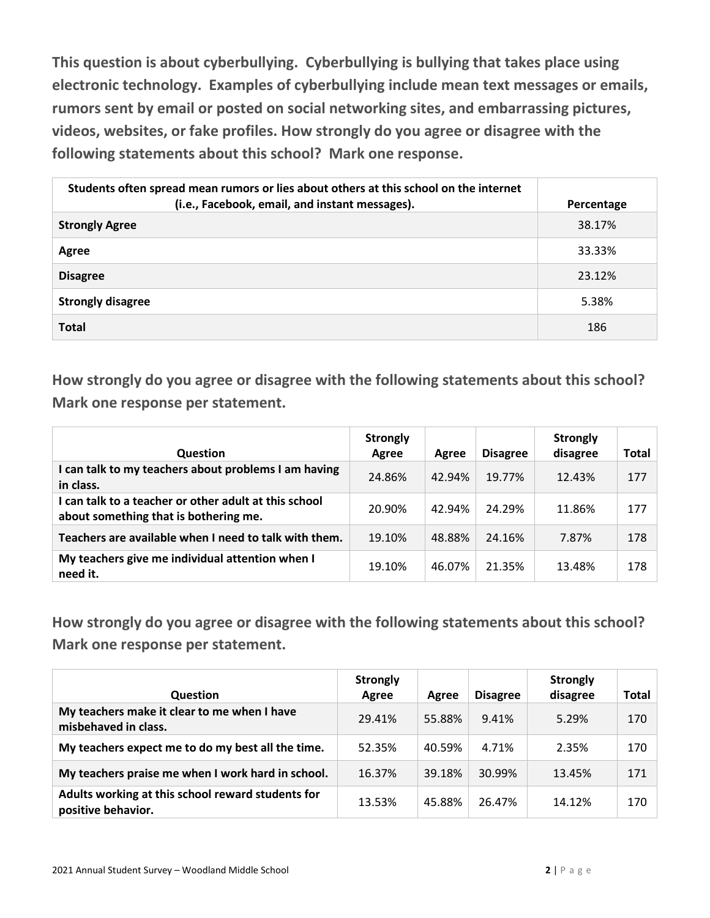**This question is about cyberbullying. Cyberbullying is bullying that takes place using electronic technology. Examples of cyberbullying include mean text messages or emails, rumors sent by email or posted on social networking sites, and embarrassing pictures, videos, websites, or fake profiles. How strongly do you agree or disagree with the following statements about this school? Mark one response.**

| Students often spread mean rumors or lies about others at this school on the internet<br>(i.e., Facebook, email, and instant messages). | Percentage |
|-----------------------------------------------------------------------------------------------------------------------------------------|------------|
| <b>Strongly Agree</b>                                                                                                                   | 38.17%     |
| Agree                                                                                                                                   | 33.33%     |
| <b>Disagree</b>                                                                                                                         | 23.12%     |
| <b>Strongly disagree</b>                                                                                                                | 5.38%      |
| <b>Total</b>                                                                                                                            | 186        |

**How strongly do you agree or disagree with the following statements about this school? Mark one response per statement.**

| <b>Question</b>                                                                                | <b>Strongly</b><br>Agree | Agree  | <b>Disagree</b> | <b>Strongly</b><br>disagree | <b>Total</b> |
|------------------------------------------------------------------------------------------------|--------------------------|--------|-----------------|-----------------------------|--------------|
| I can talk to my teachers about problems I am having<br>in class.                              | 24.86%                   | 42.94% | 19.77%          | 12.43%                      | 177          |
| I can talk to a teacher or other adult at this school<br>about something that is bothering me. | 20.90%                   | 42.94% | 24.29%          | 11.86%                      | 177          |
| Teachers are available when I need to talk with them.                                          | 19.10%                   | 48.88% | 24.16%          | 7.87%                       | 178          |
| My teachers give me individual attention when I<br>need it.                                    | 19.10%                   | 46.07% | 21.35%          | 13.48%                      | 178          |

| <b>Question</b>                                                         | <b>Strongly</b><br>Agree | Agree  | <b>Disagree</b> | <b>Strongly</b><br>disagree | Total |
|-------------------------------------------------------------------------|--------------------------|--------|-----------------|-----------------------------|-------|
| My teachers make it clear to me when I have<br>misbehaved in class.     | 29.41%                   | 55.88% | 9.41%           | 5.29%                       | 170   |
| My teachers expect me to do my best all the time.                       | 52.35%                   | 40.59% | 4.71%           | 2.35%                       | 170   |
| My teachers praise me when I work hard in school.                       | 16.37%                   | 39.18% | 30.99%          | 13.45%                      | 171   |
| Adults working at this school reward students for<br>positive behavior. | 13.53%                   | 45.88% | 26.47%          | 14.12%                      | 170   |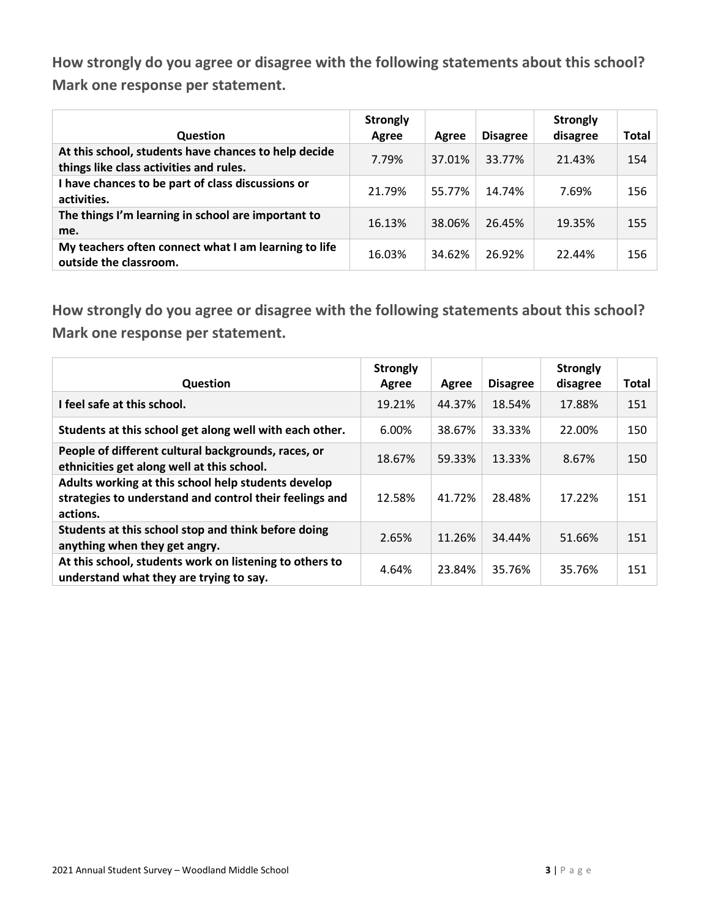| <b>Question</b>                                                                                 | <b>Strongly</b><br>Agree | Agree  | <b>Disagree</b> | <b>Strongly</b><br>disagree | Total |
|-------------------------------------------------------------------------------------------------|--------------------------|--------|-----------------|-----------------------------|-------|
| At this school, students have chances to help decide<br>things like class activities and rules. | 7.79%                    | 37.01% | 33.77%          | 21.43%                      | 154   |
| I have chances to be part of class discussions or<br>activities.                                | 21.79%                   | 55.77% | 14.74%          | 7.69%                       | 156   |
| The things I'm learning in school are important to<br>me.                                       | 16.13%                   | 38.06% | 26.45%          | 19.35%                      | 155   |
| My teachers often connect what I am learning to life<br>outside the classroom.                  | 16.03%                   | 34.62% | 26.92%          | 22.44%                      | 156   |

| <b>Question</b>                                                                                                            | <b>Strongly</b><br>Agree | Agree  | <b>Disagree</b> | <b>Strongly</b><br>disagree | <b>Total</b> |
|----------------------------------------------------------------------------------------------------------------------------|--------------------------|--------|-----------------|-----------------------------|--------------|
| I feel safe at this school.                                                                                                | 19.21%                   | 44.37% | 18.54%          | 17.88%                      | 151          |
| Students at this school get along well with each other.                                                                    | 6.00%                    | 38.67% | 33.33%          | 22.00%                      | 150          |
| People of different cultural backgrounds, races, or<br>ethnicities get along well at this school.                          | 18.67%                   | 59.33% | 13.33%          | 8.67%                       | 150          |
| Adults working at this school help students develop<br>strategies to understand and control their feelings and<br>actions. | 12.58%                   | 41.72% | 28.48%          | 17.22%                      | 151          |
| Students at this school stop and think before doing<br>anything when they get angry.                                       | 2.65%                    | 11.26% | 34.44%          | 51.66%                      | 151          |
| At this school, students work on listening to others to<br>understand what they are trying to say.                         | 4.64%                    | 23.84% | 35.76%          | 35.76%                      | 151          |